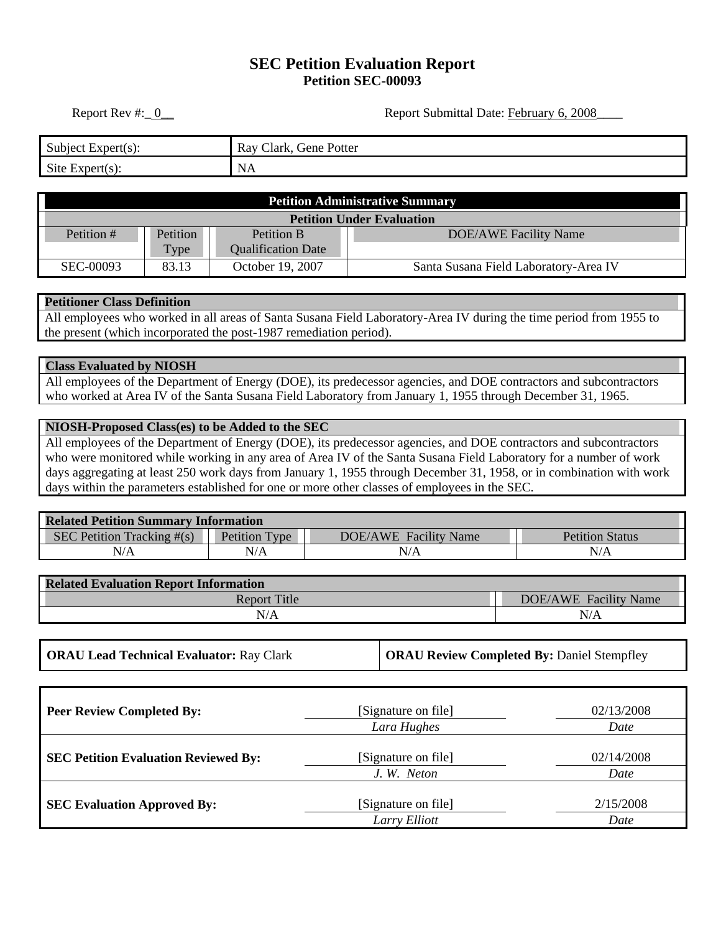# **SEC Petition Evaluation Report Petition SEC-00093**

Report Rev #:  $0$ 

Report Submittal Date: February 6, 2008\_

| Subject Expert(s).<br>rte v | Gene Potter<br>Clark.<br>Ray |
|-----------------------------|------------------------------|
| Site Expert $(s)$ :         | · N⊤<br>117                  |

| <b>Petition Administrative Summary</b> |                 |                           |                                       |  |  |
|----------------------------------------|-----------------|---------------------------|---------------------------------------|--|--|
| <b>Petition Under Evaluation</b>       |                 |                           |                                       |  |  |
| Petition #                             | <b>Petition</b> | Petition B                | DOE/AWE Facility Name                 |  |  |
|                                        | Type            | <b>Qualification Date</b> |                                       |  |  |
| SEC-00093                              | 83.13           | October 19, 2007          | Santa Susana Field Laboratory-Area IV |  |  |

#### **Petitioner Class Definition**

All employees who worked in all areas of Santa Susana Field Laboratory-Area IV during the time period from 1955 to the present (which incorporated the post-1987 remediation period).

#### **Class Evaluated by NIOSH**

All employees of the Department of Energy (DOE), its predecessor agencies, and DOE contractors and subcontractors who worked at Area IV of the Santa Susana Field Laboratory from January 1, 1955 through December 31, 1965.

#### **NIOSH-Proposed Class(es) to be Added to the SEC**

All employees of the Department of Energy (DOE), its predecessor agencies, and DOE contractors and subcontractors who were monitored while working in any area of Area IV of the Santa Susana Field Laboratory for a number of work days aggregating at least 250 work days from January 1, 1955 through December 31, 1958, or in combination with work days within the parameters established for one or more other classes of employees in the SEC.

| <b>Related Petition Summary Information</b>                                                      |     |     |     |  |  |
|--------------------------------------------------------------------------------------------------|-----|-----|-----|--|--|
| Petition Type<br>SEC Petition Tracking $#(s)$<br>DOE/AWE Facility Name<br><b>Petition Status</b> |     |     |     |  |  |
|                                                                                                  | N/A | N/A | N/A |  |  |

| <b>Related Evaluation Report Information</b> |                       |  |  |
|----------------------------------------------|-----------------------|--|--|
| <b>Report Title</b>                          | DOE/AWE Facility Name |  |  |
| N/A                                          | N/A                   |  |  |

**ORAU Lead Technical Evaluator:** Ray Clark **DRAU Review Completed By:** Daniel Stempfle

|  | IRAU Review Completed By: Daniel Stempfley |  |  |
|--|--------------------------------------------|--|--|
|  |                                            |  |  |

| <b>Peer Review Completed By:</b>            | [Signature on file]<br>Lara Hughes   | 02/13/2008<br>Date |  |
|---------------------------------------------|--------------------------------------|--------------------|--|
| <b>SEC Petition Evaluation Reviewed By:</b> | [Signature on file]<br>J. W. Neton   | 02/14/2008<br>Date |  |
| <b>SEC Evaluation Approved By:</b>          | [Signature on file]<br>Larry Elliott | 2/15/2008<br>Date  |  |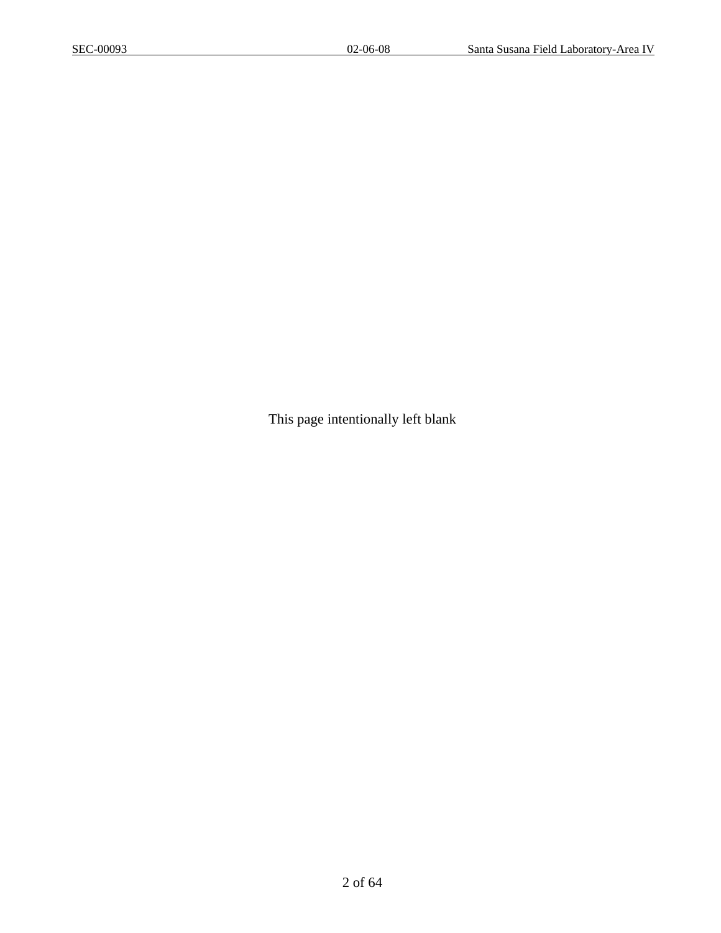This page intentionally left blank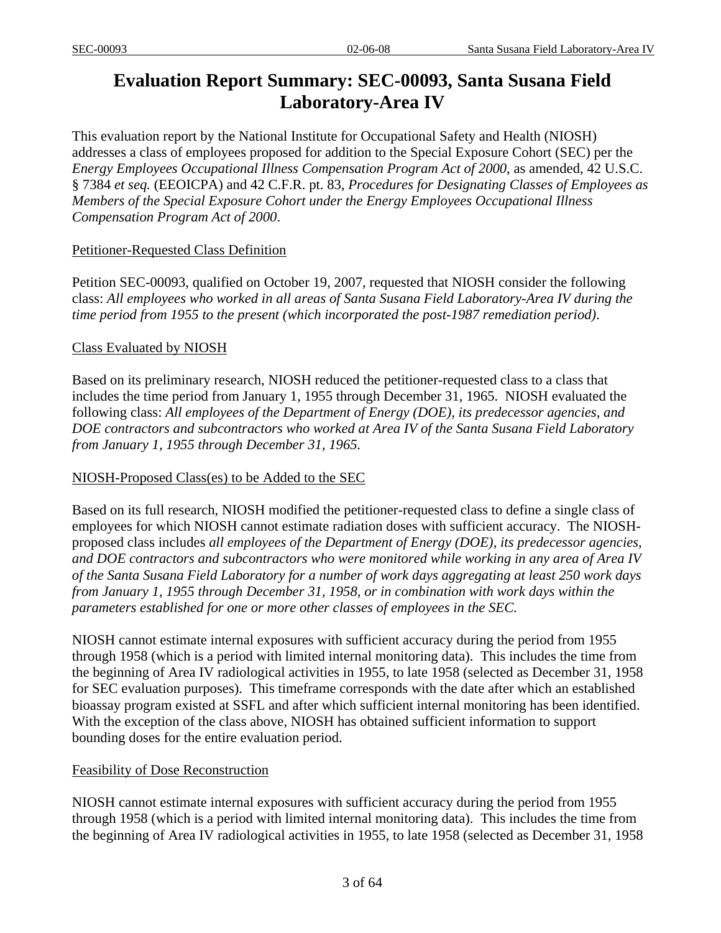## **Evaluation Report Summary: SEC-00093, Santa Susana Field Laboratory-Area IV**

This evaluation report by the National Institute for Occupational Safety and Health (NIOSH) addresses a class of employees proposed for addition to the Special Exposure Cohort (SEC) per the *Energy Employees Occupational Illness Compensation Program Act of 2000*, as amended, 42 U.S.C. § 7384 *et seq.* (EEOICPA) and 42 C.F.R. pt. 83, *Procedures for Designating Classes of Employees as Members of the Special Exposure Cohort under the Energy Employees Occupational Illness Compensation Program Act of 2000*.

### Petitioner-Requested Class Definition

Petition SEC-00093, qualified on October 19, 2007, requested that NIOSH consider the following class: *All employees who worked in all areas of Santa Susana Field Laboratory-Area IV during the time period from 1955 to the present (which incorporated the post-1987 remediation period)*.

### Class Evaluated by NIOSH

Based on its preliminary research, NIOSH reduced the petitioner-requested class to a class that includes the time period from January 1, 1955 through December 31, 1965. NIOSH evaluated the following class: *All employees of the Department of Energy (DOE), its predecessor agencies, and DOE contractors and subcontractors who worked at Area IV of the Santa Susana Field Laboratory from January 1, 1955 through December 31, 1965.* 

#### NIOSH-Proposed Class(es) to be Added to the SEC

Based on its full research, NIOSH modified the petitioner-requested class to define a single class of employees for which NIOSH cannot estimate radiation doses with sufficient accuracy. The NIOSHproposed class includes *all employees of the Department of Energy (DOE), its predecessor agencies, and DOE contractors and subcontractors who were monitored while working in any area of Area IV of the Santa Susana Field Laboratory for a number of work days aggregating at least 250 work days from January 1, 1955 through December 31, 1958, or in combination with work days within the parameters established for one or more other classes of employees in the SEC.* 

NIOSH cannot estimate internal exposures with sufficient accuracy during the period from 1955 through 1958 (which is a period with limited internal monitoring data). This includes the time from the beginning of Area IV radiological activities in 1955, to late 1958 (selected as December 31, 1958 for SEC evaluation purposes). This timeframe corresponds with the date after which an established bioassay program existed at SSFL and after which sufficient internal monitoring has been identified. With the exception of the class above, NIOSH has obtained sufficient information to support bounding doses for the entire evaluation period.

#### Feasibility of Dose Reconstruction

NIOSH cannot estimate internal exposures with sufficient accuracy during the period from 1955 through 1958 (which is a period with limited internal monitoring data). This includes the time from the beginning of Area IV radiological activities in 1955, to late 1958 (selected as December 31, 1958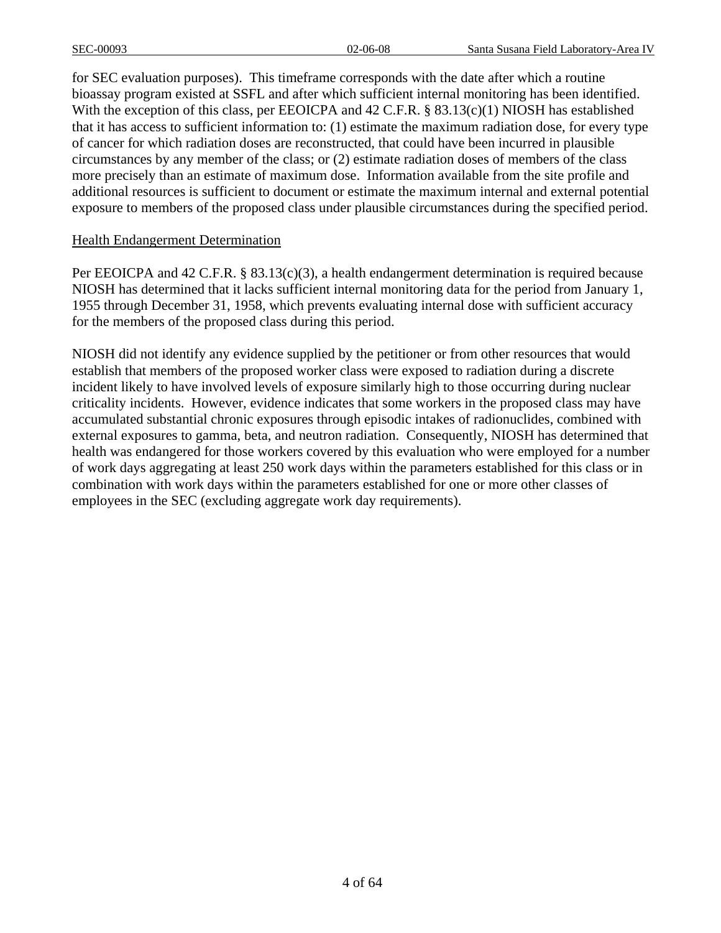| <b>SEC-00093</b> | $02-06-08$                                                                            | Santa Susana Field Laboratory-Area IV                                                         |
|------------------|---------------------------------------------------------------------------------------|-----------------------------------------------------------------------------------------------|
|                  | المالي والمستحير والمتحاول والمتحدث والمستحيل والمستحدث والمستحدث والمستحدث والمستحدث | for SEC evaluation purposes). This time frame corresponds with the date after which a routine |

bioassay program existed at SSFL and after which sufficient internal monitoring has been identified. With the exception of this class, per EEOICPA and 42 C.F.R. § 83.13(c)(1) NIOSH has established that it has access to sufficient information to: (1) estimate the maximum radiation dose, for every type of cancer for which radiation doses are reconstructed, that could have been incurred in plausible circumstances by any member of the class; or (2) estimate radiation doses of members of the class more precisely than an estimate of maximum dose. Information available from the site profile and additional resources is sufficient to document or estimate the maximum internal and external potential exposure to members of the proposed class under plausible circumstances during the specified period.

#### Health Endangerment Determination

Per EEOICPA and 42 C.F.R. § 83.13(c)(3), a health endangerment determination is required because NIOSH has determined that it lacks sufficient internal monitoring data for the period from January 1, 1955 through December 31, 1958, which prevents evaluating internal dose with sufficient accuracy for the members of the proposed class during this period.

NIOSH did not identify any evidence supplied by the petitioner or from other resources that would establish that members of the proposed worker class were exposed to radiation during a discrete incident likely to have involved levels of exposure similarly high to those occurring during nuclear criticality incidents. However, evidence indicates that some workers in the proposed class may have accumulated substantial chronic exposures through episodic intakes of radionuclides, combined with external exposures to gamma, beta, and neutron radiation. Consequently, NIOSH has determined that health was endangered for those workers covered by this evaluation who were employed for a number of work days aggregating at least 250 work days within the parameters established for this class or in combination with work days within the parameters established for one or more other classes of employees in the SEC (excluding aggregate work day requirements).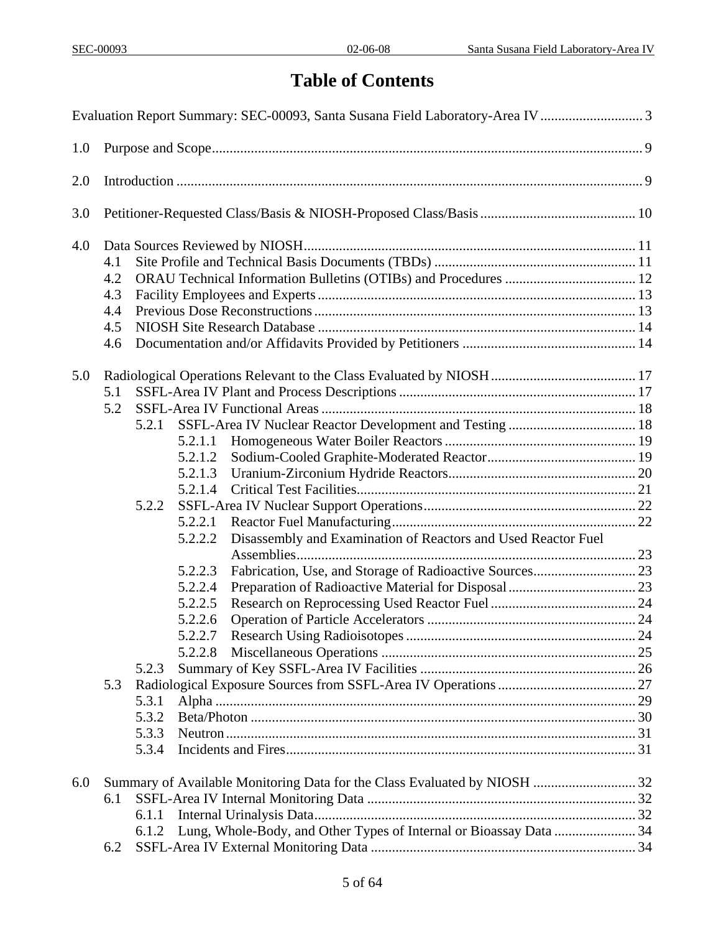## **Table of Contents**

|     |     |       |         | Evaluation Report Summary: SEC-00093, Santa Susana Field Laboratory-Area IV 3 |  |
|-----|-----|-------|---------|-------------------------------------------------------------------------------|--|
| 1.0 |     |       |         |                                                                               |  |
| 2.0 |     |       |         |                                                                               |  |
| 3.0 |     |       |         |                                                                               |  |
| 4.0 |     |       |         |                                                                               |  |
|     | 4.1 |       |         |                                                                               |  |
|     | 4.2 |       |         |                                                                               |  |
|     | 4.3 |       |         |                                                                               |  |
|     | 4.4 |       |         |                                                                               |  |
|     | 4.5 |       |         |                                                                               |  |
|     | 4.6 |       |         |                                                                               |  |
| 5.0 |     |       |         |                                                                               |  |
|     | 5.1 |       |         |                                                                               |  |
|     | 5.2 |       |         |                                                                               |  |
|     |     | 5.2.1 |         |                                                                               |  |
|     |     |       | 5.2.1.1 |                                                                               |  |
|     |     |       | 5.2.1.2 |                                                                               |  |
|     |     |       | 5.2.1.3 |                                                                               |  |
|     |     |       | 5.2.1.4 |                                                                               |  |
|     |     | 5.2.2 |         |                                                                               |  |
|     |     |       | 5.2.2.1 |                                                                               |  |
|     |     |       | 5.2.2.2 | Disassembly and Examination of Reactors and Used Reactor Fuel                 |  |
|     |     |       |         |                                                                               |  |
|     |     |       | 5.2.2.3 |                                                                               |  |
|     |     |       | 5.2.2.4 |                                                                               |  |
|     |     |       | 5.2.2.5 |                                                                               |  |
|     |     |       | 5.2.2.6 |                                                                               |  |
|     |     |       |         |                                                                               |  |
|     |     |       |         |                                                                               |  |
|     |     |       | 5.2.2.8 |                                                                               |  |
|     |     | 5.2.3 |         |                                                                               |  |
|     | 5.3 |       |         |                                                                               |  |
|     |     | 5.3.1 |         |                                                                               |  |
|     |     | 5.3.2 |         |                                                                               |  |
|     |     | 5.3.3 |         |                                                                               |  |
|     |     | 5.3.4 |         |                                                                               |  |
| 6.0 |     |       |         | Summary of Available Monitoring Data for the Class Evaluated by NIOSH  32     |  |
|     | 6.1 |       |         |                                                                               |  |
|     |     | 6.1.1 |         |                                                                               |  |
|     |     |       |         | 6.1.2 Lung, Whole-Body, and Other Types of Internal or Bioassay Data  34      |  |
|     | 6.2 |       |         |                                                                               |  |
|     |     |       |         |                                                                               |  |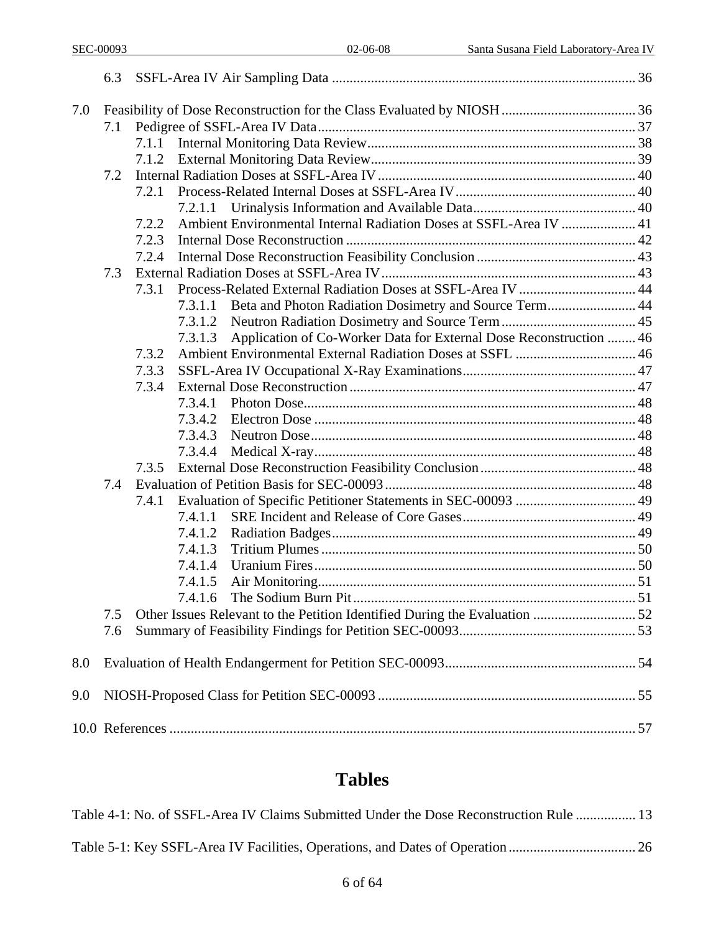|     | 6.3 |                                                                               |  |
|-----|-----|-------------------------------------------------------------------------------|--|
| 7.0 |     |                                                                               |  |
|     | 7.1 |                                                                               |  |
|     |     | 7.1.1                                                                         |  |
|     |     | 7.1.2                                                                         |  |
|     | 7.2 |                                                                               |  |
|     |     | 7.2.1                                                                         |  |
|     |     | 7.2.1.1                                                                       |  |
|     |     | Ambient Environmental Internal Radiation Doses at SSFL-Area IV  41<br>7.2.2   |  |
|     |     | 7.2.3                                                                         |  |
|     |     | 7.2.4                                                                         |  |
|     | 7.3 |                                                                               |  |
|     |     | 7.3.1                                                                         |  |
|     |     | Beta and Photon Radiation Dosimetry and Source Term 44<br>7.3.1.1             |  |
|     |     | 7.3.1.2                                                                       |  |
|     |     | Application of Co-Worker Data for External Dose Reconstruction  46<br>7.3.1.3 |  |
|     |     | 7.3.2                                                                         |  |
|     |     | 7.3.3                                                                         |  |
|     |     | 7.3.4                                                                         |  |
|     |     | 7.3.4.1                                                                       |  |
|     |     | 7.3.4.2                                                                       |  |
|     |     | 7.3.4.3                                                                       |  |
|     |     | 7.3.4.4                                                                       |  |
|     |     | 7.3.5                                                                         |  |
|     | 7.4 |                                                                               |  |
|     |     | 7.4.1                                                                         |  |
|     |     | 7.4.1.1                                                                       |  |
|     |     | 7.4.1.2                                                                       |  |
|     |     | 7.4.1.3                                                                       |  |
|     |     | 7.4.1.4                                                                       |  |
|     |     | 7.4.1.5                                                                       |  |
|     |     | 7.4.1.6                                                                       |  |
|     | 7.5 |                                                                               |  |
|     | 7.6 |                                                                               |  |
| 8.0 |     |                                                                               |  |
| 9.0 |     |                                                                               |  |
|     |     |                                                                               |  |

## **Tables**

| Table 4-1: No. of SSFL-Area IV Claims Submitted Under the Dose Reconstruction Rule  13 |  |
|----------------------------------------------------------------------------------------|--|
|                                                                                        |  |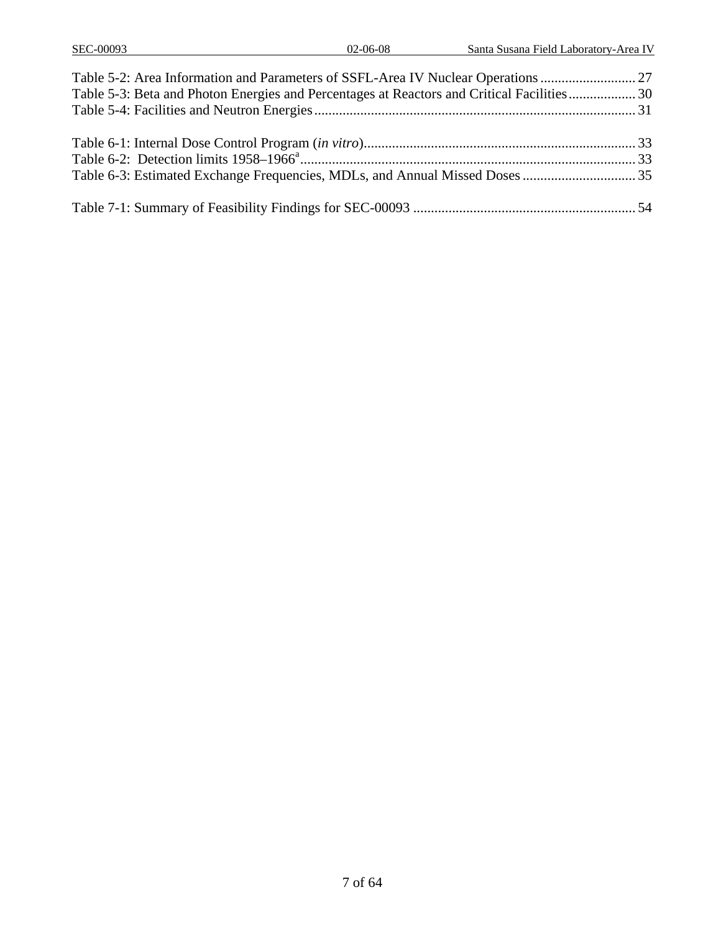| Table 5-3: Beta and Photon Energies and Percentages at Reactors and Critical Facilities30 |  |
|-------------------------------------------------------------------------------------------|--|
|                                                                                           |  |
|                                                                                           |  |
|                                                                                           |  |
|                                                                                           |  |
|                                                                                           |  |
|                                                                                           |  |
|                                                                                           |  |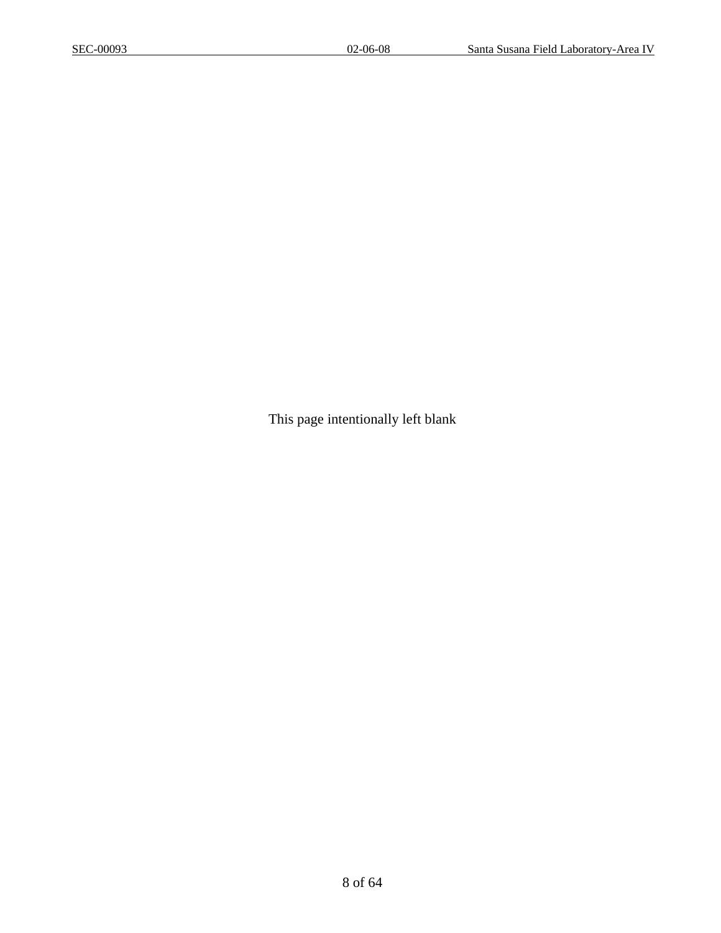This page intentionally left blank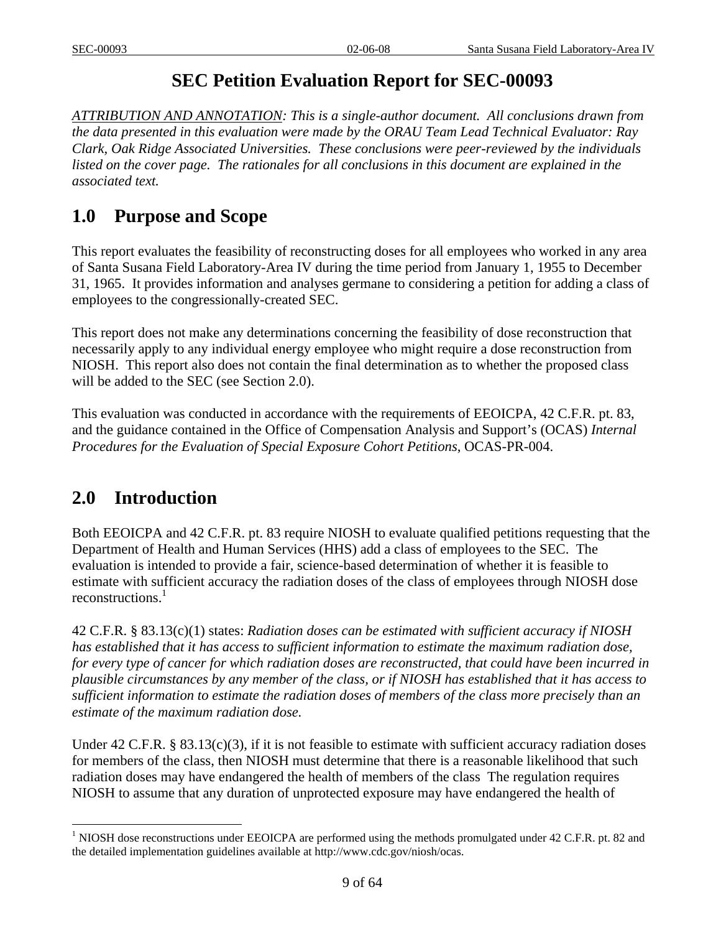## **SEC Petition Evaluation Report for SEC-00093**

*ATTRIBUTION AND ANNOTATION: This is a single-author document. All conclusions drawn from the data presented in this evaluation were made by the ORAU Team Lead Technical Evaluator: Ray Clark, Oak Ridge Associated Universities. These conclusions were peer-reviewed by the individuals listed on the cover page. The rationales for all conclusions in this document are explained in the associated text.* 

## **1.0 Purpose and Scope**

This report evaluates the feasibility of reconstructing doses for all employees who worked in any area of Santa Susana Field Laboratory-Area IV during the time period from January 1, 1955 to December 31, 1965. It provides information and analyses germane to considering a petition for adding a class of employees to the congressionally-created SEC.

This report does not make any determinations concerning the feasibility of dose reconstruction that necessarily apply to any individual energy employee who might require a dose reconstruction from NIOSH. This report also does not contain the final determination as to whether the proposed class will be added to the SEC (see Section 2.0).

This evaluation was conducted in accordance with the requirements of EEOICPA, 42 C.F.R. pt. 83, and the guidance contained in the Office of Compensation Analysis and Support's (OCAS) *Internal Procedures for the Evaluation of Special Exposure Cohort Petitions*, OCAS-PR-004.

## **2.0 Introduction**

 $\overline{a}$ 

Both EEOICPA and 42 C.F.R. pt. 83 require NIOSH to evaluate qualified petitions requesting that the Department of Health and Human Services (HHS) add a class of employees to the SEC. The evaluation is intended to provide a fair, science-based determination of whether it is feasible to estimate with sufficient accuracy the radiation doses of the class of employees through NIOSH dose reconstructions.<sup>1</sup>

42 C.F.R. § 83.13(c)(1) states: *Radiation doses can be estimated with sufficient accuracy if NIOSH has established that it has access to sufficient information to estimate the maximum radiation dose, for every type of cancer for which radiation doses are reconstructed, that could have been incurred in plausible circumstances by any member of the class, or if NIOSH has established that it has access to sufficient information to estimate the radiation doses of members of the class more precisely than an estimate of the maximum radiation dose.* 

Under 42 C.F.R. § 83.13(c)(3), if it is not feasible to estimate with sufficient accuracy radiation doses for members of the class, then NIOSH must determine that there is a reasonable likelihood that such radiation doses may have endangered the health of members of the class The regulation requires NIOSH to assume that any duration of unprotected exposure may have endangered the health of

<sup>&</sup>lt;sup>1</sup> NIOSH dose reconstructions under EEOICPA are performed using the methods promulgated under 42 C.F.R. pt. 82 and the detailed implementation guidelines available at http://www.cdc.gov/niosh/ocas.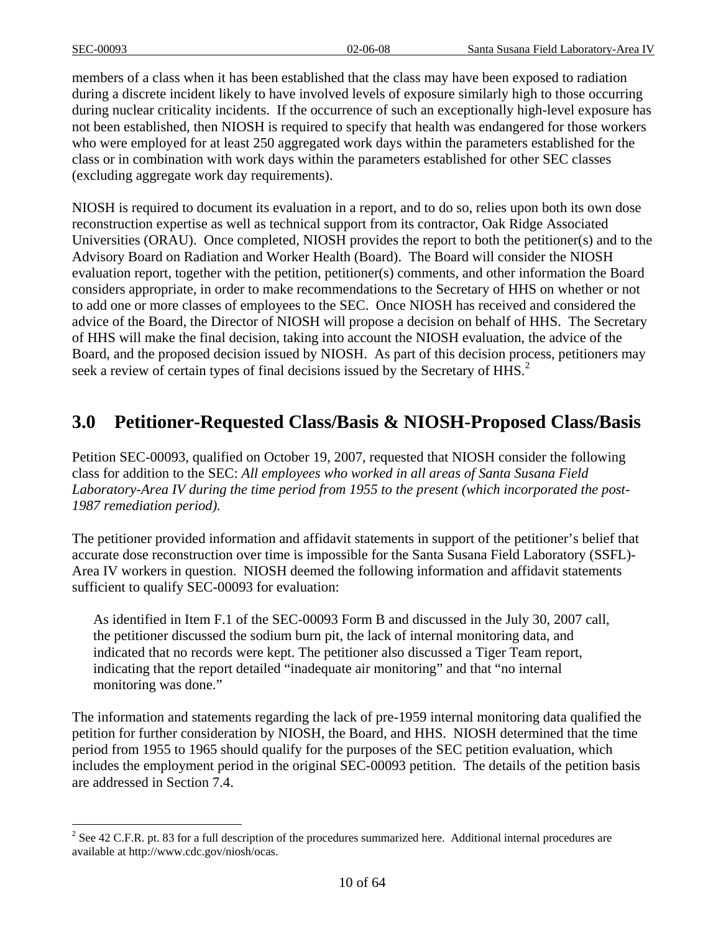| <b>SEC-00093</b> | ብՋ<br>ገገ<br>$06 -$<br>JZ<br>,,,, | santa : |
|------------------|----------------------------------|---------|

members of a class when it has been established that the class may have been exposed to radiation during a discrete incident likely to have involved levels of exposure similarly high to those occurring during nuclear criticality incidents. If the occurrence of such an exceptionally high-level exposure has not been established, then NIOSH is required to specify that health was endangered for those workers who were employed for at least 250 aggregated work days within the parameters established for the class or in combination with work days within the parameters established for other SEC classes (excluding aggregate work day requirements).

seek a review of certain types of final decisions issued by the Secretary of HHS. $^{2}$ NIOSH is required to document its evaluation in a report, and to do so, relies upon both its own dose reconstruction expertise as well as technical support from its contractor, Oak Ridge Associated Universities (ORAU). Once completed, NIOSH provides the report to both the petitioner(s) and to the Advisory Board on Radiation and Worker Health (Board). The Board will consider the NIOSH evaluation report, together with the petition, petitioner(s) comments, and other information the Board considers appropriate, in order to make recommendations to the Secretary of HHS on whether or not to add one or more classes of employees to the SEC. Once NIOSH has received and considered the advice of the Board, the Director of NIOSH will propose a decision on behalf of HHS. The Secretary of HHS will make the final decision, taking into account the NIOSH evaluation, the advice of the Board, and the proposed decision issued by NIOSH. As part of this decision process, petitioners may

## **3.0 Petitioner-Requested Class/Basis & NIOSH-Proposed Class/Basis**

Petition SEC-00093, qualified on October 19, 2007, requested that NIOSH consider the following class for addition to the SEC: *All employees who worked in all areas of Santa Susana Field Laboratory-Area IV during the time period from 1955 to the present (which incorporated the post-1987 remediation period).* 

The petitioner provided information and affidavit statements in support of the petitioner's belief that accurate dose reconstruction over time is impossible for the Santa Susana Field Laboratory (SSFL) Area IV workers in question. NIOSH deemed the following information and affidavit statements sufficient to qualify SEC-00093 for evaluation:

As identified in Item F.1 of the SEC-00093 Form B and discussed in the July 30, 2007 call, the petitioner discussed the sodium burn pit, the lack of internal monitoring data, and indicated that no records were kept. The petitioner also discussed a Tiger Team report, indicating that the report detailed "inadequate air monitoring" and that "no internal monitoring was done."

The information and statements regarding the lack of pre-1959 internal monitoring data qualified the petition for further consideration by NIOSH, the Board, and HHS. NIOSH determined that the time period from 1955 to 1965 should qualify for the purposes of the SEC petition evaluation, which includes the employment period in the original SEC-00093 petition. The details of the petition basis are addressed in Section 7.4.

 $\overline{a}$ 

<sup>&</sup>lt;sup>2</sup> See 42 C.F.R. pt. 83 for a full description of the procedures summarized here. Additional internal procedures are available at http://www.cdc.gov/niosh/ocas.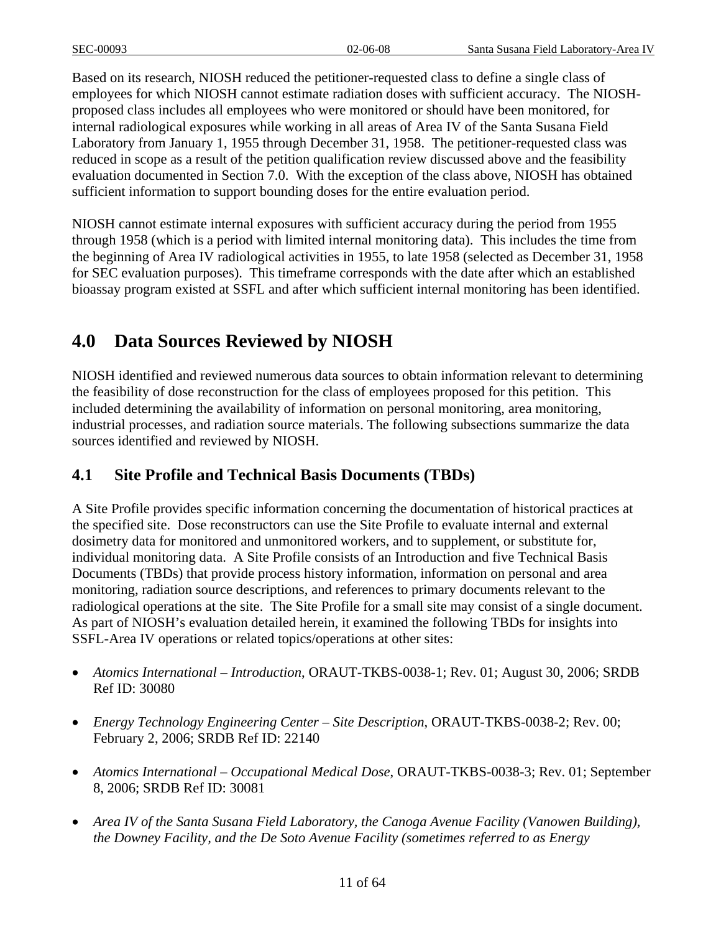| SEC-00093                                                                                                      | $02-06-08$ | Santa Susana Field Laboratory-Area IV |
|----------------------------------------------------------------------------------------------------------------|------------|---------------------------------------|
| Based on its research, NIOSH reduced the petitioner-requested class to define a single class of                |            |                                       |
| employees for which NIOSH cannot estimate radiation doses with sufficient accuracy. The NIOSH-<br>11 11 11 1 1 |            |                                       |

proposed class includes all employees who were monitored or should have been monitored, for internal radiological exposures while working in all areas of Area IV of the Santa Susana Field Laboratory from January 1, 1955 through December 31, 1958. The petitioner-requested class was reduced in scope as a result of the petition qualification review discussed above and the feasibility evaluation documented in Section 7.0. With the exception of the class above, NIOSH has obtained sufficient information to support bounding doses for the entire evaluation period.

NIOSH cannot estimate internal exposures with sufficient accuracy during the period from 1955 through 1958 (which is a period with limited internal monitoring data). This includes the time from the beginning of Area IV radiological activities in 1955, to late 1958 (selected as December 31, 1958 for SEC evaluation purposes). This timeframe corresponds with the date after which an established bioassay program existed at SSFL and after which sufficient internal monitoring has been identified.

## **4.0 Data Sources Reviewed by NIOSH**

NIOSH identified and reviewed numerous data sources to obtain information relevant to determining the feasibility of dose reconstruction for the class of employees proposed for this petition. This included determining the availability of information on personal monitoring, area monitoring, industrial processes, and radiation source materials. The following subsections summarize the data sources identified and reviewed by NIOSH.

## **4.1 Site Profile and Technical Basis Documents (TBDs)**

A Site Profile provides specific information concerning the documentation of historical practices at the specified site. Dose reconstructors can use the Site Profile to evaluate internal and external dosimetry data for monitored and unmonitored workers, and to supplement, or substitute for, individual monitoring data. A Site Profile consists of an Introduction and five Technical Basis Documents (TBDs) that provide process history information, information on personal and area monitoring, radiation source descriptions, and references to primary documents relevant to the radiological operations at the site. The Site Profile for a small site may consist of a single document. As part of NIOSH's evaluation detailed herein, it examined the following TBDs for insights into SSFL-Area IV operations or related topics/operations at other sites:

- *Atomics International Introduction*, ORAUT-TKBS-0038-1; Rev. 01; August 30, 2006; SRDB Ref ID: 30080
- • *Energy Technology Engineering Center Site Description*, ORAUT-TKBS-0038-2; Rev. 00; February 2, 2006; SRDB Ref ID: 22140
- • *Atomics International Occupational Medical Dose*, ORAUT-TKBS-0038-3; Rev. 01; September 8, 2006; SRDB Ref ID: 30081
- Area IV of the Santa Susana Field Laboratory, the Canoga Avenue Facility (Vanowen Building), *the Downey Facility, and the De Soto Avenue Facility (sometimes referred to as Energy*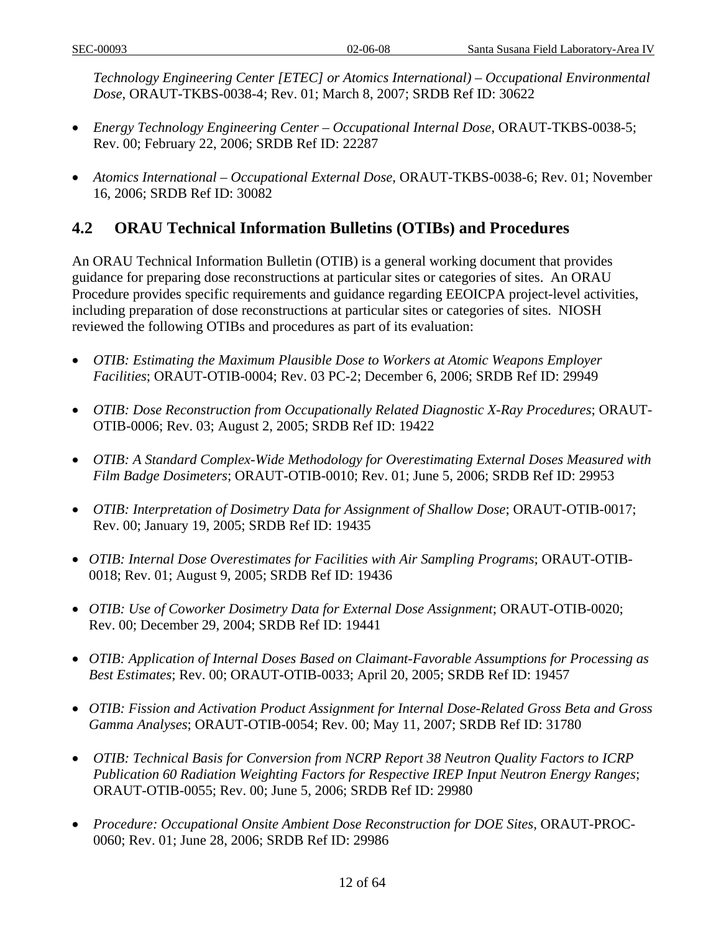*Technology Engineering Center [ETEC] or Atomics International) – Occupational Environmental Dose*, ORAUT-TKBS-0038-4; Rev. 01; March 8, 2007; SRDB Ref ID: 30622

- *Energy Technology Engineering Center Occupational Internal Dose*, ORAUT-TKBS-0038-5; Rev. 00; February 22, 2006; SRDB Ref ID: 22287
- • *Atomics International Occupational External Dose*, ORAUT-TKBS-0038-6; Rev. 01; November 16, 2006; SRDB Ref ID: 30082

## **4.2 ORAU Technical Information Bulletins (OTIBs) and Procedures**

An ORAU Technical Information Bulletin (OTIB) is a general working document that provides guidance for preparing dose reconstructions at particular sites or categories of sites. An ORAU Procedure provides specific requirements and guidance regarding EEOICPA project-level activities, including preparation of dose reconstructions at particular sites or categories of sites. NIOSH reviewed the following OTIBs and procedures as part of its evaluation:

- • *OTIB: Estimating the Maximum Plausible Dose to Workers at Atomic Weapons Employer Facilities*; ORAUT-OTIB-0004; Rev. 03 PC-2; December 6, 2006; SRDB Ref ID: 29949
- • *OTIB: Dose Reconstruction from Occupationally Related Diagnostic X-Ray Procedures*; ORAUT-OTIB-0006; Rev. 03; August 2, 2005; SRDB Ref ID: 19422
- • *OTIB: A Standard Complex-Wide Methodology for Overestimating External Doses Measured with Film Badge Dosimeters*; ORAUT-OTIB-0010; Rev. 01; June 5, 2006; SRDB Ref ID: 29953
- • *OTIB: Interpretation of Dosimetry Data for Assignment of Shallow Dose*; ORAUT-OTIB-0017; Rev. 00; January 19, 2005; SRDB Ref ID: 19435
- • *OTIB: Internal Dose Overestimates for Facilities with Air Sampling Programs*; ORAUT-OTIB-0018; Rev. 01; August 9, 2005; SRDB Ref ID: 19436
- • *OTIB: Use of Coworker Dosimetry Data for External Dose Assignment*; ORAUT-OTIB-0020; Rev. 00; December 29, 2004; SRDB Ref ID: 19441
- • *OTIB: Application of Internal Doses Based on Claimant-Favorable Assumptions for Processing as Best Estimates*; Rev. 00; ORAUT-OTIB-0033; April 20, 2005; SRDB Ref ID: 19457
- • *OTIB: Fission and Activation Product Assignment for Internal Dose-Related Gross Beta and Gross Gamma Analyses*; ORAUT-OTIB-0054; Rev. 00; May 11, 2007; SRDB Ref ID: 31780
- • *OTIB: Technical Basis for Conversion from NCRP Report 38 Neutron Quality Factors to ICRP Publication 60 Radiation Weighting Factors for Respective IREP Input Neutron Energy Ranges*; ORAUT-OTIB-0055; Rev. 00; June 5, 2006; SRDB Ref ID: 29980
- *Procedure: Occupational Onsite Ambient Dose Reconstruction for DOE Sites, ORAUT-PROC-*0060; Rev. 01; June 28, 2006; SRDB Ref ID: 29986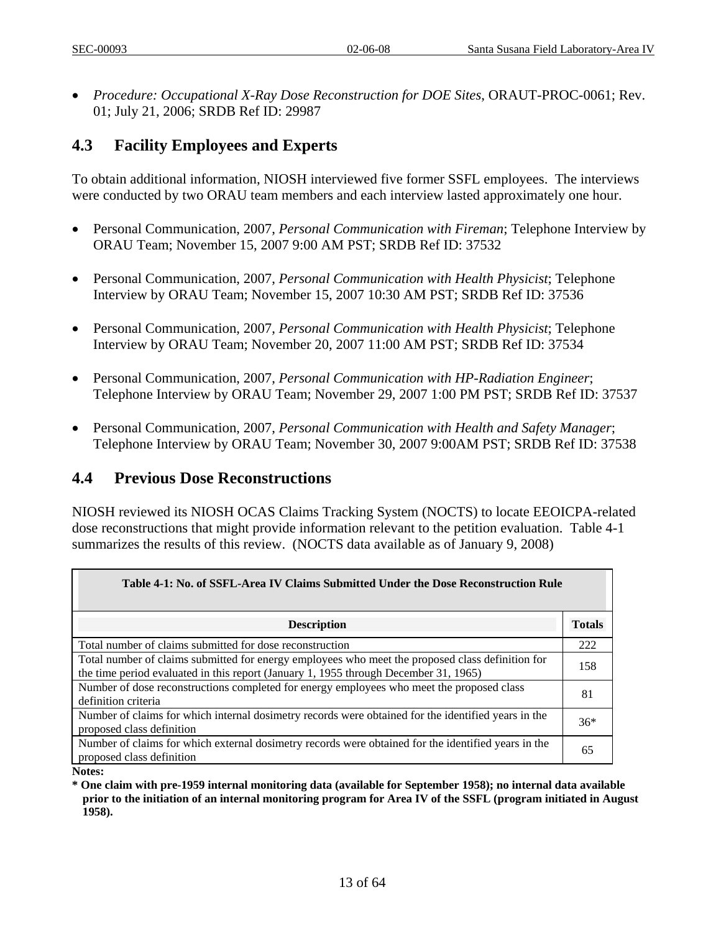• *Procedure: Occupational X-Ray Dose Reconstruction for DOE Sites*, ORAUT-PROC-0061; Rev. 01; July 21, 2006; SRDB Ref ID: 29987

## **4.3 Facility Employees and Experts**

To obtain additional information, NIOSH interviewed five former SSFL employees. The interviews were conducted by two ORAU team members and each interview lasted approximately one hour.

- • Personal Communication, 2007, *Personal Communication with Fireman*; Telephone Interview by ORAU Team; November 15, 2007 9:00 AM PST; SRDB Ref ID: 37532
- Personal Communication, 2007, *Personal Communication with Health Physicist*; Telephone Interview by ORAU Team; November 15, 2007 10:30 AM PST; SRDB Ref ID: 37536
- • Personal Communication, 2007, *Personal Communication with Health Physicist*; Telephone Interview by ORAU Team; November 20, 2007 11:00 AM PST; SRDB Ref ID: 37534
- • Personal Communication, 2007, *Personal Communication with HP-Radiation Engineer*; Telephone Interview by ORAU Team; November 29, 2007 1:00 PM PST; SRDB Ref ID: 37537
- • Personal Communication, 2007, *Personal Communication with Health and Safety Manager*; Telephone Interview by ORAU Team; November 30, 2007 9:00AM PST; SRDB Ref ID: 37538

## **4.4 Previous Dose Reconstructions**

NIOSH reviewed its NIOSH OCAS Claims Tracking System (NOCTS) to locate EEOICPA-related dose reconstructions that might provide information relevant to the petition evaluation. Table 4-1 summarizes the results of this review. (NOCTS data available as of January 9, 2008)

| Table 4-1: No. of SSFL-Area IV Claims Submitted Under the Dose Reconstruction Rule                                                                                                       |               |
|------------------------------------------------------------------------------------------------------------------------------------------------------------------------------------------|---------------|
| <b>Description</b>                                                                                                                                                                       | <b>Totals</b> |
| Total number of claims submitted for dose reconstruction                                                                                                                                 | 222           |
| Total number of claims submitted for energy employees who meet the proposed class definition for<br>the time period evaluated in this report (January 1, 1955 through December 31, 1965) | 158           |
| Number of dose reconstructions completed for energy employees who meet the proposed class<br>definition criteria                                                                         | 81            |
| Number of claims for which internal dosimetry records were obtained for the identified years in the<br>proposed class definition                                                         | $36*$         |
| Number of claims for which external dosimetry records were obtained for the identified years in the<br>proposed class definition                                                         | 65            |

**Notes:** 

**\* One claim with pre-1959 internal monitoring data (available for September 1958); no internal data available prior to the initiation of an internal monitoring program for Area IV of the SSFL (program initiated in August 1958).**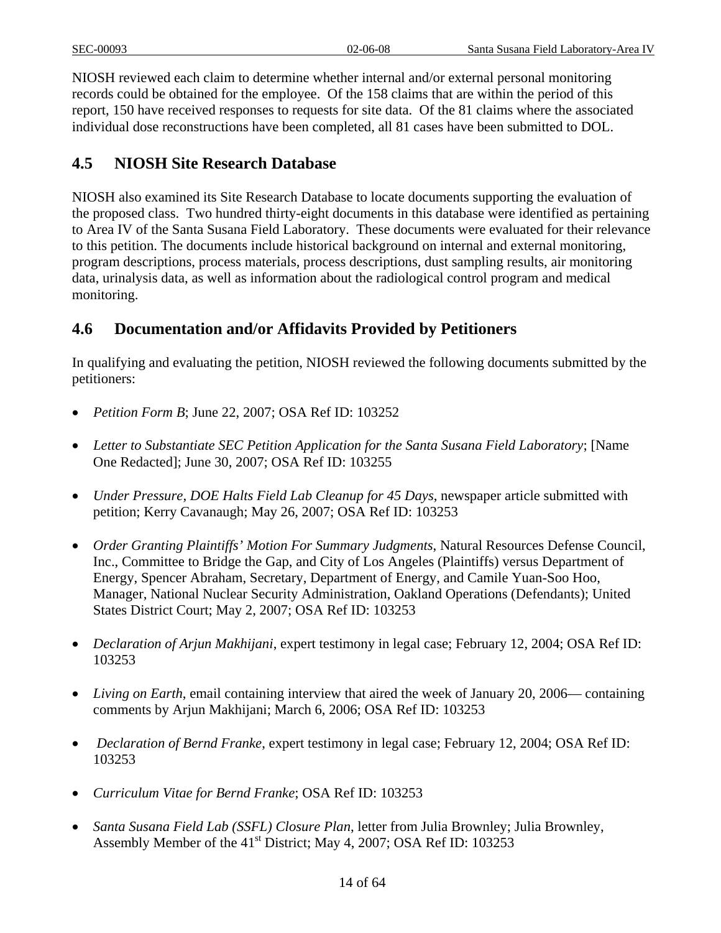| SEC-00093 | 02-06-08 | Santa Susana Field Laboratory-Area IV |
|-----------|----------|---------------------------------------|
|           |          |                                       |

NIOSH reviewed each claim to determine whether internal and/or external personal monitoring records could be obtained for the employee. Of the 158 claims that are within the period of this report, 150 have received responses to requests for site data. Of the 81 claims where the associated individual dose reconstructions have been completed, all 81 cases have been submitted to DOL.

## **4.5 NIOSH Site Research Database**

NIOSH also examined its Site Research Database to locate documents supporting the evaluation of the proposed class. Two hundred thirty-eight documents in this database were identified as pertaining to Area IV of the Santa Susana Field Laboratory. These documents were evaluated for their relevance to this petition. The documents include historical background on internal and external monitoring, program descriptions, process materials, process descriptions, dust sampling results, air monitoring data, urinalysis data, as well as information about the radiological control program and medical monitoring.

## **4.6 Documentation and/or Affidavits Provided by Petitioners**

In qualifying and evaluating the petition, NIOSH reviewed the following documents submitted by the petitioners:

- • *Petition Form B*; June 22, 2007; OSA Ref ID: 103252
- • *Letter to Substantiate SEC Petition Application for the Santa Susana Field Laboratory*; [Name One Redacted]; June 30, 2007; OSA Ref ID: 103255
- *Under Pressure, DOE Halts Field Lab Cleanup for 45 Days, newspaper article submitted with* petition; Kerry Cavanaugh; May 26, 2007; OSA Ref ID: 103253
- *Order Granting Plaintiffs' Motion For Summary Judgments*, Natural Resources Defense Council, Inc., Committee to Bridge the Gap, and City of Los Angeles (Plaintiffs) versus Department of Energy, Spencer Abraham, Secretary, Department of Energy, and Camile Yuan-Soo Hoo, Manager, National Nuclear Security Administration, Oakland Operations (Defendants); United States District Court; May 2, 2007; OSA Ref ID: 103253
- *Declaration of Arjun Makhijani*, expert testimony in legal case; February 12, 2004; OSA Ref ID: 103253
- *Living on Earth*, email containing interview that aired the week of January 20, 2006— containing comments by Arjun Makhijani; March 6, 2006; OSA Ref ID: 103253
- *Declaration of Bernd Franke*, expert testimony in legal case; February 12, 2004; OSA Ref ID: 103253
- • *Curriculum Vitae for Bernd Franke*; OSA Ref ID: 103253
- • *Santa Susana Field Lab (SSFL) Closure Plan*, letter from Julia Brownley; Julia Brownley, Assembly Member of the 41<sup>st</sup> District; May 4, 2007; OSA Ref ID: 103253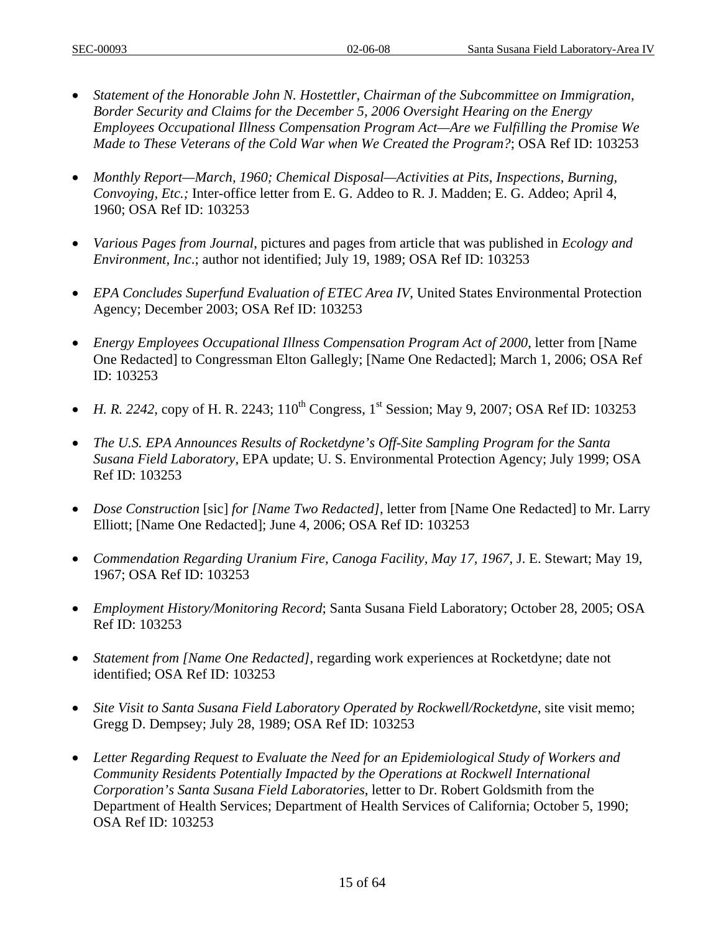- Statement of the Honorable John N. Hostettler, Chairman of the Subcommittee on Immigration, *Border Security and Claims for the December 5, 2006 Oversight Hearing on the Energy Employees Occupational Illness Compensation Program Act—Are we Fulfilling the Promise We Made to These Veterans of the Cold War when We Created the Program?*; OSA Ref ID: 103253
- *Monthly Report—March, 1960; Chemical Disposal—Activities at Pits, Inspections, Burning, Convoying, Etc.;* Inter-office letter from E. G. Addeo to R. J. Madden; E. G. Addeo; April 4, 1960; OSA Ref ID: 103253
- • *Various Pages from Journal*, pictures and pages from article that was published in *Ecology and Environment, Inc*.; author not identified; July 19, 1989; OSA Ref ID: 103253
- *EPA Concludes Superfund Evaluation of ETEC Area IV*, United States Environmental Protection Agency; December 2003; OSA Ref ID: 103253
- *Energy Employees Occupational Illness Compensation Program Act of 2000*, letter from [Name One Redacted] to Congressman Elton Gallegly; [Name One Redacted]; March 1, 2006; OSA Ref ID: 103253
- *H. R. 2242*, copy of H. R. 2243;  $110^{th}$  Congress, 1<sup>st</sup> Session; May 9, 2007; OSA Ref ID: 103253
- *The U.S. EPA Announces Results of Rocketdyne's Off-Site Sampling Program for the Santa Susana Field Laboratory*, EPA update; U. S. Environmental Protection Agency; July 1999; OSA Ref ID: 103253
- • *Dose Construction* [sic] *for [Name Two Redacted]*, letter from [Name One Redacted] to Mr. Larry Elliott; [Name One Redacted]; June 4, 2006; OSA Ref ID: 103253
- • *Commendation Regarding Uranium Fire, Canoga Facility, May 17, 1967*, J. E. Stewart; May 19, 1967; OSA Ref ID: 103253
- • *Employment History/Monitoring Record*; Santa Susana Field Laboratory; October 28, 2005; OSA Ref ID: 103253
- • *Statement from [Name One Redacted]*, regarding work experiences at Rocketdyne; date not identified; OSA Ref ID: 103253
- *Site Visit to Santa Susana Field Laboratory Operated by Rockwell/Rocketdyne*, site visit memo; Gregg D. Dempsey; July 28, 1989; OSA Ref ID: 103253
- • *Letter Regarding Request to Evaluate the Need for an Epidemiological Study of Workers and Community Residents Potentially Impacted by the Operations at Rockwell International Corporation's Santa Susana Field Laboratories*, letter to Dr. Robert Goldsmith from the Department of Health Services; Department of Health Services of California; October 5, 1990; OSA Ref ID: 103253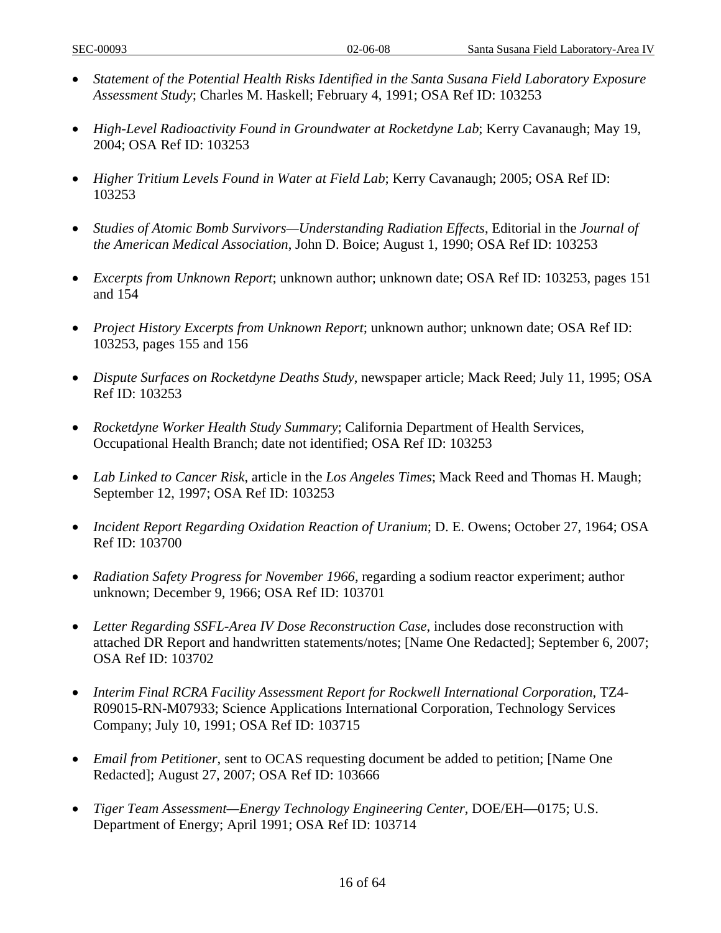- • *Statement of the Potential Health Risks Identified in the Santa Susana Field Laboratory Exposure Assessment Study*; Charles M. Haskell; February 4, 1991; OSA Ref ID: 103253
- • *High-Level Radioactivity Found in Groundwater at Rocketdyne Lab*; Kerry Cavanaugh; May 19, 2004; OSA Ref ID: 103253
- • *Higher Tritium Levels Found in Water at Field Lab*; Kerry Cavanaugh; 2005; OSA Ref ID: 103253
- • *Studies of Atomic Bomb Survivors—Understanding Radiation Effects*, Editorial in the *Journal of the American Medical Association*, John D. Boice; August 1, 1990; OSA Ref ID: 103253
- *Excerpts from Unknown Report*; unknown author; unknown date; OSA Ref ID: 103253, pages 151 and 154
- *Project History Excerpts from Unknown Report*; unknown author; unknown date; OSA Ref ID: 103253, pages 155 and 156
- • *Dispute Surfaces on Rocketdyne Deaths Study*, newspaper article; Mack Reed; July 11, 1995; OSA Ref ID: 103253
- • *Rocketdyne Worker Health Study Summary*; California Department of Health Services, Occupational Health Branch; date not identified; OSA Ref ID: 103253
- • *Lab Linked to Cancer Risk*, article in the *Los Angeles Times*; Mack Reed and Thomas H. Maugh; September 12, 1997; OSA Ref ID: 103253
- *Incident Report Regarding Oxidation Reaction of Uranium*; D. E. Owens; October 27, 1964; OSA Ref ID: 103700
- *Radiation Safety Progress for November 1966*, regarding a sodium reactor experiment; author unknown; December 9, 1966; OSA Ref ID: 103701
- Letter Regarding SSFL-Area IV Dose Reconstruction Case, includes dose reconstruction with attached DR Report and handwritten statements/notes; [Name One Redacted]; September 6, 2007; OSA Ref ID: 103702
- • *Interim Final RCRA Facility Assessment Report for Rockwell International Corporation*, TZ4 R09015-RN-M07933; Science Applications International Corporation, Technology Services Company; July 10, 1991; OSA Ref ID: 103715
- *Email from Petitioner*, sent to OCAS requesting document be added to petition; [Name One Redacted]; August 27, 2007; OSA Ref ID: 103666
- • *Tiger Team Assessment—Energy Technology Engineering Center*, DOE/EH—0175; U.S. Department of Energy; April 1991; OSA Ref ID: 103714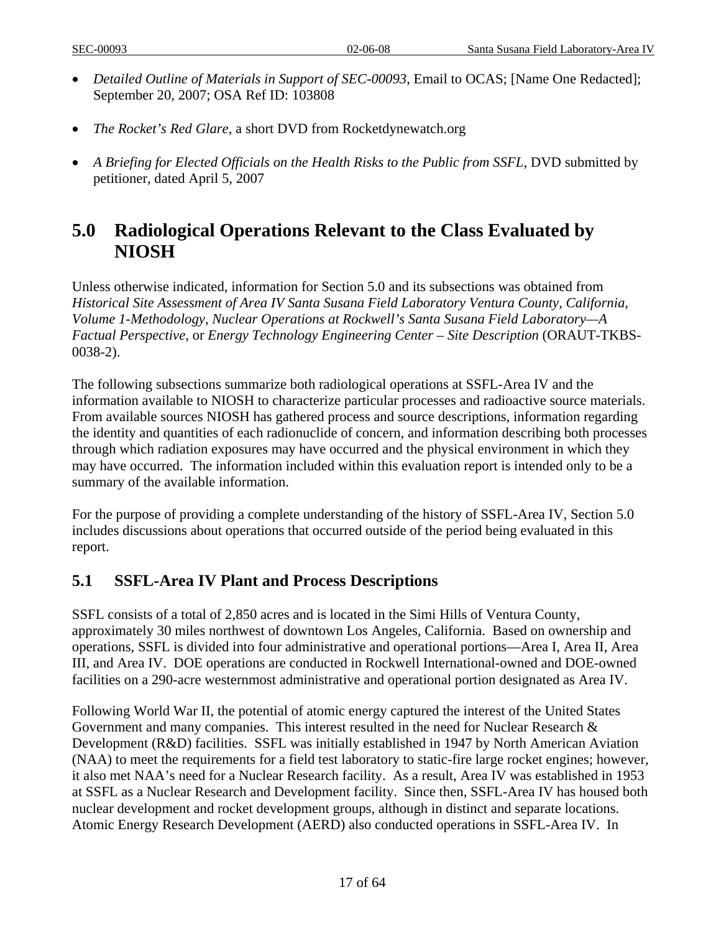- *Detailed Outline of Materials in Support of SEC-00093*, Email to OCAS; [Name One Redacted]; September 20, 2007; OSA Ref ID: 103808
- *The Rocket's Red Glare*, a short DVD from Rocketdynewatch.org
- A Briefing for Elected Officials on the Health Risks to the Public from SSFL, DVD submitted by petitioner, dated April 5, 2007

## **5.0 Radiological Operations Relevant to the Class Evaluated by NIOSH**

Unless otherwise indicated, information for Section 5.0 and its subsections was obtained from *Historical Site Assessment of Area IV Santa Susana Field Laboratory Ventura County, California, Volume 1-Methodology*, *Nuclear Operations at Rockwell's Santa Susana Field Laboratory—A Factual Perspective*, or *Energy Technology Engineering Center – Site Description* (ORAUT-TKBS-0038-2).

The following subsections summarize both radiological operations at SSFL-Area IV and the information available to NIOSH to characterize particular processes and radioactive source materials. From available sources NIOSH has gathered process and source descriptions, information regarding the identity and quantities of each radionuclide of concern, and information describing both processes through which radiation exposures may have occurred and the physical environment in which they may have occurred. The information included within this evaluation report is intended only to be a summary of the available information.

For the purpose of providing a complete understanding of the history of SSFL-Area IV, Section 5.0 includes discussions about operations that occurred outside of the period being evaluated in this report.

## **5.1 SSFL-Area IV Plant and Process Descriptions**

SSFL consists of a total of 2,850 acres and is located in the Simi Hills of Ventura County, approximately 30 miles northwest of downtown Los Angeles, California. Based on ownership and operations, SSFL is divided into four administrative and operational portions—Area I, Area II, Area III, and Area IV. DOE operations are conducted in Rockwell International-owned and DOE-owned facilities on a 290-acre westernmost administrative and operational portion designated as Area IV.

Following World War II, the potential of atomic energy captured the interest of the United States Government and many companies. This interest resulted in the need for Nuclear Research & Development (R&D) facilities. SSFL was initially established in 1947 by North American Aviation (NAA) to meet the requirements for a field test laboratory to static-fire large rocket engines; however, it also met NAA's need for a Nuclear Research facility. As a result, Area IV was established in 1953 at SSFL as a Nuclear Research and Development facility. Since then, SSFL-Area IV has housed both nuclear development and rocket development groups, although in distinct and separate locations. Atomic Energy Research Development (AERD) also conducted operations in SSFL-Area IV. In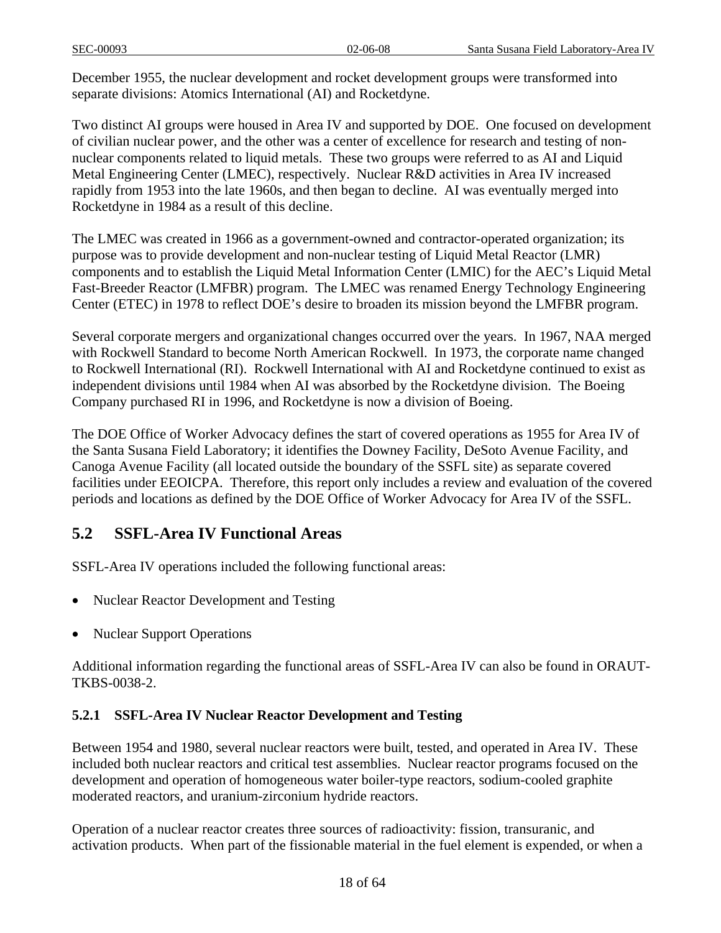December 1955, the nuclear development and rocket development groups were transformed into separate divisions: Atomics International (AI) and Rocketdyne.

Two distinct AI groups were housed in Area IV and supported by DOE. One focused on development of civilian nuclear power, and the other was a center of excellence for research and testing of nonnuclear components related to liquid metals. These two groups were referred to as AI and Liquid Metal Engineering Center (LMEC), respectively. Nuclear R&D activities in Area IV increased rapidly from 1953 into the late 1960s, and then began to decline. AI was eventually merged into Rocketdyne in 1984 as a result of this decline.

The LMEC was created in 1966 as a government-owned and contractor-operated organization; its purpose was to provide development and non-nuclear testing of Liquid Metal Reactor (LMR) components and to establish the Liquid Metal Information Center (LMIC) for the AEC's Liquid Metal Fast-Breeder Reactor (LMFBR) program. The LMEC was renamed Energy Technology Engineering Center (ETEC) in 1978 to reflect DOE's desire to broaden its mission beyond the LMFBR program.

Several corporate mergers and organizational changes occurred over the years. In 1967, NAA merged with Rockwell Standard to become North American Rockwell. In 1973, the corporate name changed to Rockwell International (RI). Rockwell International with AI and Rocketdyne continued to exist as independent divisions until 1984 when AI was absorbed by the Rocketdyne division. The Boeing Company purchased RI in 1996, and Rocketdyne is now a division of Boeing.

The DOE Office of Worker Advocacy defines the start of covered operations as 1955 for Area IV of the Santa Susana Field Laboratory; it identifies the Downey Facility, DeSoto Avenue Facility, and Canoga Avenue Facility (all located outside the boundary of the SSFL site) as separate covered facilities under EEOICPA. Therefore, this report only includes a review and evaluation of the covered periods and locations as defined by the DOE Office of Worker Advocacy for Area IV of the SSFL.

## **5.2 SSFL-Area IV Functional Areas**

SSFL-Area IV operations included the following functional areas:

- Nuclear Reactor Development and Testing
- Nuclear Support Operations

Additional information regarding the functional areas of SSFL-Area IV can also be found in ORAUT-TKBS-0038-2.

## **5.2.1 SSFL-Area IV Nuclear Reactor Development and Testing**

Between 1954 and 1980, several nuclear reactors were built, tested, and operated in Area IV. These included both nuclear reactors and critical test assemblies. Nuclear reactor programs focused on the development and operation of homogeneous water boiler-type reactors, sodium-cooled graphite moderated reactors, and uranium-zirconium hydride reactors.

Operation of a nuclear reactor creates three sources of radioactivity: fission, transuranic, and activation products. When part of the fissionable material in the fuel element is expended, or when a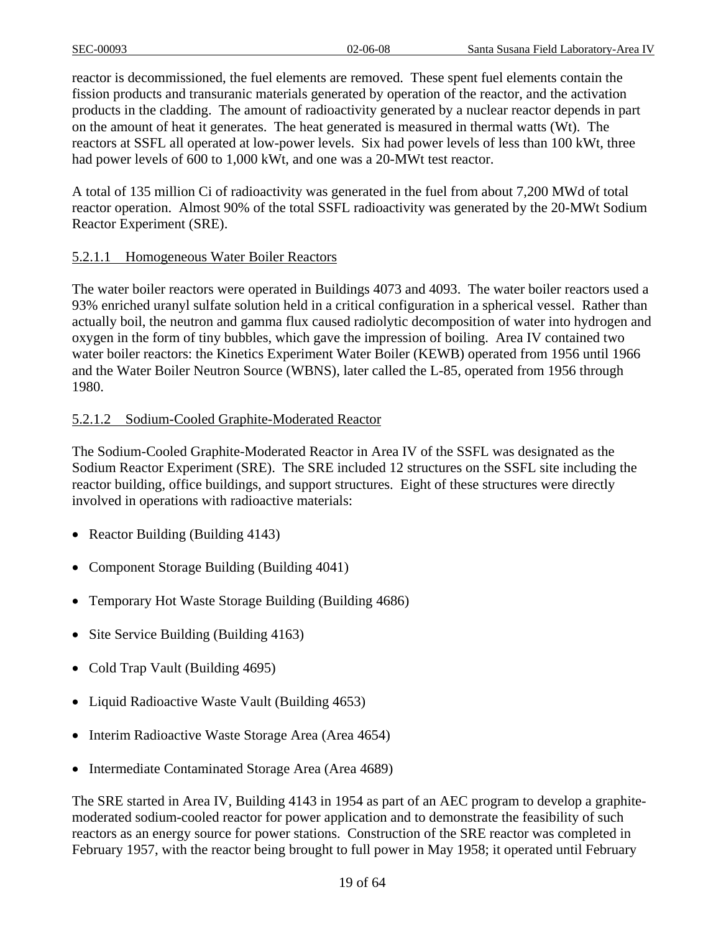| SEC-00093 | 02-06-08 | Santa Susana Field Laboratory-Area IV |  |
|-----------|----------|---------------------------------------|--|

reactor is decommissioned, the fuel elements are removed. These spent fuel elements contain the fission products and transuranic materials generated by operation of the reactor, and the activation products in the cladding. The amount of radioactivity generated by a nuclear reactor depends in part on the amount of heat it generates. The heat generated is measured in thermal watts (Wt). The reactors at SSFL all operated at low-power levels. Six had power levels of less than 100 kWt, three had power levels of 600 to 1,000 kWt, and one was a 20-MWt test reactor.

A total of 135 million Ci of radioactivity was generated in the fuel from about 7,200 MWd of total reactor operation. Almost 90% of the total SSFL radioactivity was generated by the 20-MWt Sodium Reactor Experiment (SRE).

#### 5.2.1.1 Homogeneous Water Boiler Reactors

The water boiler reactors were operated in Buildings 4073 and 4093. The water boiler reactors used a 93% enriched uranyl sulfate solution held in a critical configuration in a spherical vessel. Rather than actually boil, the neutron and gamma flux caused radiolytic decomposition of water into hydrogen and oxygen in the form of tiny bubbles, which gave the impression of boiling. Area IV contained two water boiler reactors: the Kinetics Experiment Water Boiler (KEWB) operated from 1956 until 1966 and the Water Boiler Neutron Source (WBNS), later called the L-85, operated from 1956 through 1980.

### 5.2.1.2 Sodium-Cooled Graphite-Moderated Reactor

The Sodium-Cooled Graphite-Moderated Reactor in Area IV of the SSFL was designated as the Sodium Reactor Experiment (SRE). The SRE included 12 structures on the SSFL site including the reactor building, office buildings, and support structures. Eight of these structures were directly involved in operations with radioactive materials:

- Reactor Building (Building 4143)
- Component Storage Building (Building 4041)
- Temporary Hot Waste Storage Building (Building 4686)
- Site Service Building (Building 4163)
- Cold Trap Vault (Building 4695)
- Liquid Radioactive Waste Vault (Building 4653)
- Interim Radioactive Waste Storage Area (Area 4654)
- Intermediate Contaminated Storage Area (Area 4689)

The SRE started in Area IV, Building 4143 in 1954 as part of an AEC program to develop a graphitemoderated sodium-cooled reactor for power application and to demonstrate the feasibility of such reactors as an energy source for power stations. Construction of the SRE reactor was completed in February 1957, with the reactor being brought to full power in May 1958; it operated until February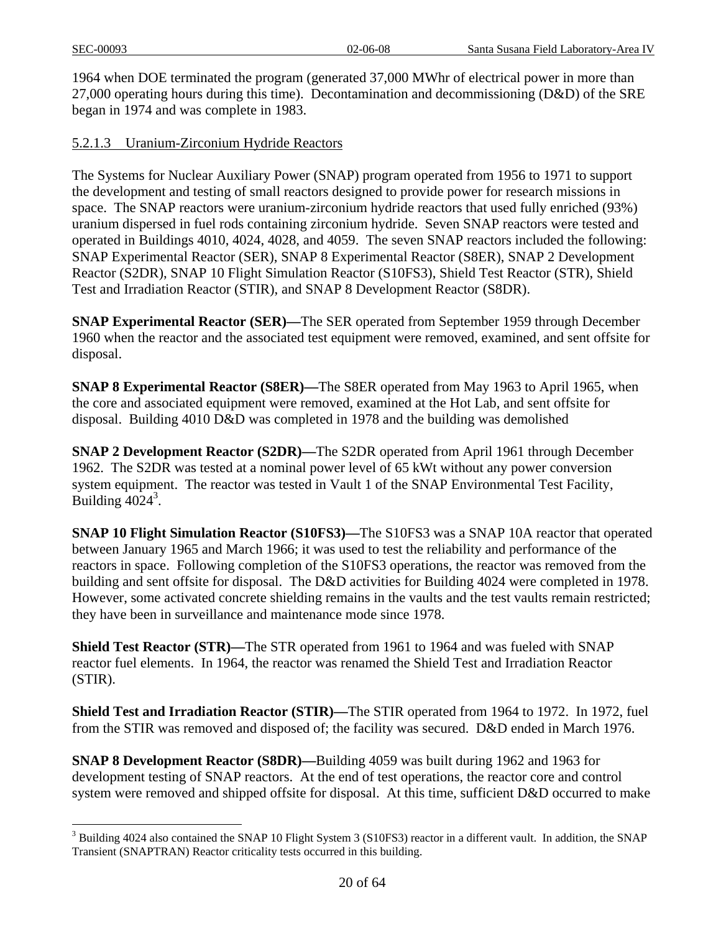1964 when DOE terminated the program (generated 37,000 MWhr of electrical power in more than 27,000 operating hours during this time). Decontamination and decommissioning (D&D) of the SRE began in 1974 and was complete in 1983.

### 5.2.1.3 Uranium-Zirconium Hydride Reactors

The Systems for Nuclear Auxiliary Power (SNAP) program operated from 1956 to 1971 to support the development and testing of small reactors designed to provide power for research missions in space. The SNAP reactors were uranium-zirconium hydride reactors that used fully enriched (93%) uranium dispersed in fuel rods containing zirconium hydride. Seven SNAP reactors were tested and operated in Buildings 4010, 4024, 4028, and 4059. The seven SNAP reactors included the following: SNAP Experimental Reactor (SER), SNAP 8 Experimental Reactor (S8ER), SNAP 2 Development Reactor (S2DR), SNAP 10 Flight Simulation Reactor (S10FS3), Shield Test Reactor (STR), Shield Test and Irradiation Reactor (STIR), and SNAP 8 Development Reactor (S8DR).

**SNAP Experimental Reactor (SER)—**The SER operated from September 1959 through December 1960 when the reactor and the associated test equipment were removed, examined, and sent offsite for disposal.

**SNAP 8 Experimental Reactor (S8ER)—**The S8ER operated from May 1963 to April 1965, when the core and associated equipment were removed, examined at the Hot Lab, and sent offsite for disposal. Building 4010 D&D was completed in 1978 and the building was demolished

**SNAP 2 Development Reactor (S2DR)—**The S2DR operated from April 1961 through December 1962. The S2DR was tested at a nominal power level of 65 kWt without any power conversion system equipment. The reactor was tested in Vault 1 of the SNAP Environmental Test Facility, Building  $4024^3$ .

**SNAP 10 Flight Simulation Reactor (S10FS3)—**The S10FS3 was a SNAP 10A reactor that operated between January 1965 and March 1966; it was used to test the reliability and performance of the reactors in space. Following completion of the S10FS3 operations, the reactor was removed from the building and sent offsite for disposal. The D&D activities for Building 4024 were completed in 1978. However, some activated concrete shielding remains in the vaults and the test vaults remain restricted; they have been in surveillance and maintenance mode since 1978.

**Shield Test Reactor (STR)—**The STR operated from 1961 to 1964 and was fueled with SNAP reactor fuel elements. In 1964, the reactor was renamed the Shield Test and Irradiation Reactor (STIR).

**Shield Test and Irradiation Reactor (STIR)—**The STIR operated from 1964 to 1972. In 1972, fuel from the STIR was removed and disposed of; the facility was secured. D&D ended in March 1976.

**SNAP 8 Development Reactor (S8DR)—**Building 4059 was built during 1962 and 1963 for development testing of SNAP reactors. At the end of test operations, the reactor core and control system were removed and shipped offsite for disposal. At this time, sufficient D&D occurred to make

 $\overline{a}$  $3$  Building 4024 also contained the SNAP 10 Flight System 3 (S10FS3) reactor in a different vault. In addition, the SNAP Transient (SNAPTRAN) Reactor criticality tests occurred in this building.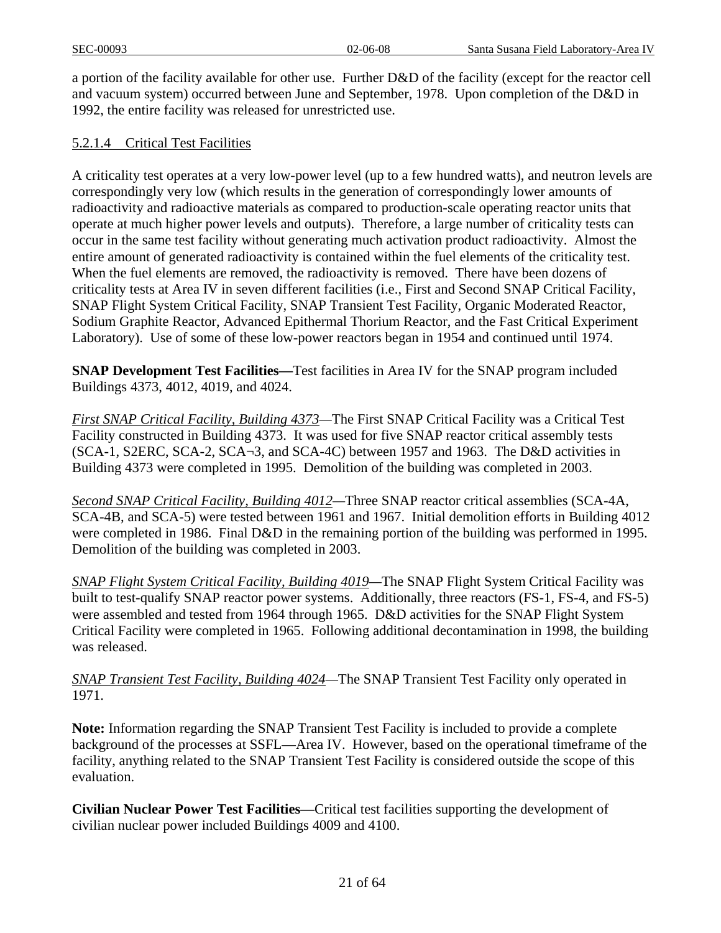a portion of the facility available for other use. Further D&D of the facility (except for the reactor cell and vacuum system) occurred between June and September, 1978. Upon completion of the D&D in 1992, the entire facility was released for unrestricted use.

### 5.2.1.4 Critical Test Facilities

A criticality test operates at a very low-power level (up to a few hundred watts), and neutron levels are correspondingly very low (which results in the generation of correspondingly lower amounts of radioactivity and radioactive materials as compared to production-scale operating reactor units that operate at much higher power levels and outputs). Therefore, a large number of criticality tests can occur in the same test facility without generating much activation product radioactivity. Almost the entire amount of generated radioactivity is contained within the fuel elements of the criticality test. When the fuel elements are removed, the radioactivity is removed. There have been dozens of criticality tests at Area IV in seven different facilities (i.e., First and Second SNAP Critical Facility, SNAP Flight System Critical Facility, SNAP Transient Test Facility, Organic Moderated Reactor, Sodium Graphite Reactor, Advanced Epithermal Thorium Reactor, and the Fast Critical Experiment Laboratory). Use of some of these low-power reactors began in 1954 and continued until 1974.

**SNAP Development Test Facilities—**Test facilities in Area IV for the SNAP program included Buildings 4373, 4012, 4019, and 4024.

*First SNAP Critical Facility, Building 4373—*The First SNAP Critical Facility was a Critical Test Facility constructed in Building 4373. It was used for five SNAP reactor critical assembly tests (SCA-1, S2ERC, SCA-2, SCA¬3, and SCA-4C) between 1957 and 1963. The D&D activities in Building 4373 were completed in 1995. Demolition of the building was completed in 2003.

*Second SNAP Critical Facility, Building 4012—*Three SNAP reactor critical assemblies (SCA-4A, SCA-4B, and SCA-5) were tested between 1961 and 1967. Initial demolition efforts in Building 4012 were completed in 1986. Final D&D in the remaining portion of the building was performed in 1995. Demolition of the building was completed in 2003.

*SNAP Flight System Critical Facility, Building 4019—*The SNAP Flight System Critical Facility was built to test-qualify SNAP reactor power systems. Additionally, three reactors (FS-1, FS-4, and FS-5) were assembled and tested from 1964 through 1965. D&D activities for the SNAP Flight System Critical Facility were completed in 1965. Following additional decontamination in 1998, the building was released.

*SNAP Transient Test Facility, Building 4024—*The SNAP Transient Test Facility only operated in 1971.

**Note:** Information regarding the SNAP Transient Test Facility is included to provide a complete background of the processes at SSFL—Area IV. However, based on the operational timeframe of the facility, anything related to the SNAP Transient Test Facility is considered outside the scope of this evaluation.

**Civilian Nuclear Power Test Facilities—**Critical test facilities supporting the development of civilian nuclear power included Buildings 4009 and 4100.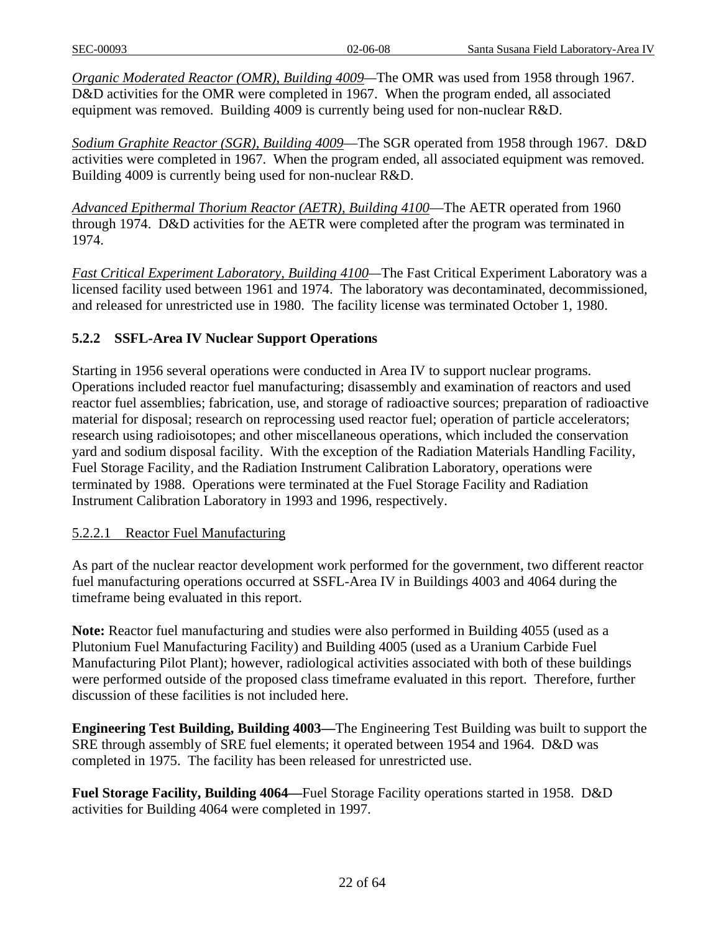*Organic Moderated Reactor (OMR), Building 4009—*The OMR was used from 1958 through 1967. D&D activities for the OMR were completed in 1967. When the program ended, all associated equipment was removed. Building 4009 is currently being used for non-nuclear R&D.

*Sodium Graphite Reactor (SGR), Building 4009*—The SGR operated from 1958 through 1967. D&D activities were completed in 1967. When the program ended, all associated equipment was removed. Building 4009 is currently being used for non-nuclear R&D.

*Advanced Epithermal Thorium Reactor (AETR), Building 4100*—The AETR operated from 1960 through 1974. D&D activities for the AETR were completed after the program was terminated in 1974.

*Fast Critical Experiment Laboratory, Building 4100—*The Fast Critical Experiment Laboratory was a licensed facility used between 1961 and 1974. The laboratory was decontaminated, decommissioned, and released for unrestricted use in 1980. The facility license was terminated October 1, 1980.

## **5.2.2 SSFL-Area IV Nuclear Support Operations**

Starting in 1956 several operations were conducted in Area IV to support nuclear programs. Operations included reactor fuel manufacturing; disassembly and examination of reactors and used reactor fuel assemblies; fabrication, use, and storage of radioactive sources; preparation of radioactive material for disposal; research on reprocessing used reactor fuel; operation of particle accelerators; research using radioisotopes; and other miscellaneous operations, which included the conservation yard and sodium disposal facility. With the exception of the Radiation Materials Handling Facility, Fuel Storage Facility, and the Radiation Instrument Calibration Laboratory, operations were terminated by 1988. Operations were terminated at the Fuel Storage Facility and Radiation Instrument Calibration Laboratory in 1993 and 1996, respectively.

## 5.2.2.1 Reactor Fuel Manufacturing

As part of the nuclear reactor development work performed for the government, two different reactor fuel manufacturing operations occurred at SSFL-Area IV in Buildings 4003 and 4064 during the timeframe being evaluated in this report.

**Note:** Reactor fuel manufacturing and studies were also performed in Building 4055 (used as a Plutonium Fuel Manufacturing Facility) and Building 4005 (used as a Uranium Carbide Fuel Manufacturing Pilot Plant); however, radiological activities associated with both of these buildings were performed outside of the proposed class timeframe evaluated in this report. Therefore, further discussion of these facilities is not included here.

**Engineering Test Building, Building 4003—**The Engineering Test Building was built to support the SRE through assembly of SRE fuel elements; it operated between 1954 and 1964. D&D was completed in 1975. The facility has been released for unrestricted use.

**Fuel Storage Facility, Building 4064—**Fuel Storage Facility operations started in 1958. D&D activities for Building 4064 were completed in 1997.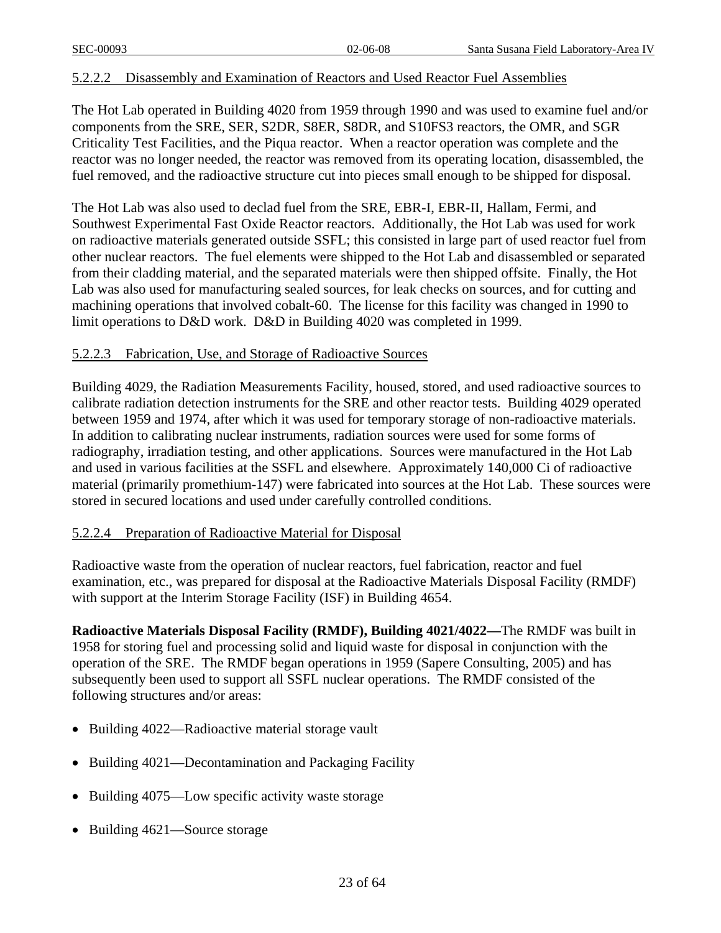#### 5.2.2.2 Disassembly and Examination of Reactors and Used Reactor Fuel Assemblies

The Hot Lab operated in Building 4020 from 1959 through 1990 and was used to examine fuel and/or components from the SRE, SER, S2DR, S8ER, S8DR, and S10FS3 reactors, the OMR, and SGR Criticality Test Facilities, and the Piqua reactor. When a reactor operation was complete and the reactor was no longer needed, the reactor was removed from its operating location, disassembled, the fuel removed, and the radioactive structure cut into pieces small enough to be shipped for disposal.

The Hot Lab was also used to declad fuel from the SRE, EBR-I, EBR-II, Hallam, Fermi, and Southwest Experimental Fast Oxide Reactor reactors. Additionally, the Hot Lab was used for work on radioactive materials generated outside SSFL; this consisted in large part of used reactor fuel from other nuclear reactors. The fuel elements were shipped to the Hot Lab and disassembled or separated from their cladding material, and the separated materials were then shipped offsite. Finally, the Hot Lab was also used for manufacturing sealed sources, for leak checks on sources, and for cutting and machining operations that involved cobalt-60. The license for this facility was changed in 1990 to limit operations to D&D work. D&D in Building 4020 was completed in 1999.

#### 5.2.2.3 Fabrication, Use, and Storage of Radioactive Sources

Building 4029, the Radiation Measurements Facility, housed, stored, and used radioactive sources to calibrate radiation detection instruments for the SRE and other reactor tests. Building 4029 operated between 1959 and 1974, after which it was used for temporary storage of non-radioactive materials. In addition to calibrating nuclear instruments, radiation sources were used for some forms of radiography, irradiation testing, and other applications. Sources were manufactured in the Hot Lab and used in various facilities at the SSFL and elsewhere. Approximately 140,000 Ci of radioactive material (primarily promethium-147) were fabricated into sources at the Hot Lab. These sources were stored in secured locations and used under carefully controlled conditions.

#### 5.2.2.4 Preparation of Radioactive Material for Disposal

Radioactive waste from the operation of nuclear reactors, fuel fabrication, reactor and fuel examination, etc., was prepared for disposal at the Radioactive Materials Disposal Facility (RMDF) with support at the Interim Storage Facility (ISF) in Building 4654.

**Radioactive Materials Disposal Facility (RMDF), Building 4021/4022—**The RMDF was built in 1958 for storing fuel and processing solid and liquid waste for disposal in conjunction with the operation of the SRE. The RMDF began operations in 1959 (Sapere Consulting, 2005) and has subsequently been used to support all SSFL nuclear operations. The RMDF consisted of the following structures and/or areas:

- Building 4022—Radioactive material storage vault
- Building 4021—Decontamination and Packaging Facility
- Building 4075—Low specific activity waste storage
- Building 4621—Source storage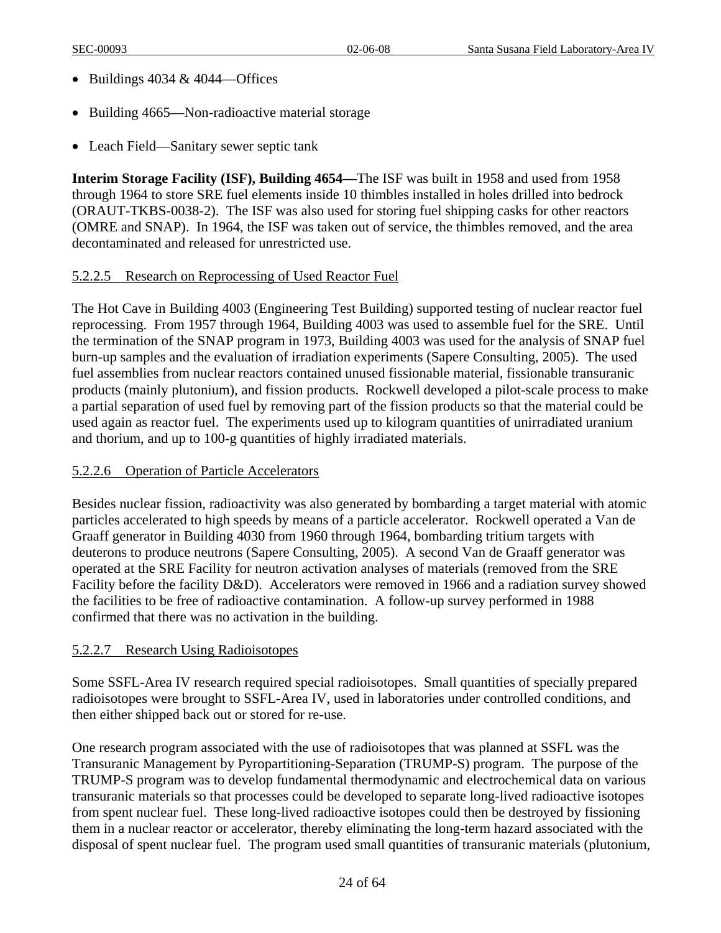- Buildings  $4034 \& 4044$ —Offices
- Building 4665—Non-radioactive material storage
- Leach Field—Sanitary sewer septic tank

**Interim Storage Facility (ISF), Building 4654—**The ISF was built in 1958 and used from 1958 through 1964 to store SRE fuel elements inside 10 thimbles installed in holes drilled into bedrock (ORAUT-TKBS-0038-2). The ISF was also used for storing fuel shipping casks for other reactors (OMRE and SNAP). In 1964, the ISF was taken out of service, the thimbles removed, and the area decontaminated and released for unrestricted use.

#### 5.2.2.5 Research on Reprocessing of Used Reactor Fuel

The Hot Cave in Building 4003 (Engineering Test Building) supported testing of nuclear reactor fuel reprocessing. From 1957 through 1964, Building 4003 was used to assemble fuel for the SRE. Until the termination of the SNAP program in 1973, Building 4003 was used for the analysis of SNAP fuel burn-up samples and the evaluation of irradiation experiments (Sapere Consulting, 2005). The used fuel assemblies from nuclear reactors contained unused fissionable material, fissionable transuranic products (mainly plutonium), and fission products. Rockwell developed a pilot-scale process to make a partial separation of used fuel by removing part of the fission products so that the material could be used again as reactor fuel. The experiments used up to kilogram quantities of unirradiated uranium and thorium, and up to 100-g quantities of highly irradiated materials.

#### 5.2.2.6 Operation of Particle Accelerators

Besides nuclear fission, radioactivity was also generated by bombarding a target material with atomic particles accelerated to high speeds by means of a particle accelerator. Rockwell operated a Van de Graaff generator in Building 4030 from 1960 through 1964, bombarding tritium targets with deuterons to produce neutrons (Sapere Consulting, 2005). A second Van de Graaff generator was operated at the SRE Facility for neutron activation analyses of materials (removed from the SRE Facility before the facility D&D). Accelerators were removed in 1966 and a radiation survey showed the facilities to be free of radioactive contamination. A follow-up survey performed in 1988 confirmed that there was no activation in the building.

#### 5.2.2.7 Research Using Radioisotopes

Some SSFL-Area IV research required special radioisotopes. Small quantities of specially prepared radioisotopes were brought to SSFL-Area IV, used in laboratories under controlled conditions, and then either shipped back out or stored for re-use.

One research program associated with the use of radioisotopes that was planned at SSFL was the Transuranic Management by Pyropartitioning-Separation (TRUMP-S) program. The purpose of the TRUMP-S program was to develop fundamental thermodynamic and electrochemical data on various transuranic materials so that processes could be developed to separate long-lived radioactive isotopes from spent nuclear fuel. These long-lived radioactive isotopes could then be destroyed by fissioning them in a nuclear reactor or accelerator, thereby eliminating the long-term hazard associated with the disposal of spent nuclear fuel. The program used small quantities of transuranic materials (plutonium,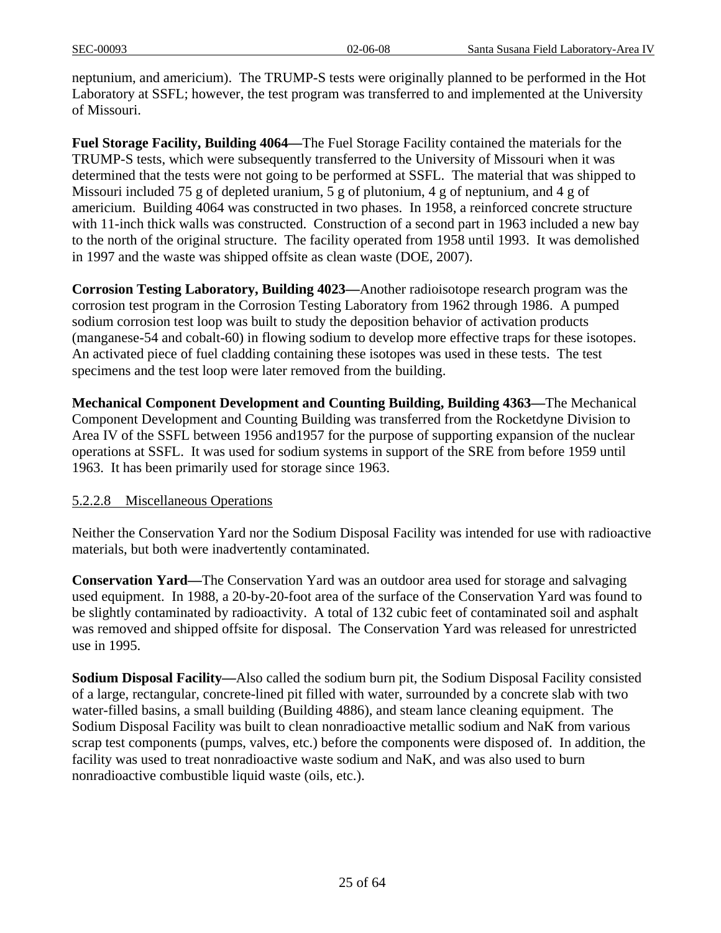neptunium, and americium). The TRUMP-S tests were originally planned to be performed in the Hot Laboratory at SSFL; however, the test program was transferred to and implemented at the University of Missouri.

**Fuel Storage Facility, Building 4064—**The Fuel Storage Facility contained the materials for the TRUMP-S tests, which were subsequently transferred to the University of Missouri when it was determined that the tests were not going to be performed at SSFL. The material that was shipped to Missouri included 75 g of depleted uranium, 5 g of plutonium, 4 g of neptunium, and 4 g of americium. Building 4064 was constructed in two phases. In 1958, a reinforced concrete structure with 11-inch thick walls was constructed. Construction of a second part in 1963 included a new bay to the north of the original structure. The facility operated from 1958 until 1993. It was demolished in 1997 and the waste was shipped offsite as clean waste (DOE, 2007).

**Corrosion Testing Laboratory, Building 4023—**Another radioisotope research program was the corrosion test program in the Corrosion Testing Laboratory from 1962 through 1986. A pumped sodium corrosion test loop was built to study the deposition behavior of activation products (manganese-54 and cobalt-60) in flowing sodium to develop more effective traps for these isotopes. An activated piece of fuel cladding containing these isotopes was used in these tests. The test specimens and the test loop were later removed from the building.

**Mechanical Component Development and Counting Building, Building 4363—**The Mechanical Component Development and Counting Building was transferred from the Rocketdyne Division to Area IV of the SSFL between 1956 and1957 for the purpose of supporting expansion of the nuclear operations at SSFL. It was used for sodium systems in support of the SRE from before 1959 until 1963. It has been primarily used for storage since 1963.

#### 5.2.2.8 Miscellaneous Operations

Neither the Conservation Yard nor the Sodium Disposal Facility was intended for use with radioactive materials, but both were inadvertently contaminated.

**Conservation Yard—**The Conservation Yard was an outdoor area used for storage and salvaging used equipment. In 1988, a 20-by-20-foot area of the surface of the Conservation Yard was found to be slightly contaminated by radioactivity. A total of 132 cubic feet of contaminated soil and asphalt was removed and shipped offsite for disposal. The Conservation Yard was released for unrestricted use in 1995.

**Sodium Disposal Facility—**Also called the sodium burn pit, the Sodium Disposal Facility consisted of a large, rectangular, concrete-lined pit filled with water, surrounded by a concrete slab with two water-filled basins, a small building (Building 4886), and steam lance cleaning equipment. The Sodium Disposal Facility was built to clean nonradioactive metallic sodium and NaK from various scrap test components (pumps, valves, etc.) before the components were disposed of. In addition, the facility was used to treat nonradioactive waste sodium and NaK, and was also used to burn nonradioactive combustible liquid waste (oils, etc.).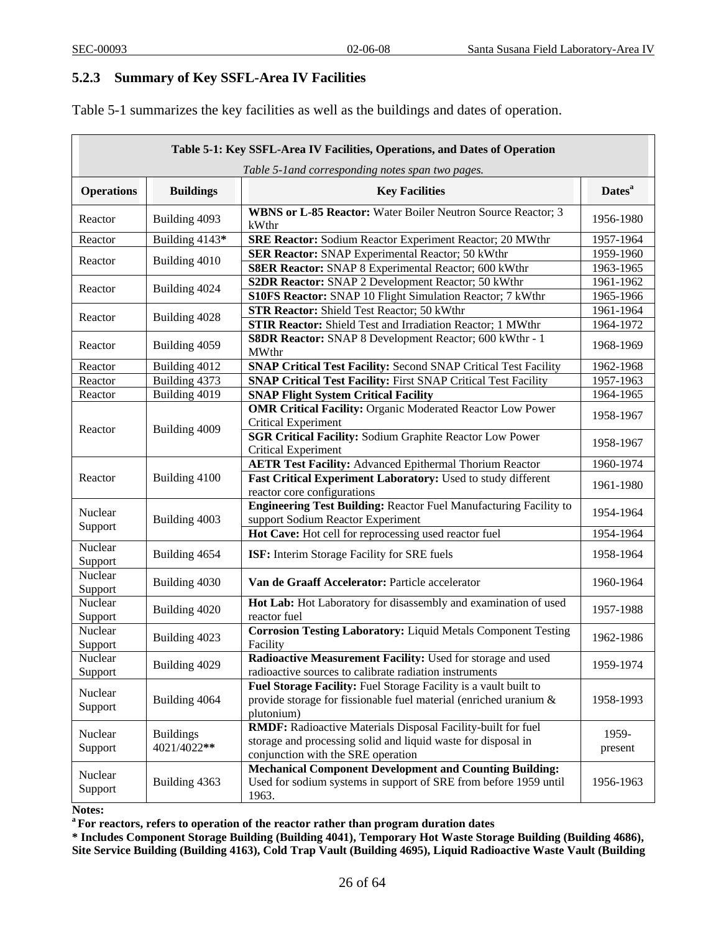### **5.2.3 Summary of Key SSFL-Area IV Facilities**

Table 5-1 summarizes the key facilities as well as the buildings and dates of operation.

| Table 5-1: Key SSFL-Area IV Facilities, Operations, and Dates of Operation<br>Table 5-1 and corresponding notes span two pages. |                                 |                                                                                                                                                                     |                    |  |
|---------------------------------------------------------------------------------------------------------------------------------|---------------------------------|---------------------------------------------------------------------------------------------------------------------------------------------------------------------|--------------------|--|
| <b>Operations</b>                                                                                                               | <b>Buildings</b>                | <b>Key Facilities</b>                                                                                                                                               | Dates <sup>a</sup> |  |
| Reactor                                                                                                                         | Building 4093                   | <b>WBNS or L-85 Reactor:</b> Water Boiler Neutron Source Reactor; 3<br>kWthr                                                                                        | 1956-1980          |  |
| Reactor                                                                                                                         | Building 4143*                  | <b>SRE Reactor:</b> Sodium Reactor Experiment Reactor; 20 MWthr                                                                                                     | 1957-1964          |  |
|                                                                                                                                 |                                 | SER Reactor: SNAP Experimental Reactor; 50 kWthr                                                                                                                    | 1959-1960          |  |
| Reactor                                                                                                                         | Building 4010                   | <b>S8ER Reactor:</b> SNAP 8 Experimental Reactor; 600 kWthr                                                                                                         | 1963-1965          |  |
| Reactor                                                                                                                         | Building 4024                   | S2DR Reactor: SNAP 2 Development Reactor; 50 kWthr                                                                                                                  | 1961-1962          |  |
|                                                                                                                                 |                                 | S10FS Reactor: SNAP 10 Flight Simulation Reactor; 7 kWthr                                                                                                           | 1965-1966          |  |
| Reactor                                                                                                                         | Building 4028                   | <b>STR Reactor:</b> Shield Test Reactor; 50 kWthr                                                                                                                   | 1961-1964          |  |
|                                                                                                                                 |                                 | STIR Reactor: Shield Test and Irradiation Reactor; 1 MWthr                                                                                                          | 1964-1972          |  |
| Reactor                                                                                                                         | Building 4059                   | S8DR Reactor: SNAP 8 Development Reactor; 600 kWthr - 1<br><b>MWthr</b>                                                                                             | 1968-1969          |  |
| Reactor                                                                                                                         | Building 4012                   | SNAP Critical Test Facility: Second SNAP Critical Test Facility                                                                                                     | 1962-1968          |  |
| Reactor                                                                                                                         | Building 4373                   | <b>SNAP Critical Test Facility: First SNAP Critical Test Facility</b>                                                                                               | 1957-1963          |  |
| Reactor                                                                                                                         | Building 4019                   | <b>SNAP Flight System Critical Facility</b>                                                                                                                         | 1964-1965          |  |
|                                                                                                                                 |                                 | <b>OMR Critical Facility: Organic Moderated Reactor Low Power</b><br>Critical Experiment                                                                            | 1958-1967          |  |
| Reactor                                                                                                                         | Building 4009                   | <b>SGR Critical Facility: Sodium Graphite Reactor Low Power</b><br><b>Critical Experiment</b>                                                                       | 1958-1967          |  |
|                                                                                                                                 |                                 | <b>AETR Test Facility: Advanced Epithermal Thorium Reactor</b>                                                                                                      | 1960-1974          |  |
| Reactor                                                                                                                         | Building 4100                   | Fast Critical Experiment Laboratory: Used to study different<br>reactor core configurations                                                                         | 1961-1980          |  |
| Nuclear<br>Support                                                                                                              | Building 4003                   | <b>Engineering Test Building: Reactor Fuel Manufacturing Facility to</b><br>support Sodium Reactor Experiment                                                       | 1954-1964          |  |
|                                                                                                                                 |                                 | Hot Cave: Hot cell for reprocessing used reactor fuel                                                                                                               | 1954-1964          |  |
| Nuclear<br>Support                                                                                                              | Building 4654                   | ISF: Interim Storage Facility for SRE fuels                                                                                                                         | 1958-1964          |  |
| Nuclear<br>Support                                                                                                              | Building 4030                   | Van de Graaff Accelerator: Particle accelerator                                                                                                                     | 1960-1964          |  |
| Nuclear<br>Support                                                                                                              | Building 4020                   | Hot Lab: Hot Laboratory for disassembly and examination of used<br>reactor fuel                                                                                     | 1957-1988          |  |
| Nuclear<br>Support                                                                                                              | Building 4023                   | <b>Corrosion Testing Laboratory: Liquid Metals Component Testing</b><br>Facility                                                                                    | 1962-1986          |  |
| Nuclear<br>Support                                                                                                              | Building 4029                   | Radioactive Measurement Facility: Used for storage and used<br>radioactive sources to calibrate radiation instruments                                               | 1959-1974          |  |
| Nuclear<br>Support                                                                                                              | Building 4064                   | Fuel Storage Facility: Fuel Storage Facility is a vault built to<br>provide storage for fissionable fuel material (enriched uranium &<br>plutonium)                 | 1958-1993          |  |
| Nuclear<br>Support                                                                                                              | <b>Buildings</b><br>4021/4022** | RMDF: Radioactive Materials Disposal Facility-built for fuel<br>storage and processing solid and liquid waste for disposal in<br>conjunction with the SRE operation | 1959-<br>present   |  |
| Nuclear<br>Support                                                                                                              | Building 4363                   | <b>Mechanical Component Development and Counting Building:</b><br>Used for sodium systems in support of SRE from before 1959 until<br>1963.                         | 1956-1963          |  |

**Notes:** 

**a For reactors, refers to operation of the reactor rather than program duration dates** 

 **\* Includes Component Storage Building (Building 4041), Temporary Hot Waste Storage Building (Building 4686), Site Service Building (Building 4163), Cold Trap Vault (Building 4695), Liquid Radioactive Waste Vault (Building**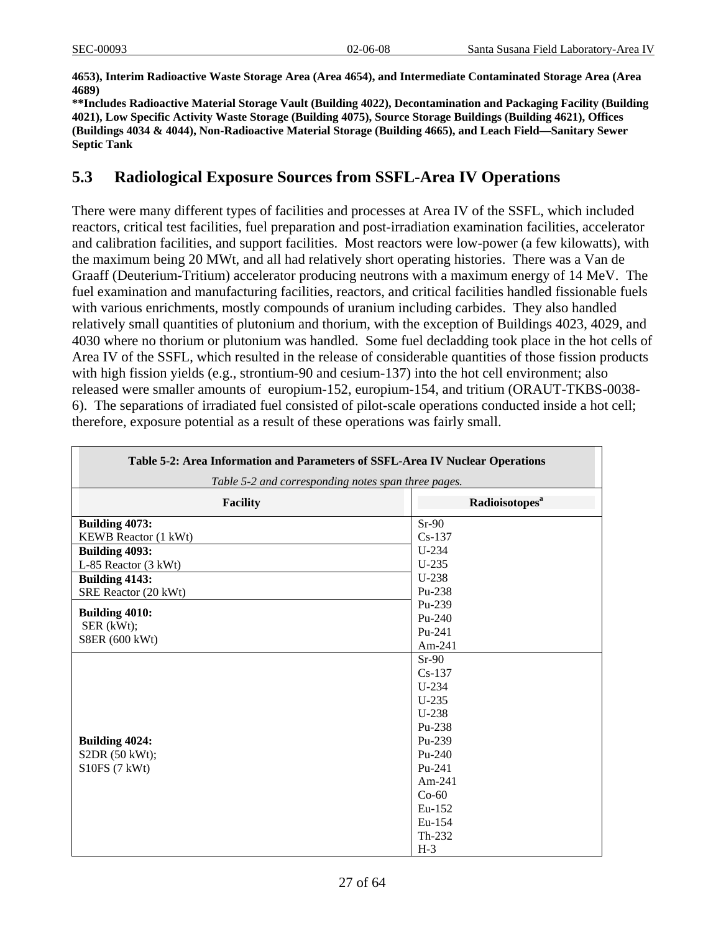**4653), Interim Radioactive Waste Storage Area (Area 4654), and Intermediate Contaminated Storage Area (Area 4689)** 

**\*\*Includes Radioactive Material Storage Vault (Building 4022), Decontamination and Packaging Facility (Building 4021), Low Specific Activity Waste Storage (Building 4075), Source Storage Buildings (Building 4621), Offices (Buildings 4034 & 4044), Non-Radioactive Material Storage (Building 4665), and Leach Field—Sanitary Sewer Septic Tank** 

## **5.3 Radiological Exposure Sources from SSFL-Area IV Operations**

There were many different types of facilities and processes at Area IV of the SSFL, which included reactors, critical test facilities, fuel preparation and post-irradiation examination facilities, accelerator and calibration facilities, and support facilities. Most reactors were low-power (a few kilowatts), with the maximum being 20 MWt, and all had relatively short operating histories. There was a Van de Graaff (Deuterium-Tritium) accelerator producing neutrons with a maximum energy of 14 MeV. The fuel examination and manufacturing facilities, reactors, and critical facilities handled fissionable fuels with various enrichments, mostly compounds of uranium including carbides. They also handled relatively small quantities of plutonium and thorium, with the exception of Buildings 4023, 4029, and 4030 where no thorium or plutonium was handled. Some fuel decladding took place in the hot cells of Area IV of the SSFL, which resulted in the release of considerable quantities of those fission products with high fission yields (e.g., strontium-90 and cesium-137) into the hot cell environment; also released were smaller amounts of europium-152, europium-154, and tritium (ORAUT-TKBS-0038 6). The separations of irradiated fuel consisted of pilot-scale operations conducted inside a hot cell; therefore, exposure potential as a result of these operations was fairly small.

| Table 5-2: Area Information and Parameters of SSFL-Area IV Nuclear Operations                                                                                                                                   |                                                                                                                                                                         |  |  |
|-----------------------------------------------------------------------------------------------------------------------------------------------------------------------------------------------------------------|-------------------------------------------------------------------------------------------------------------------------------------------------------------------------|--|--|
| Table 5-2 and corresponding notes span three pages.<br><b>Facility</b>                                                                                                                                          | <b>Radioisotopes</b> <sup>a</sup>                                                                                                                                       |  |  |
| <b>Building 4073:</b><br><b>KEWB Reactor (1 kWt)</b><br><b>Building 4093:</b><br>L-85 Reactor (3 kWt)<br><b>Building 4143:</b><br>SRE Reactor (20 kWt)<br><b>Building 4010:</b><br>SER (kWt);<br>S8ER (600 kWt) | $Sr-90$<br>$Cs-137$<br>$U-234$<br>$U-235$<br>$U-238$<br>Pu-238<br>Pu-239<br>Pu-240<br>Pu-241                                                                            |  |  |
| <b>Building 4024:</b><br>S2DR (50 kWt);<br>$S10FS$ (7 kWt)                                                                                                                                                      | Am- $241$<br>$Sr-90$<br>$Cs-137$<br>$U-234$<br>$U-235$<br>$U-238$<br>Pu-238<br>Pu-239<br>Pu-240<br>Pu-241<br>Am-241<br>$Co-60$<br>Eu-152<br>Eu-154<br>$Th-232$<br>$H-3$ |  |  |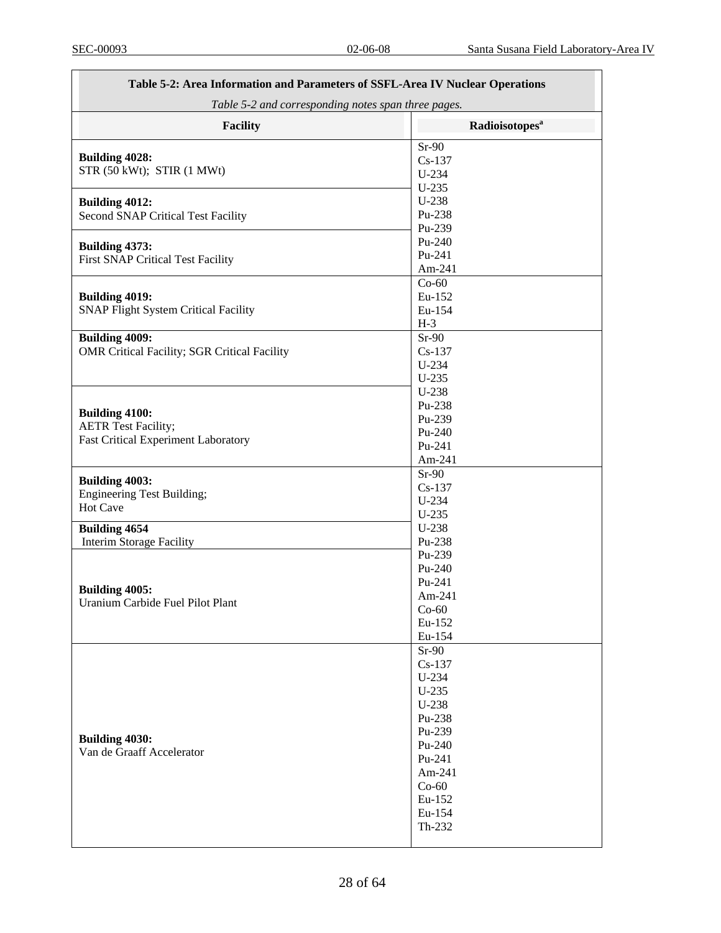$\overline{ }$ 

٦

| Table 5-2: Area Information and Parameters of SSFL-Area IV Nuclear Operations |                            |  |  |  |
|-------------------------------------------------------------------------------|----------------------------|--|--|--|
| Table 5-2 and corresponding notes span three pages.                           |                            |  |  |  |
| <b>Facility</b>                                                               | Radioisotopes <sup>a</sup> |  |  |  |
|                                                                               | $Sr-90$                    |  |  |  |
| <b>Building 4028:</b>                                                         | $Cs-137$                   |  |  |  |
| STR (50 kWt); STIR (1 MWt)                                                    | U-234                      |  |  |  |
|                                                                               | $U-235$<br>$U-238$         |  |  |  |
| <b>Building 4012:</b><br>Second SNAP Critical Test Facility                   | Pu-238                     |  |  |  |
|                                                                               | Pu-239                     |  |  |  |
|                                                                               | Pu-240                     |  |  |  |
| <b>Building 4373:</b><br><b>First SNAP Critical Test Facility</b>             | Pu-241                     |  |  |  |
|                                                                               | Am-241                     |  |  |  |
|                                                                               | $Co-60$                    |  |  |  |
| <b>Building 4019:</b>                                                         | Eu-152                     |  |  |  |
| <b>SNAP Flight System Critical Facility</b>                                   | Eu-154                     |  |  |  |
|                                                                               | $H-3$                      |  |  |  |
| <b>Building 4009:</b>                                                         | $Sr-90$                    |  |  |  |
| OMR Critical Facility; SGR Critical Facility                                  | $Cs-137$<br>U-234          |  |  |  |
|                                                                               | $U-235$                    |  |  |  |
|                                                                               | U-238                      |  |  |  |
|                                                                               | Pu-238                     |  |  |  |
| <b>Building 4100:</b>                                                         | Pu-239                     |  |  |  |
| <b>AETR Test Facility;</b>                                                    | Pu-240                     |  |  |  |
| <b>Fast Critical Experiment Laboratory</b>                                    | Pu-241                     |  |  |  |
|                                                                               | Am-241                     |  |  |  |
| <b>Building 4003:</b>                                                         | $Sr-90$                    |  |  |  |
| <b>Engineering Test Building;</b>                                             | $Cs-137$                   |  |  |  |
| <b>Hot Cave</b>                                                               | U-234                      |  |  |  |
|                                                                               | $U-235$<br>U-238           |  |  |  |
| <b>Building 4654</b><br><b>Interim Storage Facility</b>                       | Pu-238                     |  |  |  |
|                                                                               | Pu-239                     |  |  |  |
|                                                                               | Pu-240                     |  |  |  |
|                                                                               | Pu-241                     |  |  |  |
| <b>Building 4005:</b>                                                         | Am-241                     |  |  |  |
| Uranium Carbide Fuel Pilot Plant                                              | $Co-60$                    |  |  |  |
|                                                                               | Eu-152                     |  |  |  |
|                                                                               | Eu-154                     |  |  |  |
|                                                                               | $Sr-90$                    |  |  |  |
|                                                                               | $Cs-137$<br>U-234          |  |  |  |
|                                                                               | $U-235$                    |  |  |  |
|                                                                               | U-238                      |  |  |  |
|                                                                               | Pu-238                     |  |  |  |
|                                                                               | Pu-239                     |  |  |  |
| <b>Building 4030:</b><br>Van de Graaff Accelerator                            | Pu-240                     |  |  |  |
|                                                                               | Pu-241                     |  |  |  |
|                                                                               | Am-241                     |  |  |  |
|                                                                               | $Co-60$                    |  |  |  |
|                                                                               | Eu-152                     |  |  |  |
|                                                                               | Eu-154<br>Th-232           |  |  |  |
|                                                                               |                            |  |  |  |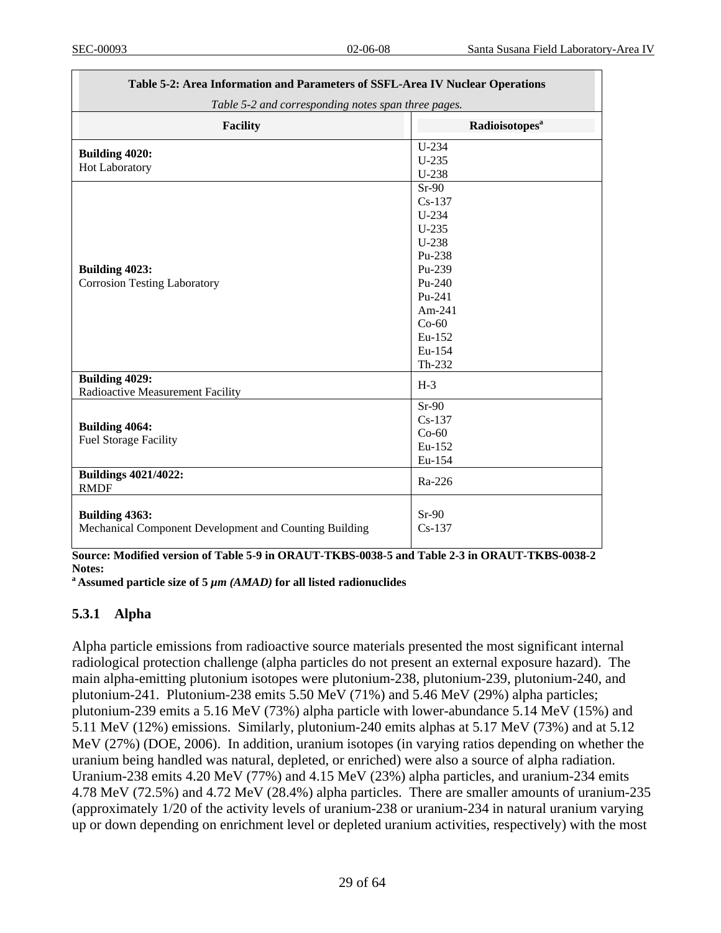| Table 5-2 and corresponding notes span three pages.                             |                                                                                                                                                   |  |  |
|---------------------------------------------------------------------------------|---------------------------------------------------------------------------------------------------------------------------------------------------|--|--|
| <b>Facility</b>                                                                 | Radioisotopes <sup>a</sup>                                                                                                                        |  |  |
| <b>Building 4020:</b><br><b>Hot Laboratory</b>                                  | $U-234$<br>$U-235$<br>U-238                                                                                                                       |  |  |
| <b>Building 4023:</b><br><b>Corrosion Testing Laboratory</b>                    | $Sr-90$<br>$Cs-137$<br>$U-234$<br>$U-235$<br>$U-238$<br>Pu-238<br>Pu-239<br>Pu-240<br>Pu-241<br>$Am-241$<br>$Co-60$<br>Eu-152<br>Eu-154<br>Th-232 |  |  |
| <b>Building 4029:</b><br>Radioactive Measurement Facility                       | $H-3$                                                                                                                                             |  |  |
| <b>Building 4064:</b><br><b>Fuel Storage Facility</b>                           | $Sr-90$<br>$Cs-137$<br>$Co-60$<br>Eu-152<br>Eu-154                                                                                                |  |  |
| <b>Buildings 4021/4022:</b><br><b>RMDF</b>                                      | Ra-226                                                                                                                                            |  |  |
| <b>Building 4363:</b><br>Mechanical Component Development and Counting Building | $Sr-90$<br>$Cs-137$                                                                                                                               |  |  |

| Table 5-2: Area Information and Parameters of SSFL-Area IV Nuclear Operations |  |
|-------------------------------------------------------------------------------|--|
|-------------------------------------------------------------------------------|--|

**Source: Modified version of Table 5-9 in ORAUT-TKBS-0038-5 and Table 2-3 in ORAUT-TKBS-0038-2 Notes:** 

**a Assumed particle size of 5** *µm (AMAD)* **for all listed radionuclides** 

## **5.3.1 Alpha**

Alpha particle emissions from radioactive source materials presented the most significant internal radiological protection challenge (alpha particles do not present an external exposure hazard). The main alpha-emitting plutonium isotopes were plutonium-238, plutonium-239, plutonium-240, and plutonium-241. Plutonium-238 emits 5.50 MeV (71%) and 5.46 MeV (29%) alpha particles; plutonium-239 emits a 5.16 MeV (73%) alpha particle with lower-abundance 5.14 MeV (15%) and 5.11 MeV (12%) emissions. Similarly, plutonium-240 emits alphas at 5.17 MeV (73%) and at 5.12 MeV (27%) (DOE, 2006). In addition, uranium isotopes (in varying ratios depending on whether the uranium being handled was natural, depleted, or enriched) were also a source of alpha radiation. Uranium-238 emits 4.20 MeV (77%) and 4.15 MeV (23%) alpha particles, and uranium-234 emits 4.78 MeV (72.5%) and 4.72 MeV (28.4%) alpha particles. There are smaller amounts of uranium-235 (approximately 1/20 of the activity levels of uranium-238 or uranium-234 in natural uranium varying up or down depending on enrichment level or depleted uranium activities, respectively) with the most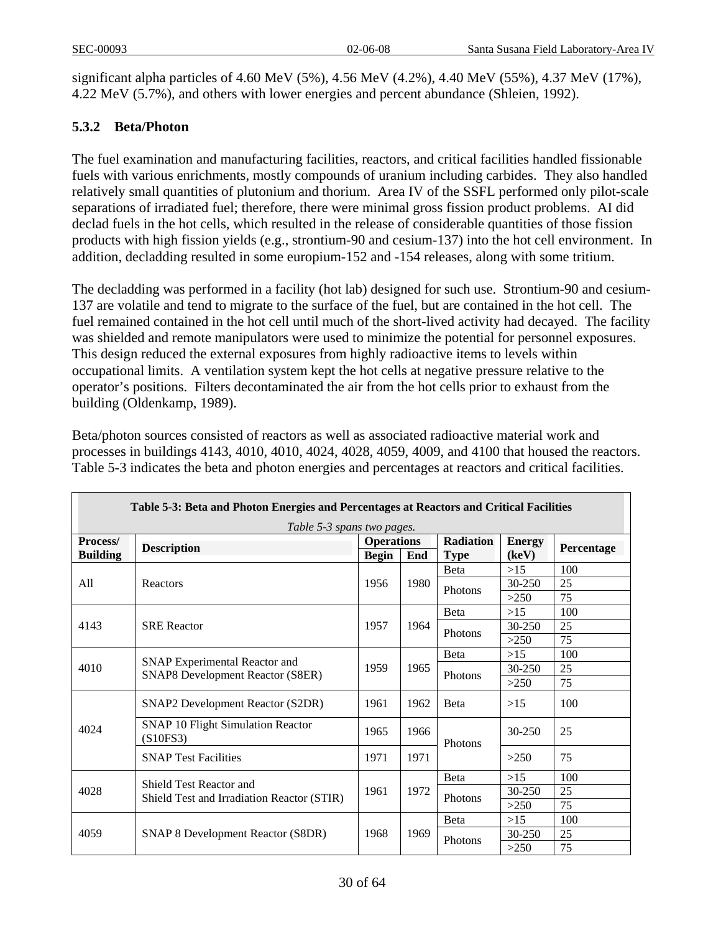significant alpha particles of 4.60 MeV (5%), 4.56 MeV (4.2%), 4.40 MeV (55%), 4.37 MeV (17%), 4.22 MeV (5.7%), and others with lower energies and percent abundance (Shleien, 1992).

## **5.3.2 Beta/Photon**

addition, decladding resulted in some europium-152 and -154 releases, along with some tritium. The fuel examination and manufacturing facilities, reactors, and critical facilities handled fissionable fuels with various enrichments, mostly compounds of uranium including carbides. They also handled relatively small quantities of plutonium and thorium. Area IV of the SSFL performed only pilot-scale separations of irradiated fuel; therefore, there were minimal gross fission product problems. AI did declad fuels in the hot cells, which resulted in the release of considerable quantities of those fission products with high fission yields (e.g., strontium-90 and cesium-137) into the hot cell environment. In

The decladding was performed in a facility (hot lab) designed for such use. Strontium-90 and cesium-137 are volatile and tend to migrate to the surface of the fuel, but are contained in the hot cell. The fuel remained contained in the hot cell until much of the short-lived activity had decayed. The facility was shielded and remote manipulators were used to minimize the potential for personnel exposures. This design reduced the external exposures from highly radioactive items to levels within occupational limits. A ventilation system kept the hot cells at negative pressure relative to the operator's positions. Filters decontaminated the air from the hot cells prior to exhaust from the building (Oldenkamp, 1989).

Beta/photon sources consisted of reactors as well as associated radioactive material work and processes in buildings 4143, 4010, 4010, 4024, 4028, 4059, 4009, and 4100 that housed the reactors. Table 5-3 indicates the beta and photon energies and percentages at reactors and critical facilities.

| Table 5-3: Beta and Photon Energies and Percentages at Reactors and Critical Facilities |                                                                                                   |      |      |                |        |     |  |
|-----------------------------------------------------------------------------------------|---------------------------------------------------------------------------------------------------|------|------|----------------|--------|-----|--|
|                                                                                         | Table 5-3 spans two pages.                                                                        |      |      |                |        |     |  |
| Process/<br><b>Building</b>                                                             | <b>Operations</b><br><b>Radiation</b><br><b>Description</b><br><b>Type</b><br><b>Begin</b><br>End |      |      |                |        |     |  |
|                                                                                         |                                                                                                   |      |      | Beta           | >15    | 100 |  |
| All                                                                                     | Reactors                                                                                          | 1956 | 1980 | Photons        | 30-250 | 25  |  |
|                                                                                         |                                                                                                   |      |      |                | >250   | 75  |  |
|                                                                                         |                                                                                                   |      |      | Beta           | >15    | 100 |  |
| 4143                                                                                    | <b>SRE</b> Reactor                                                                                | 1957 | 1964 | Photons        | 30-250 | 25  |  |
|                                                                                         |                                                                                                   |      |      |                | >250   | 75  |  |
| 4010                                                                                    | <b>SNAP Experimental Reactor and</b><br>SNAP8 Development Reactor (S8ER)                          |      | 1965 | Beta           | $>15$  | 100 |  |
|                                                                                         |                                                                                                   | 1959 |      | <b>Photons</b> | 30-250 | 25  |  |
|                                                                                         |                                                                                                   |      |      |                | >250   | 75  |  |
| 4024                                                                                    | SNAP2 Development Reactor (S2DR)                                                                  | 1961 | 1962 | Beta           | >15    | 100 |  |
|                                                                                         | SNAP 10 Flight Simulation Reactor<br>(S10FS3)                                                     | 1965 | 1966 | Photons        | 30-250 | 25  |  |
|                                                                                         | <b>SNAP Test Facilities</b>                                                                       | 1971 | 1971 |                | >250   | 75  |  |
|                                                                                         |                                                                                                   |      |      | Beta           | $>15$  | 100 |  |
| 4028                                                                                    | Shield Test Reactor and<br>Shield Test and Irradiation Reactor (STIR)                             | 1961 | 1972 | Photons        | 30-250 | 25  |  |
|                                                                                         |                                                                                                   |      |      |                | >250   | 75  |  |
|                                                                                         |                                                                                                   |      | 1969 | Beta           | $>15$  | 100 |  |
| 4059                                                                                    | <b>SNAP 8 Development Reactor (S8DR)</b>                                                          | 1968 |      | Photons        | 30-250 | 25  |  |
|                                                                                         |                                                                                                   |      |      |                | >250   | 75  |  |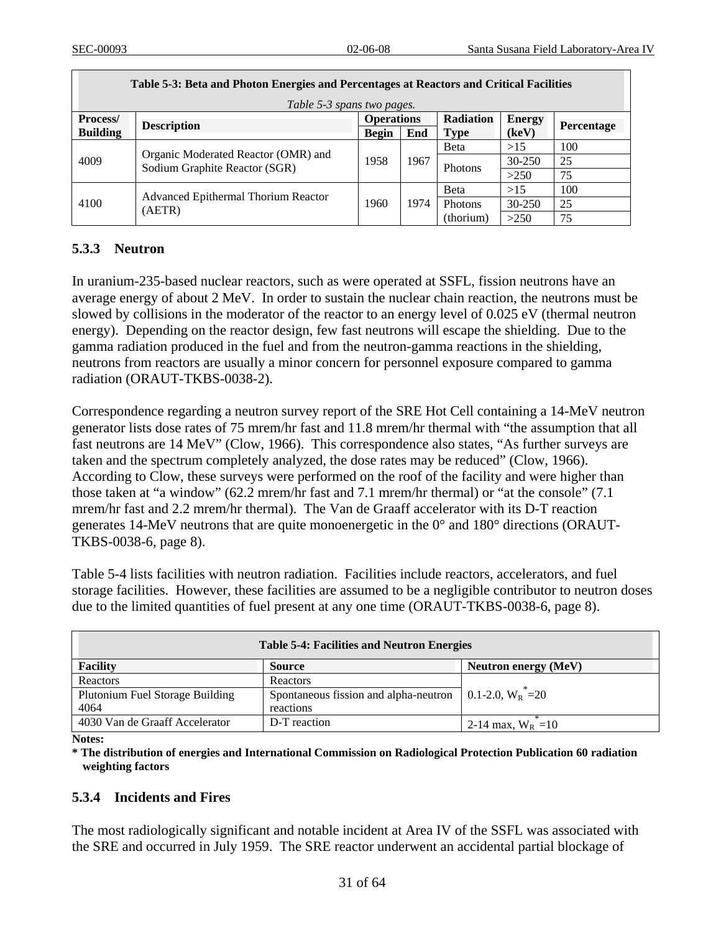$\Box$ 

| Table 5-3: Beta and Photon Energies and Percentages at Reactors and Critical Facilities |                                                                      |                     |      |                  |               |            |
|-----------------------------------------------------------------------------------------|----------------------------------------------------------------------|---------------------|------|------------------|---------------|------------|
|                                                                                         | Table 5-3 spans two pages.                                           |                     |      |                  |               |            |
| Process/<br><b>Description</b>                                                          |                                                                      | <b>Operations</b>   |      | <b>Radiation</b> | <b>Energy</b> | Percentage |
| <b>Building</b>                                                                         |                                                                      | End<br><b>Begin</b> |      | <b>Type</b>      | (keV)         |            |
| 4009                                                                                    | Organic Moderated Reactor (OMR) and<br>Sodium Graphite Reactor (SGR) | 1958                | 1967 | Beta             | >15           | 100        |
|                                                                                         |                                                                      |                     |      | Photons          | 30-250        | 25         |
|                                                                                         |                                                                      |                     |      |                  | >250          | 75         |
| 4100                                                                                    | Advanced Epithermal Thorium Reactor<br>(AETR)                        |                     | 1974 | <b>B</b> eta     | >15           | 100        |
|                                                                                         |                                                                      | 1960                |      | Photons          | 30-250        | 25         |
|                                                                                         |                                                                      |                     |      | (thorium)        | >250          | 75         |

|                            |  | Table 5-3: Beta and Photon Energies and Percentages at Reactors and Critical Facilities |  |  |
|----------------------------|--|-----------------------------------------------------------------------------------------|--|--|
| Table 5-3 spans two pages. |  |                                                                                         |  |  |
|                            |  | _ _ _                                                                                   |  |  |

## **5.3.3 Neutron**

In uranium-235-based nuclear reactors, such as were operated at SSFL, fission neutrons have an average energy of about 2 MeV. In order to sustain the nuclear chain reaction, the neutrons must be slowed by collisions in the moderator of the reactor to an energy level of 0.025 eV (thermal neutron energy). Depending on the reactor design, few fast neutrons will escape the shielding. Due to the gamma radiation produced in the fuel and from the neutron-gamma reactions in the shielding, neutrons from reactors are usually a minor concern for personnel exposure compared to gamma radiation (ORAUT-TKBS-0038-2).

Correspondence regarding a neutron survey report of the SRE Hot Cell containing a 14-MeV neutron generator lists dose rates of 75 mrem/hr fast and 11.8 mrem/hr thermal with "the assumption that all fast neutrons are 14 MeV" (Clow, 1966). This correspondence also states, "As further surveys are taken and the spectrum completely analyzed, the dose rates may be reduced" (Clow, 1966). According to Clow, these surveys were performed on the roof of the facility and were higher than those taken at "a window" (62.2 mrem/hr fast and 7.1 mrem/hr thermal) or "at the console" (7.1 mrem/hr fast and 2.2 mrem/hr thermal). The Van de Graaff accelerator with its D-T reaction generates 14-MeV neutrons that are quite monoenergetic in the 0° and 180° directions (ORAUT-TKBS-0038-6, page 8).

Table 5-4 lists facilities with neutron radiation. Facilities include reactors, accelerators, and fuel storage facilities. However, these facilities are assumed to be a negligible contributor to neutron doses due to the limited quantities of fuel present at any one time (ORAUT-TKBS-0038-6, page 8).

| <b>Table 5-4: Facilities and Neutron Energies</b> |                                       |                             |  |
|---------------------------------------------------|---------------------------------------|-----------------------------|--|
| <b>Facility</b>                                   | Source                                | <b>Neutron energy (MeV)</b> |  |
| Reactors                                          | Reactors                              |                             |  |
| Plutonium Fuel Storage Building                   | Spontaneous fission and alpha-neutron | $0.1-2.0, W_R^* = 20$       |  |
| 4064                                              | reactions                             |                             |  |
| 4030 Van de Graaff Accelerator                    | D-T reaction                          | 2-14 max, $W_R = 10$        |  |

**Notes:** 

 **\* The distribution of energies and International Commission on Radiological Protection Publication 60 radiation weighting factors** 

## **5.3.4 Incidents and Fires**

The most radiologically significant and notable incident at Area IV of the SSFL was associated with the SRE and occurred in July 1959. The SRE reactor underwent an accidental partial blockage of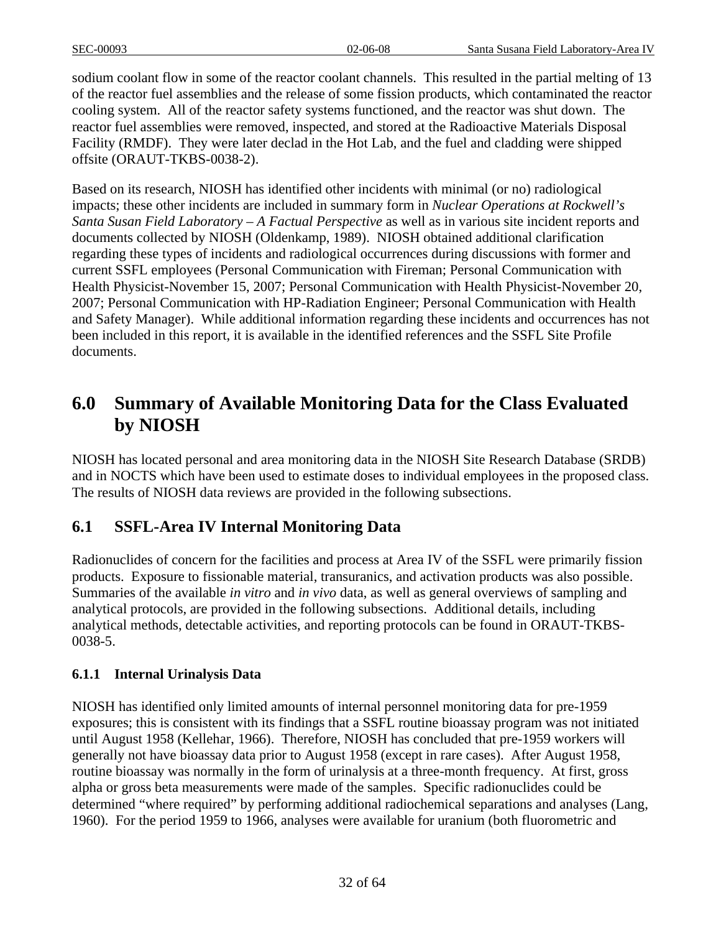| SEC-00093 | $02 - 06 - 08$ | Santa Susana Field Laboratory-Area IV |
|-----------|----------------|---------------------------------------|

sodium coolant flow in some of the reactor coolant channels. This resulted in the partial melting of 13 of the reactor fuel assemblies and the release of some fission products, which contaminated the reactor cooling system. All of the reactor safety systems functioned, and the reactor was shut down. The reactor fuel assemblies were removed, inspected, and stored at the Radioactive Materials Disposal Facility (RMDF). They were later declad in the Hot Lab, and the fuel and cladding were shipped offsite (ORAUT-TKBS-0038-2).

Based on its research, NIOSH has identified other incidents with minimal (or no) radiological impacts; these other incidents are included in summary form in *Nuclear Operations at Rockwell's Santa Susan Field Laboratory – A Factual Perspective* as well as in various site incident reports and documents collected by NIOSH (Oldenkamp, 1989). NIOSH obtained additional clarification regarding these types of incidents and radiological occurrences during discussions with former and current SSFL employees (Personal Communication with Fireman; Personal Communication with Health Physicist-November 15, 2007; Personal Communication with Health Physicist-November 20, 2007; Personal Communication with HP-Radiation Engineer; Personal Communication with Health and Safety Manager). While additional information regarding these incidents and occurrences has not been included in this report, it is available in the identified references and the SSFL Site Profile documents.

## **6.0 Summary of Available Monitoring Data for the Class Evaluated by NIOSH**

NIOSH has located personal and area monitoring data in the NIOSH Site Research Database (SRDB) and in NOCTS which have been used to estimate doses to individual employees in the proposed class. The results of NIOSH data reviews are provided in the following subsections.

## **6.1 SSFL-Area IV Internal Monitoring Data**

Radionuclides of concern for the facilities and process at Area IV of the SSFL were primarily fission products. Exposure to fissionable material, transuranics, and activation products was also possible. Summaries of the available *in vitro* and *in vivo* data, as well as general overviews of sampling and analytical protocols, are provided in the following subsections. Additional details, including analytical methods, detectable activities, and reporting protocols can be found in ORAUT-TKBS-0038-5.

## **6.1.1 Internal Urinalysis Data**

NIOSH has identified only limited amounts of internal personnel monitoring data for pre-1959 exposures; this is consistent with its findings that a SSFL routine bioassay program was not initiated until August 1958 (Kellehar, 1966). Therefore, NIOSH has concluded that pre-1959 workers will generally not have bioassay data prior to August 1958 (except in rare cases). After August 1958, routine bioassay was normally in the form of urinalysis at a three-month frequency. At first, gross alpha or gross beta measurements were made of the samples. Specific radionuclides could be determined "where required" by performing additional radiochemical separations and analyses (Lang, 1960). For the period 1959 to 1966, analyses were available for uranium (both fluorometric and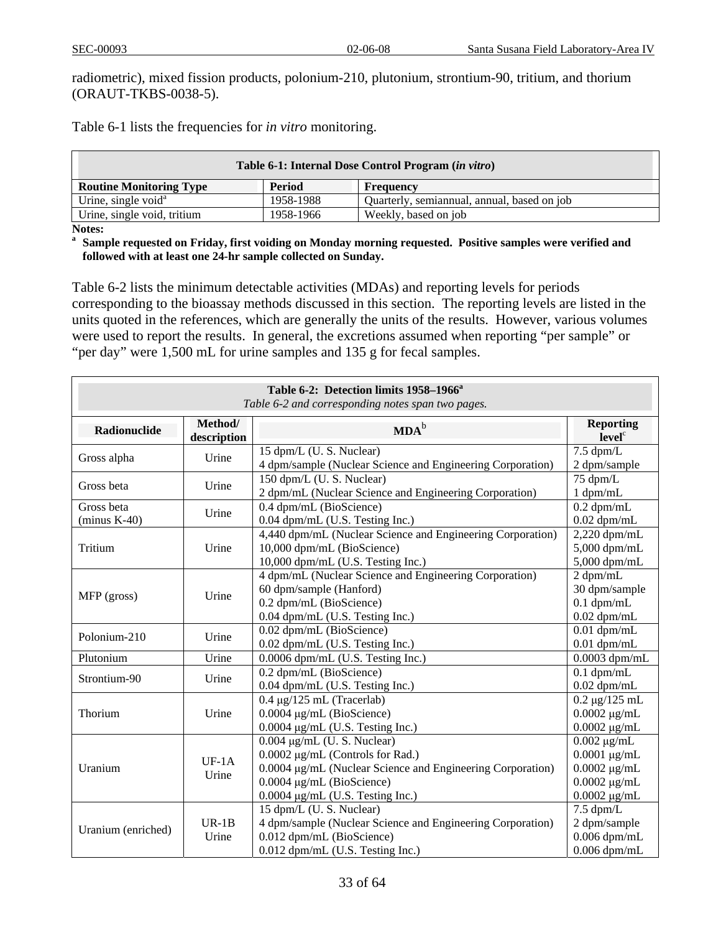radiometric), mixed fission products, polonium-210, plutonium, strontium-90, tritium, and thorium (ORAUT-TKBS-0038-5).

Table 6-1 lists the frequencies for *in vitro* monitoring.

| Table 6-1: Internal Dose Control Program (in vitro)              |           |                                             |  |
|------------------------------------------------------------------|-----------|---------------------------------------------|--|
| <b>Routine Monitoring Type</b>                                   | Period    | Frequency                                   |  |
| Urine, single void <sup><math>a</math></sup>                     | 1958-1988 | Quarterly, semiannual, annual, based on job |  |
| Urine, single void, tritium<br>1958-1966<br>Weekly, based on job |           |                                             |  |

Notes:

 **followed with at least one 24-hr sample collected on Sunday. Notes: a Sample requested on Friday, first voiding on Monday morning requested. Positive samples were verified and** 

Table 6-2 lists the minimum detectable activities (MDAs) and reporting levels for periods corresponding to the bioassay methods discussed in this section. The reporting levels are listed in the units quoted in the references, which are generally the units of the results. However, various volumes were used to report the results. In general, the excretions assumed when reporting "per sample" or "per day" were 1,500 mL for urine samples and 135 g for fecal samples.

| Table 6-2: Detection limits 1958–1966 <sup>a</sup><br>Table 6-2 and corresponding notes span two pages. |                        |                                                                                                                                                                                                          |                                                                                                      |
|---------------------------------------------------------------------------------------------------------|------------------------|----------------------------------------------------------------------------------------------------------------------------------------------------------------------------------------------------------|------------------------------------------------------------------------------------------------------|
| Radionuclide                                                                                            | Method/<br>description | MDA <sup>b</sup>                                                                                                                                                                                         | <b>Reporting</b><br>level <sup>c</sup>                                                               |
| Gross alpha                                                                                             | Urine                  | 15 dpm/L (U. S. Nuclear)<br>4 dpm/sample (Nuclear Science and Engineering Corporation)                                                                                                                   | $7.5$ dpm/L<br>2 dpm/sample                                                                          |
| Gross beta                                                                                              | Urine                  | 150 dpm/L (U. S. Nuclear)<br>2 dpm/mL (Nuclear Science and Engineering Corporation)                                                                                                                      | 75 dpm/L<br>1 dpm/mL                                                                                 |
| Gross beta<br>$(minus K-40)$                                                                            | Urine                  | 0.4 dpm/mL (BioScience)<br>0.04 dpm/mL (U.S. Testing Inc.)                                                                                                                                               | $0.2$ dpm/mL<br>$0.02$ dpm/mL                                                                        |
| Tritium                                                                                                 | Urine                  | 4,440 dpm/mL (Nuclear Science and Engineering Corporation)<br>10,000 dpm/mL (BioScience)<br>10,000 dpm/mL (U.S. Testing Inc.)                                                                            | $2,220$ dpm/mL<br>$5,000$ dpm/mL<br>$5,000$ dpm/mL                                                   |
| MFP (gross)                                                                                             | Urine                  | 4 dpm/mL (Nuclear Science and Engineering Corporation)<br>60 dpm/sample (Hanford)<br>0.2 dpm/mL (BioScience)<br>0.04 dpm/mL (U.S. Testing Inc.)                                                          | 2 dpm/mL<br>30 dpm/sample<br>$0.1$ dpm/mL<br>$0.02$ dpm/mL                                           |
| Polonium-210                                                                                            | Urine                  | 0.02 dpm/mL (BioScience)<br>0.02 dpm/mL (U.S. Testing Inc.)                                                                                                                                              | $0.01$ dpm/mL<br>$0.01$ dpm/mL                                                                       |
| Plutonium                                                                                               | Urine                  | 0.0006 dpm/mL (U.S. Testing Inc.)                                                                                                                                                                        | $0.0003$ dpm/mL                                                                                      |
| Strontium-90                                                                                            | Urine                  | 0.2 dpm/mL (BioScience)<br>0.04 dpm/mL (U.S. Testing Inc.)                                                                                                                                               | $0.1$ dpm/mL<br>$0.02$ dpm/mL                                                                        |
| Thorium                                                                                                 | Urine                  | $0.4 \mu g/125$ mL (Tracerlab)<br>0.0004 µg/mL (BioScience)<br>$0.0004 \mu g/mL$ (U.S. Testing Inc.)                                                                                                     | $0.2 \mu g / 125 \text{ mL}$<br>$0.0002 \mu g/mL$<br>$0.0002 \mu g/mL$                               |
| Uranium                                                                                                 | $UF-1A$<br>Urine       | $0.004 \mu g/mL$ (U. S. Nuclear)<br>0.0002 µg/mL (Controls for Rad.)<br>0.0004 µg/mL (Nuclear Science and Engineering Corporation)<br>0.0004 µg/mL (BioScience)<br>$0.0004 \mu g/mL$ (U.S. Testing Inc.) | $0.002 \mu g/mL$<br>$0.0001 \mu g/mL$<br>$0.0002 \mu g/mL$<br>$0.0002 \mu g/mL$<br>$0.0002 \mu g/mL$ |
| Uranium (enriched)                                                                                      | $UR-1B$<br>Urine       | 15 dpm/L (U. S. Nuclear)<br>4 dpm/sample (Nuclear Science and Engineering Corporation)<br>0.012 dpm/mL (BioScience)<br>0.012 dpm/mL (U.S. Testing Inc.)                                                  | $7.5$ dpm/L<br>2 dpm/sample<br>$0.006$ dpm/mL<br>$0.006$ dpm/mL                                      |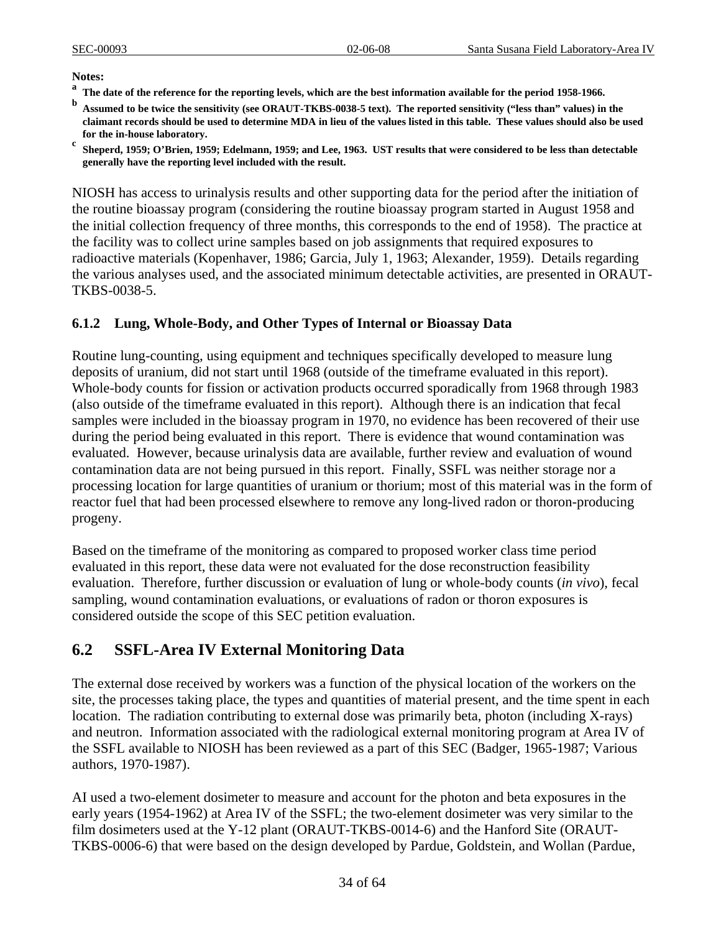#### Notes:

- **Notes: a The date of the reference for the reporting levels, which are the best information available for the period 1958-1966.**
- **b b Assumed to be twice the sensitivity (see ORAUT-TKBS-0038-5 text). The reported sensitivity ("less than" values) in the claimant records should be used to determine MDA in lieu of the values listed in this table. These values should also be used for the in-house laboratory. c Sheperd, 1959; O'Brien, 1959; Edelmann, 1959; and Lee, 1963. UST results that were considered to be less than detectable**
- **generally have the reporting level included with the result.**

NIOSH has access to urinalysis results and other supporting data for the period after the initiation of the routine bioassay program (considering the routine bioassay program started in August 1958 and the initial collection frequency of three months, this corresponds to the end of 1958). The practice at the facility was to collect urine samples based on job assignments that required exposures to radioactive materials (Kopenhaver, 1986; Garcia, July 1, 1963; Alexander, 1959). Details regarding the various analyses used, and the associated minimum detectable activities, are presented in ORAUT-TKBS-0038-5.

#### **6.1.2 Lung, Whole-Body, and Other Types of Internal or Bioassay Data**

Routine lung-counting, using equipment and techniques specifically developed to measure lung deposits of uranium, did not start until 1968 (outside of the timeframe evaluated in this report). Whole-body counts for fission or activation products occurred sporadically from 1968 through 1983 (also outside of the timeframe evaluated in this report). Although there is an indication that fecal samples were included in the bioassay program in 1970, no evidence has been recovered of their use during the period being evaluated in this report. There is evidence that wound contamination was evaluated. However, because urinalysis data are available, further review and evaluation of wound contamination data are not being pursued in this report. Finally, SSFL was neither storage nor a processing location for large quantities of uranium or thorium; most of this material was in the form of reactor fuel that had been processed elsewhere to remove any long-lived radon or thoron-producing progeny.

Based on the timeframe of the monitoring as compared to proposed worker class time period evaluated in this report, these data were not evaluated for the dose reconstruction feasibility evaluation. Therefore, further discussion or evaluation of lung or whole-body counts (*in vivo*), fecal sampling, wound contamination evaluations, or evaluations of radon or thoron exposures is considered outside the scope of this SEC petition evaluation.

## **6.2 SSFL-Area IV External Monitoring Data**

The external dose received by workers was a function of the physical location of the workers on the site, the processes taking place, the types and quantities of material present, and the time spent in each location. The radiation contributing to external dose was primarily beta, photon (including X-rays) and neutron. Information associated with the radiological external monitoring program at Area IV of the SSFL available to NIOSH has been reviewed as a part of this SEC (Badger, 1965-1987; Various authors, 1970-1987).

AI used a two-element dosimeter to measure and account for the photon and beta exposures in the early years (1954-1962) at Area IV of the SSFL; the two-element dosimeter was very similar to the film dosimeters used at the Y-12 plant (ORAUT-TKBS-0014-6) and the Hanford Site (ORAUT-TKBS-0006-6) that were based on the design developed by Pardue, Goldstein, and Wollan (Pardue,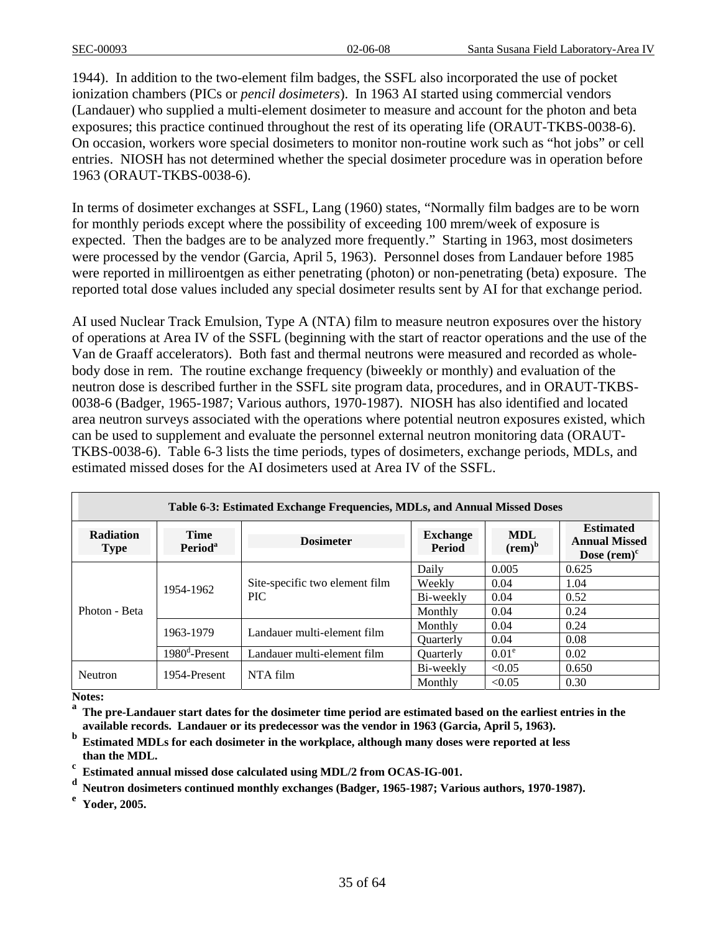1944). In addition to the two-element film badges, the SSFL also incorporated the use of pocket ionization chambers (PICs or *pencil dosimeters*). In 1963 AI started using commercial vendors (Landauer) who supplied a multi-element dosimeter to measure and account for the photon and beta exposures; this practice continued throughout the rest of its operating life (ORAUT-TKBS-0038-6). On occasion, workers wore special dosimeters to monitor non-routine work such as "hot jobs" or cell entries. NIOSH has not determined whether the special dosimeter procedure was in operation before 1963 (ORAUT-TKBS-0038-6).

In terms of dosimeter exchanges at SSFL, Lang (1960) states, "Normally film badges are to be worn for monthly periods except where the possibility of exceeding 100 mrem/week of exposure is expected. Then the badges are to be analyzed more frequently." Starting in 1963, most dosimeters were processed by the vendor (Garcia, April 5, 1963). Personnel doses from Landauer before 1985 were reported in milliroentgen as either penetrating (photon) or non-penetrating (beta) exposure. The reported total dose values included any special dosimeter results sent by AI for that exchange period.

AI used Nuclear Track Emulsion, Type A (NTA) film to measure neutron exposures over the history of operations at Area IV of the SSFL (beginning with the start of reactor operations and the use of the Van de Graaff accelerators). Both fast and thermal neutrons were measured and recorded as wholebody dose in rem. The routine exchange frequency (biweekly or monthly) and evaluation of the neutron dose is described further in the SSFL site program data, procedures, and in ORAUT-TKBS-0038-6 (Badger, 1965-1987; Various authors, 1970-1987). NIOSH has also identified and located area neutron surveys associated with the operations where potential neutron exposures existed, which can be used to supplement and evaluate the personnel external neutron monitoring data (ORAUT-TKBS-0038-6). Table 6-3 lists the time periods, types of dosimeters, exchange periods, MDLs, and estimated missed doses for the AI dosimeters used at Area IV of the SSFL.

| Table 6-3: Estimated Exchange Frequencies, MDLs, and Annual Missed Doses |                                    |                                              |                                  |                                |                                                            |
|--------------------------------------------------------------------------|------------------------------------|----------------------------------------------|----------------------------------|--------------------------------|------------------------------------------------------------|
| <b>Radiation</b><br><b>Type</b>                                          | <b>Time</b><br>Period <sup>a</sup> | <b>Dosimeter</b>                             | <b>Exchange</b><br><b>Period</b> | <b>MDL</b><br>$(\text{rem})^b$ | <b>Estimated</b><br><b>Annual Missed</b><br>Dose $(rem)^c$ |
|                                                                          |                                    |                                              | Daily                            | 0.005                          | 0.625                                                      |
|                                                                          | 1954-1962                          | Site-specific two element film<br><b>PIC</b> | Weekly                           | 0.04                           | 1.04                                                       |
|                                                                          | Photon - Beta                      |                                              | Bi-weekly                        | 0.04                           | 0.52                                                       |
|                                                                          |                                    |                                              | Monthly                          | 0.04                           | 0.24                                                       |
| 1963-1979                                                                |                                    | Landauer multi-element film                  | Monthly                          | 0.04                           | 0.24                                                       |
|                                                                          |                                    |                                              | <b>Ouarterly</b>                 | 0.04                           | 0.08                                                       |
|                                                                          | $1980^{\text{d}}$ -Present         | Landauer multi-element film                  | <b>Ouarterly</b>                 | 0.01 <sup>e</sup>              | 0.02                                                       |
| Neutron                                                                  | 1954-Present                       | NTA film                                     | Bi-weekly                        | < 0.05                         | 0.650                                                      |
|                                                                          |                                    |                                              | Monthly                          | < 0.05                         | 0.30                                                       |

**Notes:** 

The pre-Landauer start dates for the dosimeter time period are estimated based on the earliest entries in the **available records. Landauer or its predecessor was the vendor in 1963 (Garcia, April 5, 1963).** 

- **b** Estimated MDLs for each dosimeter in the workplace, although many doses were reported at less
- **than the MDL.**<br><sup>c</sup> Estimated annual missed dose calculated using MDL/2 from OCAS-IG-001.

<sup>d</sup> Neutron dosimeters continued monthly exchanges (Badger, 1965-1987; Various authors, 1970-1987).

<sup>e</sup> Yoder, 2005.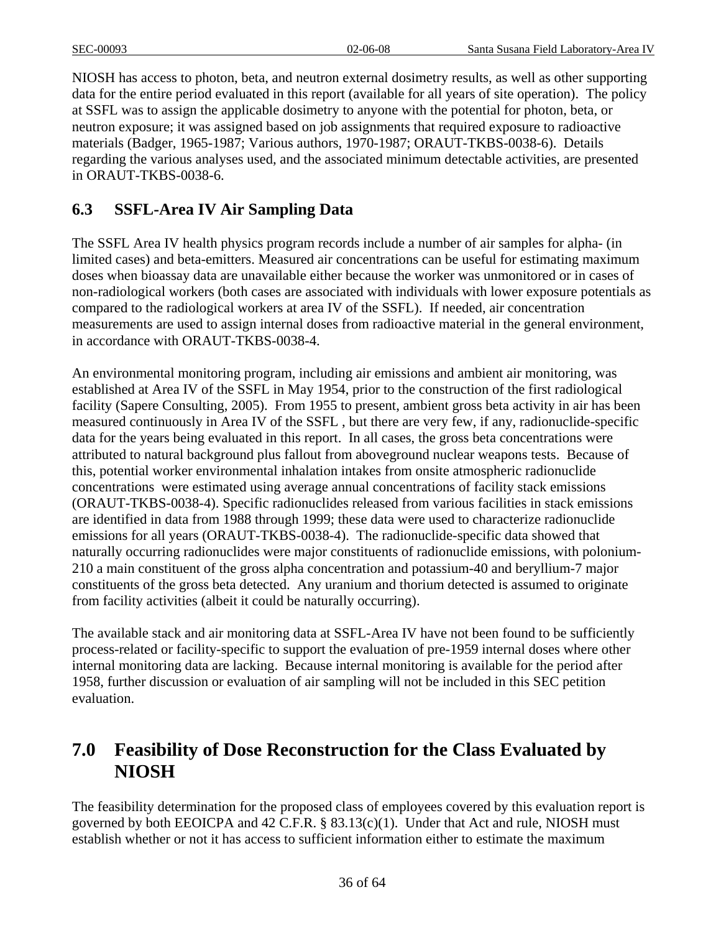| SEC-00093 | $-06-08$ | Santa Susana Field Laboratory-Area IV |
|-----------|----------|---------------------------------------|
|           |          |                                       |

NIOSH has access to photon, beta, and neutron external dosimetry results, as well as other supporting data for the entire period evaluated in this report (available for all years of site operation). The policy at SSFL was to assign the applicable dosimetry to anyone with the potential for photon, beta, or neutron exposure; it was assigned based on job assignments that required exposure to radioactive materials (Badger, 1965-1987; Various authors, 1970-1987; ORAUT-TKBS-0038-6). Details regarding the various analyses used, and the associated minimum detectable activities, are presented in ORAUT-TKBS-0038-6.

## **6.3 SSFL-Area IV Air Sampling Data**

The SSFL Area IV health physics program records include a number of air samples for alpha- (in limited cases) and beta-emitters. Measured air concentrations can be useful for estimating maximum doses when bioassay data are unavailable either because the worker was unmonitored or in cases of non-radiological workers (both cases are associated with individuals with lower exposure potentials as compared to the radiological workers at area IV of the SSFL). If needed, air concentration measurements are used to assign internal doses from radioactive material in the general environment, in accordance with ORAUT-TKBS-0038-4.

An environmental monitoring program, including air emissions and ambient air monitoring, was established at Area IV of the SSFL in May 1954, prior to the construction of the first radiological facility (Sapere Consulting, 2005). From 1955 to present, ambient gross beta activity in air has been measured continuously in Area IV of the SSFL , but there are very few, if any, radionuclide-specific data for the years being evaluated in this report. In all cases, the gross beta concentrations were attributed to natural background plus fallout from aboveground nuclear weapons tests. Because of this, potential worker environmental inhalation intakes from onsite atmospheric radionuclide concentrations were estimated using average annual concentrations of facility stack emissions (ORAUT-TKBS-0038-4). Specific radionuclides released from various facilities in stack emissions are identified in data from 1988 through 1999; these data were used to characterize radionuclide emissions for all years (ORAUT-TKBS-0038-4). The radionuclide-specific data showed that naturally occurring radionuclides were major constituents of radionuclide emissions, with polonium-210 a main constituent of the gross alpha concentration and potassium-40 and beryllium-7 major constituents of the gross beta detected. Any uranium and thorium detected is assumed to originate from facility activities (albeit it could be naturally occurring).

The available stack and air monitoring data at SSFL-Area IV have not been found to be sufficiently process-related or facility-specific to support the evaluation of pre-1959 internal doses where other internal monitoring data are lacking. Because internal monitoring is available for the period after 1958, further discussion or evaluation of air sampling will not be included in this SEC petition evaluation.

## **7.0 Feasibility of Dose Reconstruction for the Class Evaluated by NIOSH**

The feasibility determination for the proposed class of employees covered by this evaluation report is governed by both EEOICPA and 42 C.F.R. § 83.13(c)(1). Under that Act and rule, NIOSH must establish whether or not it has access to sufficient information either to estimate the maximum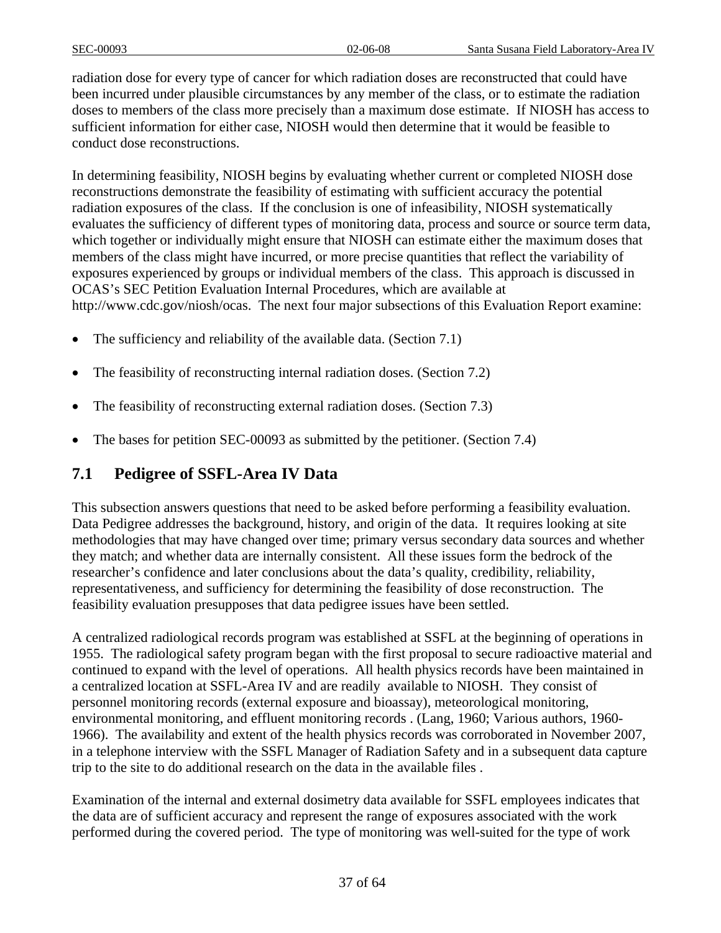| <b>SEC-00093</b>                                                                                    | $02 - 06 - 08$ | Santa Susana Field Laboratory-Area IV |
|-----------------------------------------------------------------------------------------------------|----------------|---------------------------------------|
| radiation dose for every type of cancer for which radiation doses are reconstructed that could have |                |                                       |

radiation dose for every type of cancer for which radiation doses are reconstructed that could have been incurred under plausible circumstances by any member of the class, or to estimate the radiation doses to members of the class more precisely than a maximum dose estimate. If NIOSH has access to sufficient information for either case, NIOSH would then determine that it would be feasible to conduct dose reconstructions.

In determining feasibility, NIOSH begins by evaluating whether current or completed NIOSH dose reconstructions demonstrate the feasibility of estimating with sufficient accuracy the potential radiation exposures of the class. If the conclusion is one of infeasibility, NIOSH systematically evaluates the sufficiency of different types of monitoring data, process and source or source term data, which together or individually might ensure that NIOSH can estimate either the maximum doses that members of the class might have incurred, or more precise quantities that reflect the variability of exposures experienced by groups or individual members of the class. This approach is discussed in OCAS's SEC Petition Evaluation Internal Procedures, which are available at http://www.cdc.gov/niosh/ocas. The next four major subsections of this Evaluation Report examine:

- The sufficiency and reliability of the available data. (Section 7.1)
- The feasibility of reconstructing internal radiation doses. (Section 7.2)
- The feasibility of reconstructing external radiation doses. (Section 7.3)
- The bases for petition SEC-00093 as submitted by the petitioner. (Section 7.4)

## **7.1 Pedigree of SSFL-Area IV Data**

This subsection answers questions that need to be asked before performing a feasibility evaluation. Data Pedigree addresses the background, history, and origin of the data. It requires looking at site methodologies that may have changed over time; primary versus secondary data sources and whether they match; and whether data are internally consistent. All these issues form the bedrock of the researcher's confidence and later conclusions about the data's quality, credibility, reliability, representativeness, and sufficiency for determining the feasibility of dose reconstruction. The feasibility evaluation presupposes that data pedigree issues have been settled.

A centralized radiological records program was established at SSFL at the beginning of operations in 1955. The radiological safety program began with the first proposal to secure radioactive material and continued to expand with the level of operations. All health physics records have been maintained in a centralized location at SSFL-Area IV and are readily available to NIOSH. They consist of personnel monitoring records (external exposure and bioassay), meteorological monitoring, environmental monitoring, and effluent monitoring records . (Lang, 1960; Various authors, 1960 1966). The availability and extent of the health physics records was corroborated in November 2007, in a telephone interview with the SSFL Manager of Radiation Safety and in a subsequent data capture trip to the site to do additional research on the data in the available files .

Examination of the internal and external dosimetry data available for SSFL employees indicates that the data are of sufficient accuracy and represent the range of exposures associated with the work performed during the covered period. The type of monitoring was well-suited for the type of work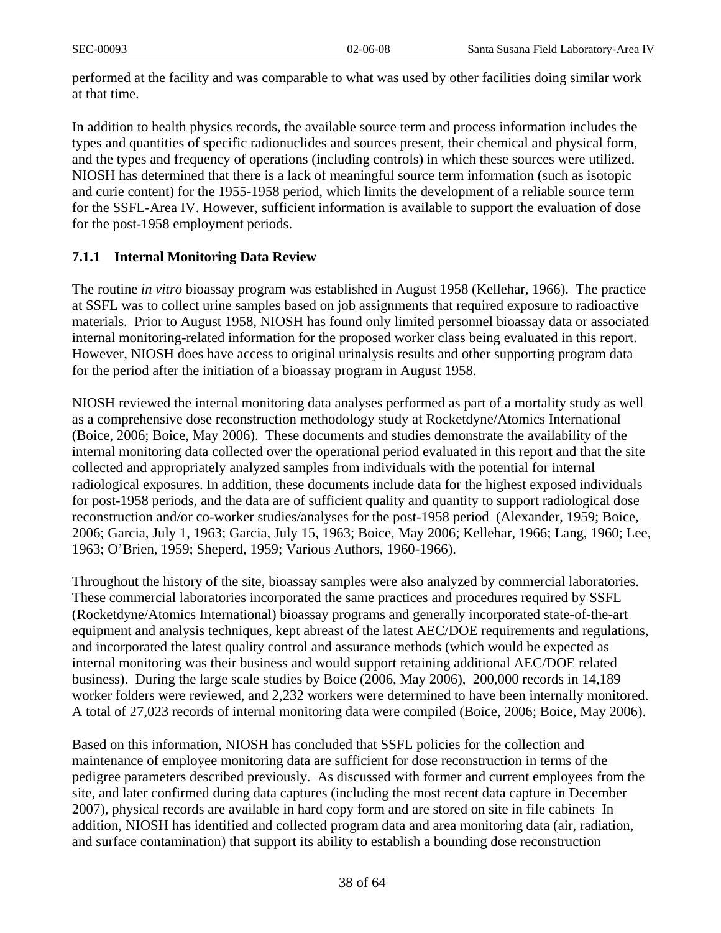| SEC     | $2-06-08$ | Laboratory-Area I  |
|---------|-----------|--------------------|
| 2-00093 | UZ        | Santa Susana Field |
|         |           |                    |

performed at the facility and was comparable to what was used by other facilities doing similar work at that time.

In addition to health physics records, the available source term and process information includes the types and quantities of specific radionuclides and sources present, their chemical and physical form, and the types and frequency of operations (including controls) in which these sources were utilized. NIOSH has determined that there is a lack of meaningful source term information (such as isotopic and curie content) for the 1955-1958 period, which limits the development of a reliable source term for the SSFL-Area IV. However, sufficient information is available to support the evaluation of dose for the post-1958 employment periods.

### **7.1.1 Internal Monitoring Data Review**

The routine *in vitro* bioassay program was established in August 1958 (Kellehar, 1966). The practice at SSFL was to collect urine samples based on job assignments that required exposure to radioactive materials. Prior to August 1958, NIOSH has found only limited personnel bioassay data or associated internal monitoring-related information for the proposed worker class being evaluated in this report. However, NIOSH does have access to original urinalysis results and other supporting program data for the period after the initiation of a bioassay program in August 1958.

NIOSH reviewed the internal monitoring data analyses performed as part of a mortality study as well as a comprehensive dose reconstruction methodology study at Rocketdyne/Atomics International (Boice, 2006; Boice, May 2006). These documents and studies demonstrate the availability of the internal monitoring data collected over the operational period evaluated in this report and that the site collected and appropriately analyzed samples from individuals with the potential for internal radiological exposures. In addition, these documents include data for the highest exposed individuals for post-1958 periods, and the data are of sufficient quality and quantity to support radiological dose reconstruction and/or co-worker studies/analyses for the post-1958 period (Alexander, 1959; Boice, 2006; Garcia, July 1, 1963; Garcia, July 15, 1963; Boice, May 2006; Kellehar, 1966; Lang, 1960; Lee, 1963; O'Brien, 1959; Sheperd, 1959; Various Authors, 1960-1966).

Throughout the history of the site, bioassay samples were also analyzed by commercial laboratories. These commercial laboratories incorporated the same practices and procedures required by SSFL (Rocketdyne/Atomics International) bioassay programs and generally incorporated state-of-the-art equipment and analysis techniques, kept abreast of the latest AEC/DOE requirements and regulations, and incorporated the latest quality control and assurance methods (which would be expected as internal monitoring was their business and would support retaining additional AEC/DOE related business). During the large scale studies by Boice (2006, May 2006), 200,000 records in 14,189 worker folders were reviewed, and 2,232 workers were determined to have been internally monitored. A total of 27,023 records of internal monitoring data were compiled (Boice, 2006; Boice, May 2006).

Based on this information, NIOSH has concluded that SSFL policies for the collection and maintenance of employee monitoring data are sufficient for dose reconstruction in terms of the pedigree parameters described previously. As discussed with former and current employees from the site, and later confirmed during data captures (including the most recent data capture in December 2007), physical records are available in hard copy form and are stored on site in file cabinets In addition, NIOSH has identified and collected program data and area monitoring data (air, radiation, and surface contamination) that support its ability to establish a bounding dose reconstruction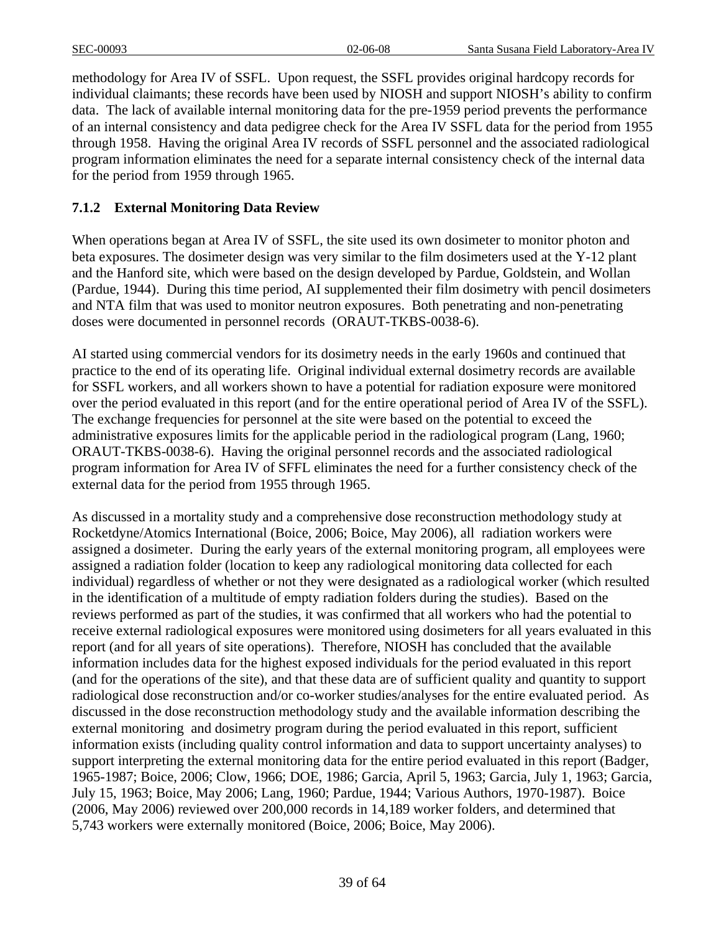| SEC-00093 | $02-06-08$ | Santa Susana Field Laboratory-Area IV |
|-----------|------------|---------------------------------------|
|           |            |                                       |

methodology for Area IV of SSFL. Upon request, the SSFL provides original hardcopy records for individual claimants; these records have been used by NIOSH and support NIOSH's ability to confirm data. The lack of available internal monitoring data for the pre-1959 period prevents the performance of an internal consistency and data pedigree check for the Area IV SSFL data for the period from 1955 through 1958. Having the original Area IV records of SSFL personnel and the associated radiological program information eliminates the need for a separate internal consistency check of the internal data for the period from 1959 through 1965.

### **7.1.2 External Monitoring Data Review**

When operations began at Area IV of SSFL, the site used its own dosimeter to monitor photon and beta exposures. The dosimeter design was very similar to the film dosimeters used at the Y-12 plant and the Hanford site, which were based on the design developed by Pardue, Goldstein, and Wollan (Pardue, 1944). During this time period, AI supplemented their film dosimetry with pencil dosimeters and NTA film that was used to monitor neutron exposures. Both penetrating and non-penetrating doses were documented in personnel records (ORAUT-TKBS-0038-6).

AI started using commercial vendors for its dosimetry needs in the early 1960s and continued that practice to the end of its operating life. Original individual external dosimetry records are available for SSFL workers, and all workers shown to have a potential for radiation exposure were monitored over the period evaluated in this report (and for the entire operational period of Area IV of the SSFL). The exchange frequencies for personnel at the site were based on the potential to exceed the administrative exposures limits for the applicable period in the radiological program (Lang, 1960; ORAUT-TKBS-0038-6). Having the original personnel records and the associated radiological program information for Area IV of SFFL eliminates the need for a further consistency check of the external data for the period from 1955 through 1965.

As discussed in a mortality study and a comprehensive dose reconstruction methodology study at Rocketdyne/Atomics International (Boice, 2006; Boice, May 2006), all radiation workers were assigned a dosimeter. During the early years of the external monitoring program, all employees were assigned a radiation folder (location to keep any radiological monitoring data collected for each individual) regardless of whether or not they were designated as a radiological worker (which resulted in the identification of a multitude of empty radiation folders during the studies). Based on the reviews performed as part of the studies, it was confirmed that all workers who had the potential to receive external radiological exposures were monitored using dosimeters for all years evaluated in this report (and for all years of site operations). Therefore, NIOSH has concluded that the available information includes data for the highest exposed individuals for the period evaluated in this report (and for the operations of the site), and that these data are of sufficient quality and quantity to support radiological dose reconstruction and/or co-worker studies/analyses for the entire evaluated period. As discussed in the dose reconstruction methodology study and the available information describing the external monitoring and dosimetry program during the period evaluated in this report, sufficient information exists (including quality control information and data to support uncertainty analyses) to support interpreting the external monitoring data for the entire period evaluated in this report (Badger, 1965-1987; Boice, 2006; Clow, 1966; DOE, 1986; Garcia, April 5, 1963; Garcia, July 1, 1963; Garcia, July 15, 1963; Boice, May 2006; Lang, 1960; Pardue, 1944; Various Authors, 1970-1987). Boice (2006, May 2006) reviewed over 200,000 records in 14,189 worker folders, and determined that 5,743 workers were externally monitored (Boice, 2006; Boice, May 2006).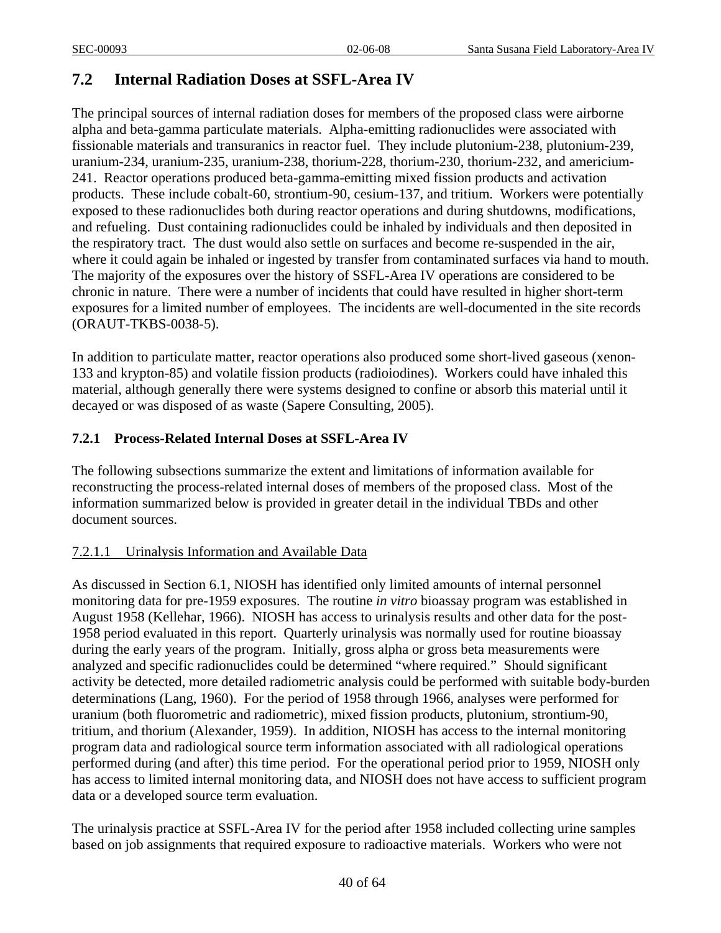## **7.2 Internal Radiation Doses at SSFL-Area IV**

The principal sources of internal radiation doses for members of the proposed class were airborne alpha and beta-gamma particulate materials. Alpha-emitting radionuclides were associated with fissionable materials and transuranics in reactor fuel. They include plutonium-238, plutonium-239, uranium-234, uranium-235, uranium-238, thorium-228, thorium-230, thorium-232, and americium-241. Reactor operations produced beta-gamma-emitting mixed fission products and activation products. These include cobalt-60, strontium-90, cesium-137, and tritium. Workers were potentially exposed to these radionuclides both during reactor operations and during shutdowns, modifications, and refueling. Dust containing radionuclides could be inhaled by individuals and then deposited in the respiratory tract. The dust would also settle on surfaces and become re-suspended in the air, where it could again be inhaled or ingested by transfer from contaminated surfaces via hand to mouth. The majority of the exposures over the history of SSFL-Area IV operations are considered to be chronic in nature. There were a number of incidents that could have resulted in higher short-term exposures for a limited number of employees. The incidents are well-documented in the site records (ORAUT-TKBS-0038-5).

In addition to particulate matter, reactor operations also produced some short-lived gaseous (xenon-133 and krypton-85) and volatile fission products (radioiodines). Workers could have inhaled this material, although generally there were systems designed to confine or absorb this material until it decayed or was disposed of as waste (Sapere Consulting, 2005).

## **7.2.1 Process-Related Internal Doses at SSFL-Area IV**

The following subsections summarize the extent and limitations of information available for reconstructing the process-related internal doses of members of the proposed class. Most of the information summarized below is provided in greater detail in the individual TBDs and other document sources.

## 7.2.1.1 Urinalysis Information and Available Data

As discussed in Section 6.1, NIOSH has identified only limited amounts of internal personnel monitoring data for pre-1959 exposures. The routine *in vitro* bioassay program was established in August 1958 (Kellehar, 1966). NIOSH has access to urinalysis results and other data for the post-1958 period evaluated in this report. Quarterly urinalysis was normally used for routine bioassay during the early years of the program. Initially, gross alpha or gross beta measurements were analyzed and specific radionuclides could be determined "where required." Should significant activity be detected, more detailed radiometric analysis could be performed with suitable body-burden determinations (Lang, 1960). For the period of 1958 through 1966, analyses were performed for uranium (both fluorometric and radiometric), mixed fission products, plutonium, strontium-90, tritium, and thorium (Alexander, 1959). In addition, NIOSH has access to the internal monitoring program data and radiological source term information associated with all radiological operations performed during (and after) this time period. For the operational period prior to 1959, NIOSH only has access to limited internal monitoring data, and NIOSH does not have access to sufficient program data or a developed source term evaluation.

The urinalysis practice at SSFL-Area IV for the period after 1958 included collecting urine samples based on job assignments that required exposure to radioactive materials. Workers who were not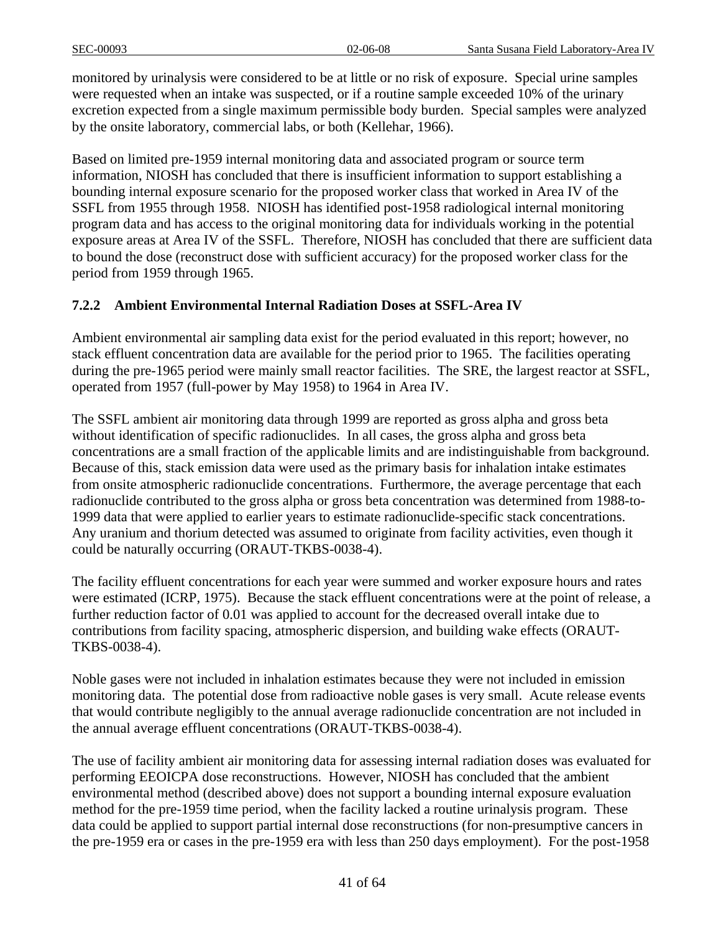| SEC-00093                                                                                             | $02-06-08$ | Santa Susana Field Laboratory-Area IV |
|-------------------------------------------------------------------------------------------------------|------------|---------------------------------------|
|                                                                                                       |            |                                       |
| monitored by urinalysis were considered to be at little or no risk of exposure. Special urine samples |            |                                       |
| were requested when an intake was suspected, or if a routine sample exceeded 10% of the urinary       |            |                                       |

were requested when an intake was suspected, or if a routine sample exceeded 10% of the urinary excretion expected from a single maximum permissible body burden. Special samples were analyzed by the onsite laboratory, commercial labs, or both (Kellehar, 1966).

Based on limited pre-1959 internal monitoring data and associated program or source term information, NIOSH has concluded that there is insufficient information to support establishing a bounding internal exposure scenario for the proposed worker class that worked in Area IV of the SSFL from 1955 through 1958. NIOSH has identified post-1958 radiological internal monitoring program data and has access to the original monitoring data for individuals working in the potential exposure areas at Area IV of the SSFL. Therefore, NIOSH has concluded that there are sufficient data to bound the dose (reconstruct dose with sufficient accuracy) for the proposed worker class for the period from 1959 through 1965.

## **7.2.2 Ambient Environmental Internal Radiation Doses at SSFL-Area IV**

Ambient environmental air sampling data exist for the period evaluated in this report; however, no stack effluent concentration data are available for the period prior to 1965. The facilities operating during the pre-1965 period were mainly small reactor facilities. The SRE, the largest reactor at SSFL, operated from 1957 (full-power by May 1958) to 1964 in Area IV.

could be naturally occurring (ORAUT-TKBS-0038-4). The SSFL ambient air monitoring data through 1999 are reported as gross alpha and gross beta without identification of specific radionuclides. In all cases, the gross alpha and gross beta concentrations are a small fraction of the applicable limits and are indistinguishable from background. Because of this, stack emission data were used as the primary basis for inhalation intake estimates from onsite atmospheric radionuclide concentrations. Furthermore, the average percentage that each radionuclide contributed to the gross alpha or gross beta concentration was determined from 1988-to-1999 data that were applied to earlier years to estimate radionuclide-specific stack concentrations. Any uranium and thorium detected was assumed to originate from facility activities, even though it

The facility effluent concentrations for each year were summed and worker exposure hours and rates were estimated (ICRP, 1975). Because the stack effluent concentrations were at the point of release, a further reduction factor of 0.01 was applied to account for the decreased overall intake due to contributions from facility spacing, atmospheric dispersion, and building wake effects (ORAUT-TKBS-0038-4).

Noble gases were not included in inhalation estimates because they were not included in emission monitoring data. The potential dose from radioactive noble gases is very small. Acute release events that would contribute negligibly to the annual average radionuclide concentration are not included in the annual average effluent concentrations (ORAUT-TKBS-0038-4).

The use of facility ambient air monitoring data for assessing internal radiation doses was evaluated for performing EEOICPA dose reconstructions. However, NIOSH has concluded that the ambient environmental method (described above) does not support a bounding internal exposure evaluation method for the pre-1959 time period, when the facility lacked a routine urinalysis program. These data could be applied to support partial internal dose reconstructions (for non-presumptive cancers in the pre-1959 era or cases in the pre-1959 era with less than 250 days employment). For the post-1958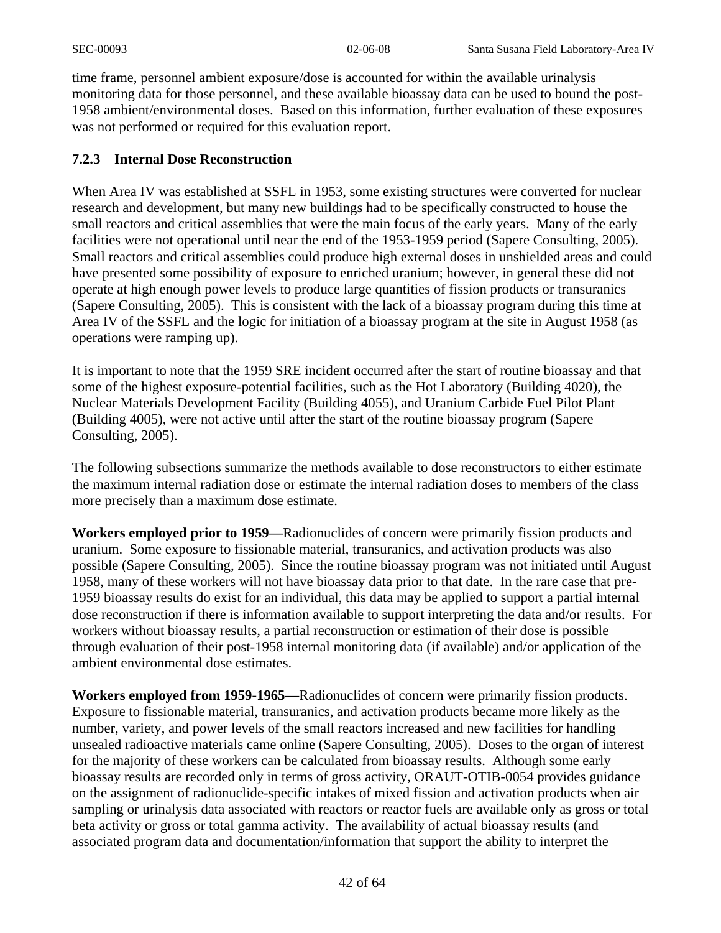| SEC-00093                                                                                              | $02-06-08$ | Santa Susana Field Laboratory-Area IV |
|--------------------------------------------------------------------------------------------------------|------------|---------------------------------------|
|                                                                                                        |            |                                       |
| time frame, personnel ambient exposure/dose is accounted for within the available urinalysis           |            |                                       |
| monitoring data for those nervoused, and these evoilable biosessexy data see he yead to hound the next |            |                                       |

monitoring data for those personnel, and these available bioassay data can be used to bound the post-1958 ambient/environmental doses. Based on this information, further evaluation of these exposures was not performed or required for this evaluation report.

## **7.2.3 Internal Dose Reconstruction**

When Area IV was established at SSFL in 1953, some existing structures were converted for nuclear research and development, but many new buildings had to be specifically constructed to house the small reactors and critical assemblies that were the main focus of the early years. Many of the early facilities were not operational until near the end of the 1953-1959 period (Sapere Consulting, 2005). Small reactors and critical assemblies could produce high external doses in unshielded areas and could have presented some possibility of exposure to enriched uranium; however, in general these did not operate at high enough power levels to produce large quantities of fission products or transuranics (Sapere Consulting, 2005). This is consistent with the lack of a bioassay program during this time at Area IV of the SSFL and the logic for initiation of a bioassay program at the site in August 1958 (as operations were ramping up).

It is important to note that the 1959 SRE incident occurred after the start of routine bioassay and that some of the highest exposure-potential facilities, such as the Hot Laboratory (Building 4020), the Nuclear Materials Development Facility (Building 4055), and Uranium Carbide Fuel Pilot Plant (Building 4005), were not active until after the start of the routine bioassay program (Sapere Consulting, 2005).

The following subsections summarize the methods available to dose reconstructors to either estimate the maximum internal radiation dose or estimate the internal radiation doses to members of the class more precisely than a maximum dose estimate.

**Workers employed prior to 1959—**Radionuclides of concern were primarily fission products and uranium. Some exposure to fissionable material, transuranics, and activation products was also possible (Sapere Consulting, 2005). Since the routine bioassay program was not initiated until August 1958, many of these workers will not have bioassay data prior to that date. In the rare case that pre-1959 bioassay results do exist for an individual, this data may be applied to support a partial internal dose reconstruction if there is information available to support interpreting the data and/or results. For workers without bioassay results, a partial reconstruction or estimation of their dose is possible through evaluation of their post-1958 internal monitoring data (if available) and/or application of the ambient environmental dose estimates.

**Workers employed from 1959-1965—**Radionuclides of concern were primarily fission products. Exposure to fissionable material, transuranics, and activation products became more likely as the number, variety, and power levels of the small reactors increased and new facilities for handling unsealed radioactive materials came online (Sapere Consulting, 2005). Doses to the organ of interest for the majority of these workers can be calculated from bioassay results. Although some early bioassay results are recorded only in terms of gross activity, ORAUT-OTIB-0054 provides guidance on the assignment of radionuclide-specific intakes of mixed fission and activation products when air sampling or urinalysis data associated with reactors or reactor fuels are available only as gross or total beta activity or gross or total gamma activity. The availability of actual bioassay results (and associated program data and documentation/information that support the ability to interpret the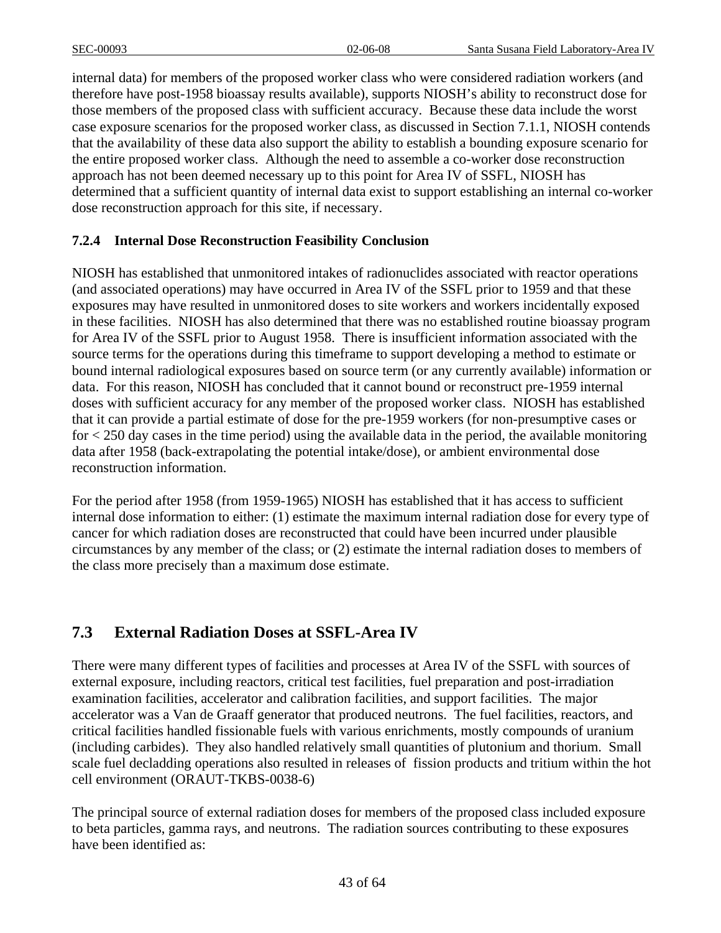| SEC-00093                                                                                                  | $02 - 06 - 08$ | Santa Susana Field Laboratory-Area IV |
|------------------------------------------------------------------------------------------------------------|----------------|---------------------------------------|
| internal data) for members of the proposed worker class who were considered radiation workers (and         |                |                                       |
| therefore have post-1958 bioassay results available), supports NIOSH's ability to reconstruct dose for     |                |                                       |
| those members of the proposed class with sufficient accuracy. Because these data include the worst         |                |                                       |
| case exposure scenarios for the proposed worker class, as discussed in Section 7.1.1, NIOSH contends       |                |                                       |
| that the availability of these data also support the ability to establish a bounding exposure scenario for |                |                                       |
| the entire proposed worker class. Although the need to assemble a co-worker dose reconstruction            |                |                                       |
| approach has not been deemed necessary up to this point for Area IV of SSFL, NIOSH has                     |                |                                       |
| determined that a sufficient quantity of internal data exist to support establishing an internal co-worker |                |                                       |
| dose reconstruction approach for this site, if necessary.                                                  |                |                                       |

#### **7.2.4 Internal Dose Reconstruction Feasibility Conclusion**

NIOSH has established that unmonitored intakes of radionuclides associated with reactor operations (and associated operations) may have occurred in Area IV of the SSFL prior to 1959 and that these exposures may have resulted in unmonitored doses to site workers and workers incidentally exposed in these facilities. NIOSH has also determined that there was no established routine bioassay program for Area IV of the SSFL prior to August 1958. There is insufficient information associated with the source terms for the operations during this timeframe to support developing a method to estimate or bound internal radiological exposures based on source term (or any currently available) information or data. For this reason, NIOSH has concluded that it cannot bound or reconstruct pre-1959 internal doses with sufficient accuracy for any member of the proposed worker class. NIOSH has established that it can provide a partial estimate of dose for the pre-1959 workers (for non-presumptive cases or  $for < 250$  day cases in the time period) using the available data in the period, the available monitoring data after 1958 (back-extrapolating the potential intake/dose), or ambient environmental dose reconstruction information.

For the period after 1958 (from 1959-1965) NIOSH has established that it has access to sufficient internal dose information to either: (1) estimate the maximum internal radiation dose for every type of cancer for which radiation doses are reconstructed that could have been incurred under plausible circumstances by any member of the class; or (2) estimate the internal radiation doses to members of the class more precisely than a maximum dose estimate.

## **7.3 External Radiation Doses at SSFL-Area IV**

There were many different types of facilities and processes at Area IV of the SSFL with sources of external exposure, including reactors, critical test facilities, fuel preparation and post-irradiation examination facilities, accelerator and calibration facilities, and support facilities. The major accelerator was a Van de Graaff generator that produced neutrons. The fuel facilities, reactors, and critical facilities handled fissionable fuels with various enrichments, mostly compounds of uranium (including carbides). They also handled relatively small quantities of plutonium and thorium. Small scale fuel decladding operations also resulted in releases of fission products and tritium within the hot cell environment (ORAUT-TKBS-0038-6)

The principal source of external radiation doses for members of the proposed class included exposure to beta particles, gamma rays, and neutrons. The radiation sources contributing to these exposures have been identified as: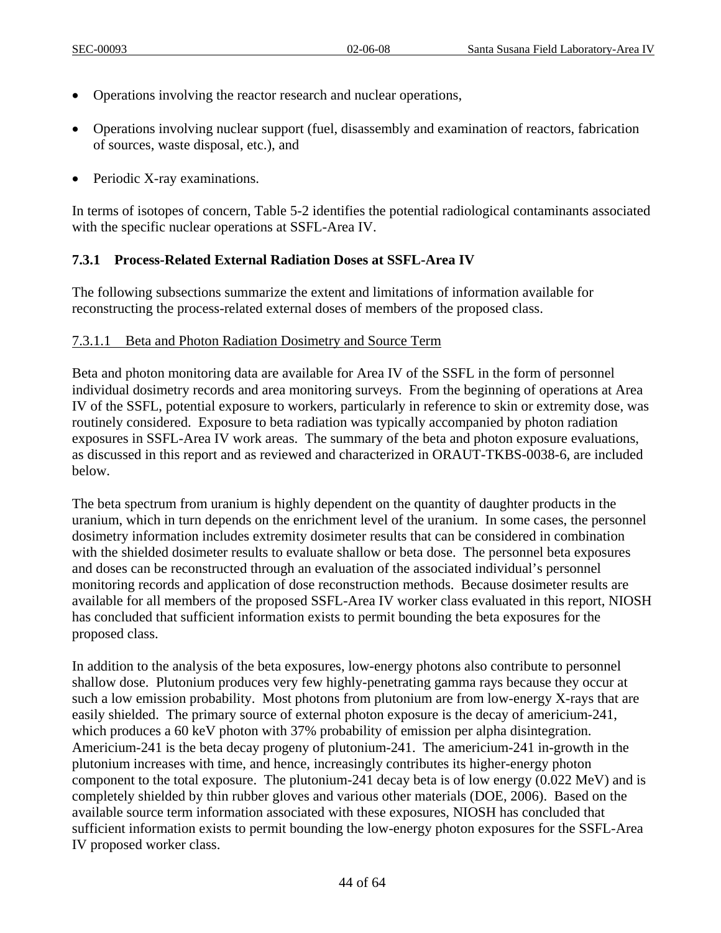- Operations involving the reactor research and nuclear operations,
- Operations involving nuclear support (fuel, disassembly and examination of reactors, fabrication of sources, waste disposal, etc.), and
- Periodic X-ray examinations.

In terms of isotopes of concern, Table 5-2 identifies the potential radiological contaminants associated with the specific nuclear operations at SSFL-Area IV.

### **7.3.1 Process-Related External Radiation Doses at SSFL-Area IV**

The following subsections summarize the extent and limitations of information available for reconstructing the process-related external doses of members of the proposed class.

#### 7.3.1.1 Beta and Photon Radiation Dosimetry and Source Term

Beta and photon monitoring data are available for Area IV of the SSFL in the form of personnel individual dosimetry records and area monitoring surveys. From the beginning of operations at Area IV of the SSFL, potential exposure to workers, particularly in reference to skin or extremity dose, was routinely considered. Exposure to beta radiation was typically accompanied by photon radiation exposures in SSFL-Area IV work areas. The summary of the beta and photon exposure evaluations, as discussed in this report and as reviewed and characterized in ORAUT-TKBS-0038-6, are included below.

The beta spectrum from uranium is highly dependent on the quantity of daughter products in the uranium, which in turn depends on the enrichment level of the uranium. In some cases, the personnel dosimetry information includes extremity dosimeter results that can be considered in combination with the shielded dosimeter results to evaluate shallow or beta dose. The personnel beta exposures and doses can be reconstructed through an evaluation of the associated individual's personnel monitoring records and application of dose reconstruction methods. Because dosimeter results are available for all members of the proposed SSFL-Area IV worker class evaluated in this report, NIOSH has concluded that sufficient information exists to permit bounding the beta exposures for the proposed class.

In addition to the analysis of the beta exposures, low-energy photons also contribute to personnel shallow dose. Plutonium produces very few highly-penetrating gamma rays because they occur at such a low emission probability. Most photons from plutonium are from low-energy X-rays that are easily shielded. The primary source of external photon exposure is the decay of americium-241, which produces a 60 keV photon with 37% probability of emission per alpha disintegration. Americium-241 is the beta decay progeny of plutonium-241. The americium-241 in-growth in the plutonium increases with time, and hence, increasingly contributes its higher-energy photon component to the total exposure. The plutonium-241 decay beta is of low energy (0.022 MeV) and is completely shielded by thin rubber gloves and various other materials (DOE, 2006). Based on the available source term information associated with these exposures, NIOSH has concluded that sufficient information exists to permit bounding the low-energy photon exposures for the SSFL-Area IV proposed worker class.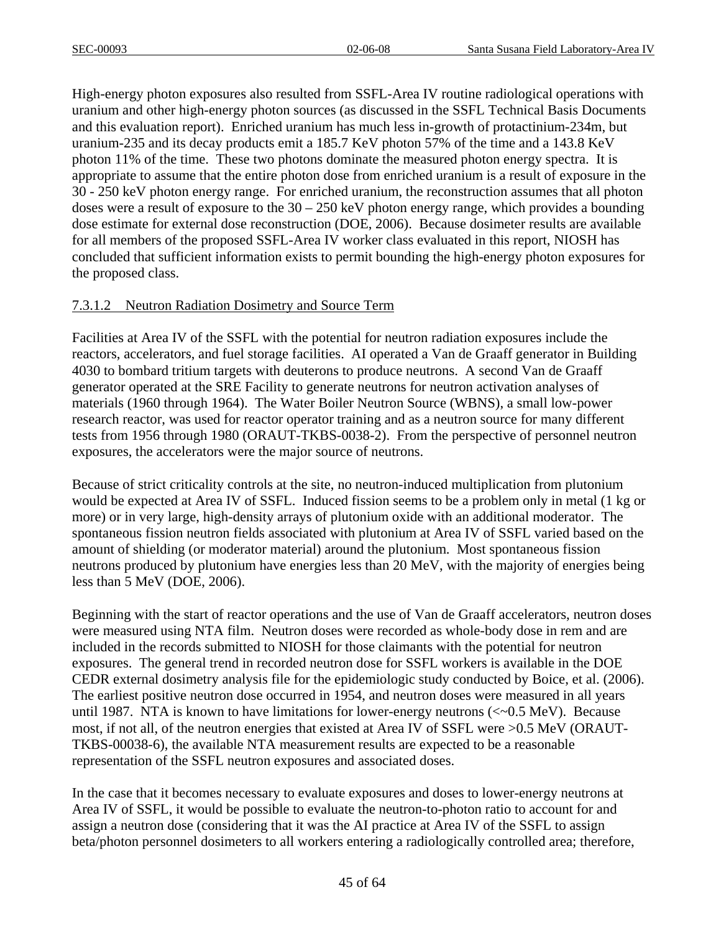High-energy photon exposures also resulted from SSFL-Area IV routine radiological operations with uranium and other high-energy photon sources (as discussed in the SSFL Technical Basis Documents and this evaluation report). Enriched uranium has much less in-growth of protactinium-234m, but uranium-235 and its decay products emit a 185.7 KeV photon 57% of the time and a 143.8 KeV photon 11% of the time. These two photons dominate the measured photon energy spectra. It is appropriate to assume that the entire photon dose from enriched uranium is a result of exposure in the 30 - 250 keV photon energy range. For enriched uranium, the reconstruction assumes that all photon doses were a result of exposure to the  $30 - 250$  keV photon energy range, which provides a bounding dose estimate for external dose reconstruction (DOE, 2006). Because dosimeter results are available for all members of the proposed SSFL-Area IV worker class evaluated in this report, NIOSH has concluded that sufficient information exists to permit bounding the high-energy photon exposures for the proposed class.

### 7.3.1.2 Neutron Radiation Dosimetry and Source Term

Facilities at Area IV of the SSFL with the potential for neutron radiation exposures include the reactors, accelerators, and fuel storage facilities. AI operated a Van de Graaff generator in Building 4030 to bombard tritium targets with deuterons to produce neutrons. A second Van de Graaff generator operated at the SRE Facility to generate neutrons for neutron activation analyses of materials (1960 through 1964). The Water Boiler Neutron Source (WBNS), a small low-power research reactor, was used for reactor operator training and as a neutron source for many different tests from 1956 through 1980 (ORAUT-TKBS-0038-2). From the perspective of personnel neutron exposures, the accelerators were the major source of neutrons.

Because of strict criticality controls at the site, no neutron-induced multiplication from plutonium would be expected at Area IV of SSFL. Induced fission seems to be a problem only in metal (1 kg or more) or in very large, high-density arrays of plutonium oxide with an additional moderator. The spontaneous fission neutron fields associated with plutonium at Area IV of SSFL varied based on the amount of shielding (or moderator material) around the plutonium. Most spontaneous fission neutrons produced by plutonium have energies less than 20 MeV, with the majority of energies being less than 5 MeV (DOE, 2006).

Beginning with the start of reactor operations and the use of Van de Graaff accelerators, neutron doses were measured using NTA film. Neutron doses were recorded as whole-body dose in rem and are included in the records submitted to NIOSH for those claimants with the potential for neutron exposures. The general trend in recorded neutron dose for SSFL workers is available in the DOE CEDR external dosimetry analysis file for the epidemiologic study conducted by Boice, et al. (2006). The earliest positive neutron dose occurred in 1954, and neutron doses were measured in all years until 1987. NTA is known to have limitations for lower-energy neutrons  $\ll$  0.5 MeV). Because most, if not all, of the neutron energies that existed at Area IV of SSFL were >0.5 MeV (ORAUT-TKBS-00038-6), the available NTA measurement results are expected to be a reasonable representation of the SSFL neutron exposures and associated doses.

In the case that it becomes necessary to evaluate exposures and doses to lower-energy neutrons at Area IV of SSFL, it would be possible to evaluate the neutron-to-photon ratio to account for and assign a neutron dose (considering that it was the AI practice at Area IV of the SSFL to assign beta/photon personnel dosimeters to all workers entering a radiologically controlled area; therefore,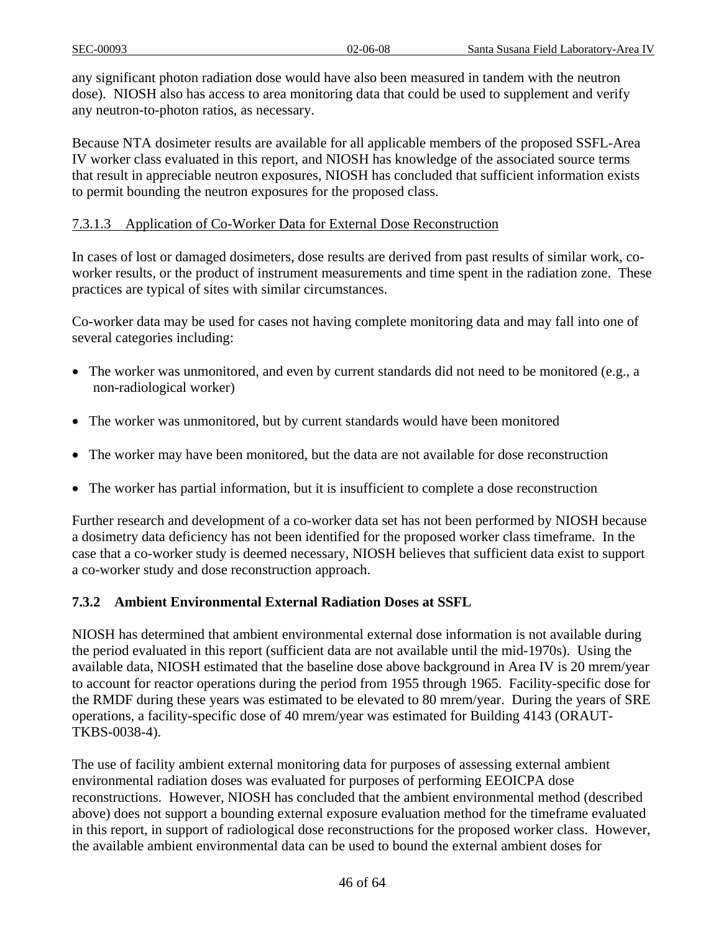dose). NIOSH also has access to area monitoring data that could be used to supplement and verify any significant photon radiation dose would have also been measured in tandem with the neutron any neutron-to-photon ratios, as necessary.

Because NTA dosimeter results are available for all applicable members of the proposed SSFL-Area IV worker class evaluated in this report, and NIOSH has knowledge of the associated source terms that result in appreciable neutron exposures, NIOSH has concluded that sufficient information exists to permit bounding the neutron exposures for the proposed class.

### 7.3.1.3 Application of Co-Worker Data for External Dose Reconstruction

In cases of lost or damaged dosimeters, dose results are derived from past results of similar work, coworker results, or the product of instrument measurements and time spent in the radiation zone. These practices are typical of sites with similar circumstances.

Co-worker data may be used for cases not having complete monitoring data and may fall into one of several categories including:

- The worker was unmonitored, and even by current standards did not need to be monitored (e.g., a non-radiological worker)
- The worker was unmonitored, but by current standards would have been monitored
- The worker may have been monitored, but the data are not available for dose reconstruction
- The worker has partial information, but it is insufficient to complete a dose reconstruction

Further research and development of a co-worker data set has not been performed by NIOSH because a dosimetry data deficiency has not been identified for the proposed worker class timeframe. In the case that a co-worker study is deemed necessary, NIOSH believes that sufficient data exist to support a co-worker study and dose reconstruction approach.

## **7.3.2 Ambient Environmental External Radiation Doses at SSFL**

NIOSH has determined that ambient environmental external dose information is not available during the period evaluated in this report (sufficient data are not available until the mid-1970s). Using the available data, NIOSH estimated that the baseline dose above background in Area IV is 20 mrem/year to account for reactor operations during the period from 1955 through 1965. Facility-specific dose for the RMDF during these years was estimated to be elevated to 80 mrem/year. During the years of SRE operations, a facility-specific dose of 40 mrem/year was estimated for Building 4143 (ORAUT-TKBS-0038-4).

The use of facility ambient external monitoring data for purposes of assessing external ambient environmental radiation doses was evaluated for purposes of performing EEOICPA dose reconstructions. However, NIOSH has concluded that the ambient environmental method (described above) does not support a bounding external exposure evaluation method for the timeframe evaluated in this report, in support of radiological dose reconstructions for the proposed worker class. However, the available ambient environmental data can be used to bound the external ambient doses for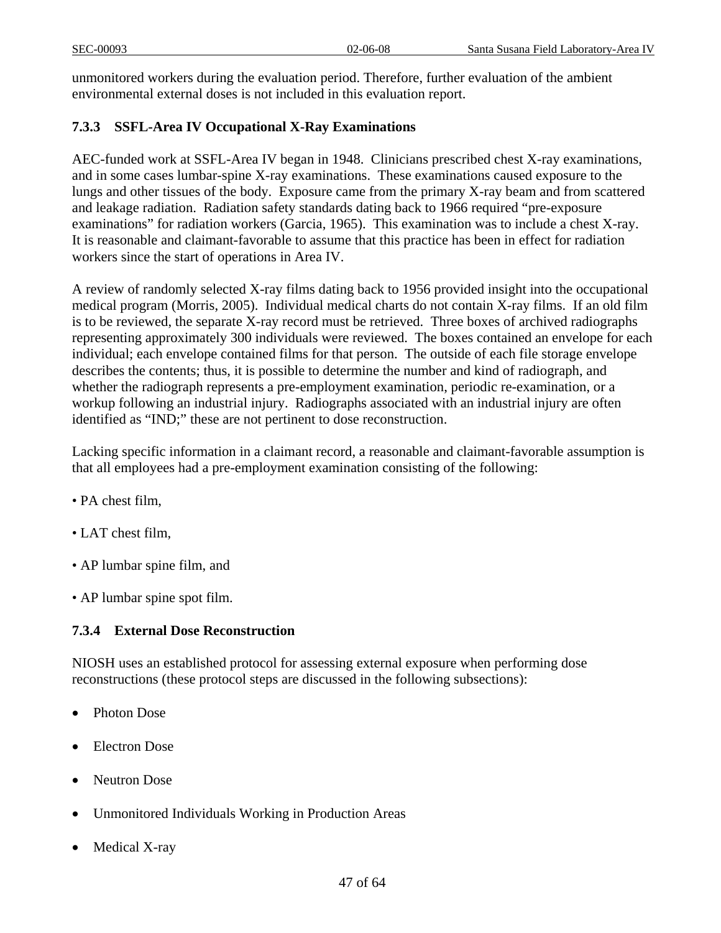unmonitored workers during the evaluation period. Therefore, further evaluation of the ambient environmental external doses is not included in this evaluation report.

## **7.3.3 SSFL-Area IV Occupational X-Ray Examinations**

AEC-funded work at SSFL-Area IV began in 1948. Clinicians prescribed chest X-ray examinations, and in some cases lumbar-spine X-ray examinations. These examinations caused exposure to the lungs and other tissues of the body. Exposure came from the primary X-ray beam and from scattered and leakage radiation. Radiation safety standards dating back to 1966 required "pre-exposure examinations" for radiation workers (Garcia, 1965). This examination was to include a chest X-ray. It is reasonable and claimant-favorable to assume that this practice has been in effect for radiation workers since the start of operations in Area IV.

A review of randomly selected X-ray films dating back to 1956 provided insight into the occupational medical program (Morris, 2005). Individual medical charts do not contain X-ray films. If an old film is to be reviewed, the separate X-ray record must be retrieved. Three boxes of archived radiographs representing approximately 300 individuals were reviewed. The boxes contained an envelope for each individual; each envelope contained films for that person. The outside of each file storage envelope describes the contents; thus, it is possible to determine the number and kind of radiograph, and whether the radiograph represents a pre-employment examination, periodic re-examination, or a workup following an industrial injury. Radiographs associated with an industrial injury are often identified as "IND;" these are not pertinent to dose reconstruction.

Lacking specific information in a claimant record, a reasonable and claimant-favorable assumption is that all employees had a pre-employment examination consisting of the following:

- PA chest film,
- LAT chest film,
- AP lumbar spine film, and
- AP lumbar spine spot film.

## **7.3.4 External Dose Reconstruction**

NIOSH uses an established protocol for assessing external exposure when performing dose reconstructions (these protocol steps are discussed in the following subsections):

- Photon Dose
- Electron Dose
- Neutron Dose
- Unmonitored Individuals Working in Production Areas
- Medical X-ray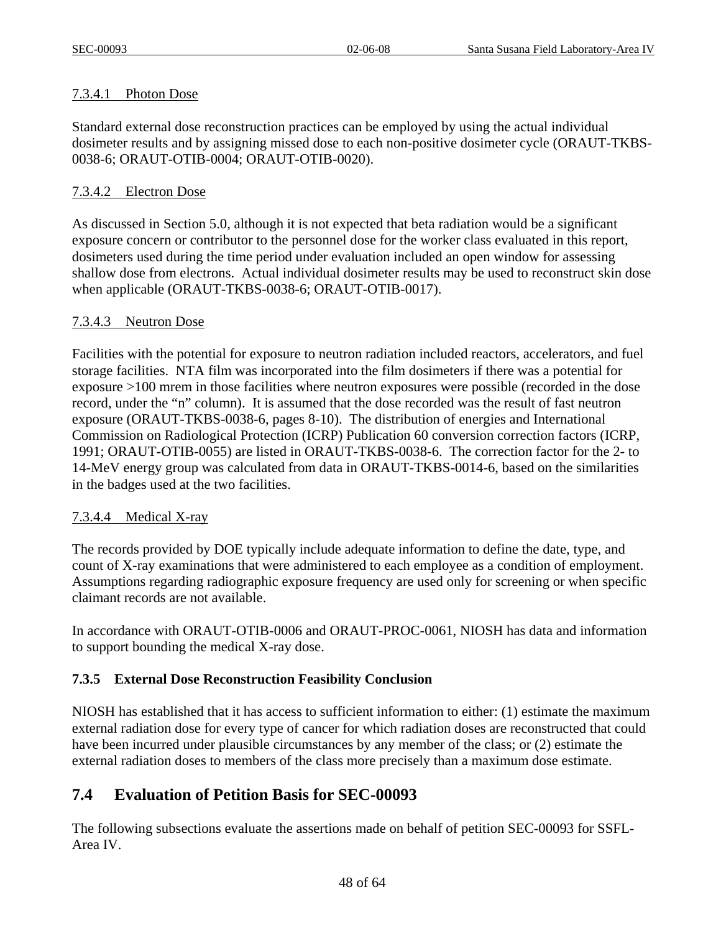### 7.3.4.1 Photon Dose

Standard external dose reconstruction practices can be employed by using the actual individual dosimeter results and by assigning missed dose to each non-positive dosimeter cycle (ORAUT-TKBS-0038-6; ORAUT-OTIB-0004; ORAUT-OTIB-0020).

### 7.3.4.2 Electron Dose

As discussed in Section 5.0, although it is not expected that beta radiation would be a significant exposure concern or contributor to the personnel dose for the worker class evaluated in this report, dosimeters used during the time period under evaluation included an open window for assessing shallow dose from electrons. Actual individual dosimeter results may be used to reconstruct skin dose when applicable (ORAUT-TKBS-0038-6; ORAUT-OTIB-0017).

#### 7.3.4.3 Neutron Dose

Facilities with the potential for exposure to neutron radiation included reactors, accelerators, and fuel storage facilities. NTA film was incorporated into the film dosimeters if there was a potential for exposure >100 mrem in those facilities where neutron exposures were possible (recorded in the dose record, under the "n" column). It is assumed that the dose recorded was the result of fast neutron exposure (ORAUT-TKBS-0038-6, pages 8-10). The distribution of energies and International Commission on Radiological Protection (ICRP) Publication 60 conversion correction factors (ICRP, 1991; ORAUT-OTIB-0055) are listed in ORAUT-TKBS-0038-6. The correction factor for the 2- to 14-MeV energy group was calculated from data in ORAUT-TKBS-0014-6, based on the similarities in the badges used at the two facilities.

#### 7.3.4.4 Medical X-ray

The records provided by DOE typically include adequate information to define the date, type, and count of X-ray examinations that were administered to each employee as a condition of employment. Assumptions regarding radiographic exposure frequency are used only for screening or when specific claimant records are not available.

In accordance with ORAUT-OTIB-0006 and ORAUT-PROC-0061, NIOSH has data and information to support bounding the medical X-ray dose.

#### **7.3.5 External Dose Reconstruction Feasibility Conclusion**

NIOSH has established that it has access to sufficient information to either: (1) estimate the maximum external radiation dose for every type of cancer for which radiation doses are reconstructed that could have been incurred under plausible circumstances by any member of the class; or (2) estimate the external radiation doses to members of the class more precisely than a maximum dose estimate.

## **7.4 Evaluation of Petition Basis for SEC-00093**

The following subsections evaluate the assertions made on behalf of petition SEC-00093 for SSFL-Area IV.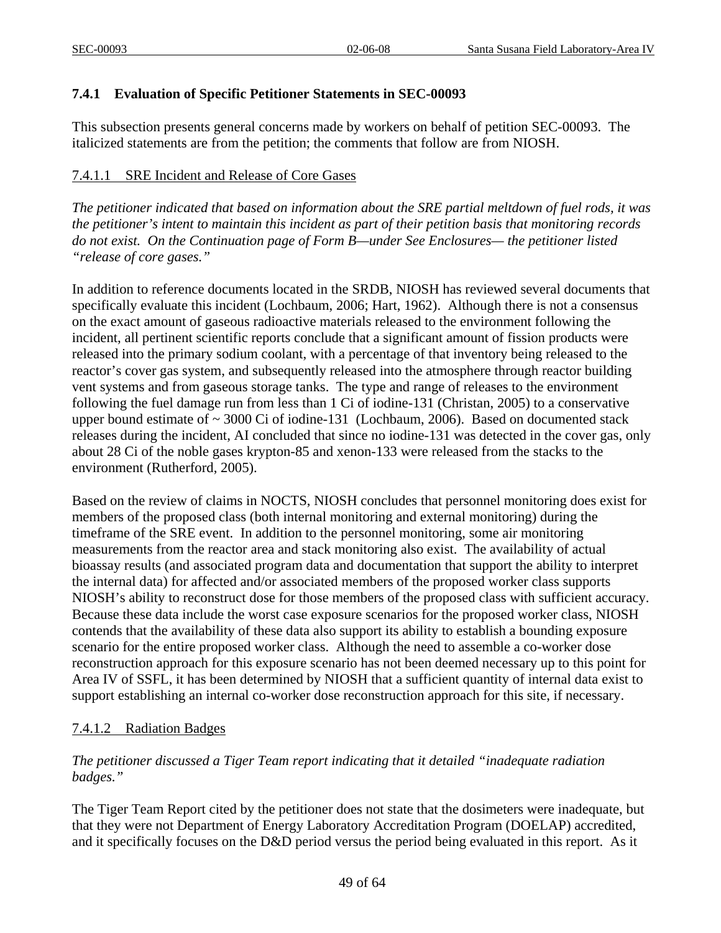## **7.4.1 Evaluation of Specific Petitioner Statements in SEC-00093**

This subsection presents general concerns made by workers on behalf of petition SEC-00093. The italicized statements are from the petition; the comments that follow are from NIOSH.

### 7.4.1.1 SRE Incident and Release of Core Gases

*The petitioner indicated that based on information about the SRE partial meltdown of fuel rods, it was the petitioner's intent to maintain this incident as part of their petition basis that monitoring records do not exist. On the Continuation page of Form B—under See Enclosures— the petitioner listed "release of core gases."* 

In addition to reference documents located in the SRDB, NIOSH has reviewed several documents that specifically evaluate this incident (Lochbaum, 2006; Hart, 1962). Although there is not a consensus on the exact amount of gaseous radioactive materials released to the environment following the incident, all pertinent scientific reports conclude that a significant amount of fission products were released into the primary sodium coolant, with a percentage of that inventory being released to the reactor's cover gas system, and subsequently released into the atmosphere through reactor building vent systems and from gaseous storage tanks. The type and range of releases to the environment following the fuel damage run from less than 1 Ci of iodine-131 (Christan, 2005) to a conservative upper bound estimate of  $\sim$  3000 Ci of iodine-131 (Lochbaum, 2006). Based on documented stack releases during the incident, AI concluded that since no iodine-131 was detected in the cover gas, only about 28 Ci of the noble gases krypton-85 and xenon-133 were released from the stacks to the environment (Rutherford, 2005).

Based on the review of claims in NOCTS, NIOSH concludes that personnel monitoring does exist for members of the proposed class (both internal monitoring and external monitoring) during the timeframe of the SRE event. In addition to the personnel monitoring, some air monitoring measurements from the reactor area and stack monitoring also exist. The availability of actual bioassay results (and associated program data and documentation that support the ability to interpret the internal data) for affected and/or associated members of the proposed worker class supports NIOSH's ability to reconstruct dose for those members of the proposed class with sufficient accuracy. Because these data include the worst case exposure scenarios for the proposed worker class, NIOSH contends that the availability of these data also support its ability to establish a bounding exposure scenario for the entire proposed worker class. Although the need to assemble a co-worker dose reconstruction approach for this exposure scenario has not been deemed necessary up to this point for Area IV of SSFL, it has been determined by NIOSH that a sufficient quantity of internal data exist to support establishing an internal co-worker dose reconstruction approach for this site, if necessary.

## 7.4.1.2 Radiation Badges

### *The petitioner discussed a Tiger Team report indicating that it detailed "inadequate radiation badges."*

The Tiger Team Report cited by the petitioner does not state that the dosimeters were inadequate, but that they were not Department of Energy Laboratory Accreditation Program (DOELAP) accredited, and it specifically focuses on the D&D period versus the period being evaluated in this report. As it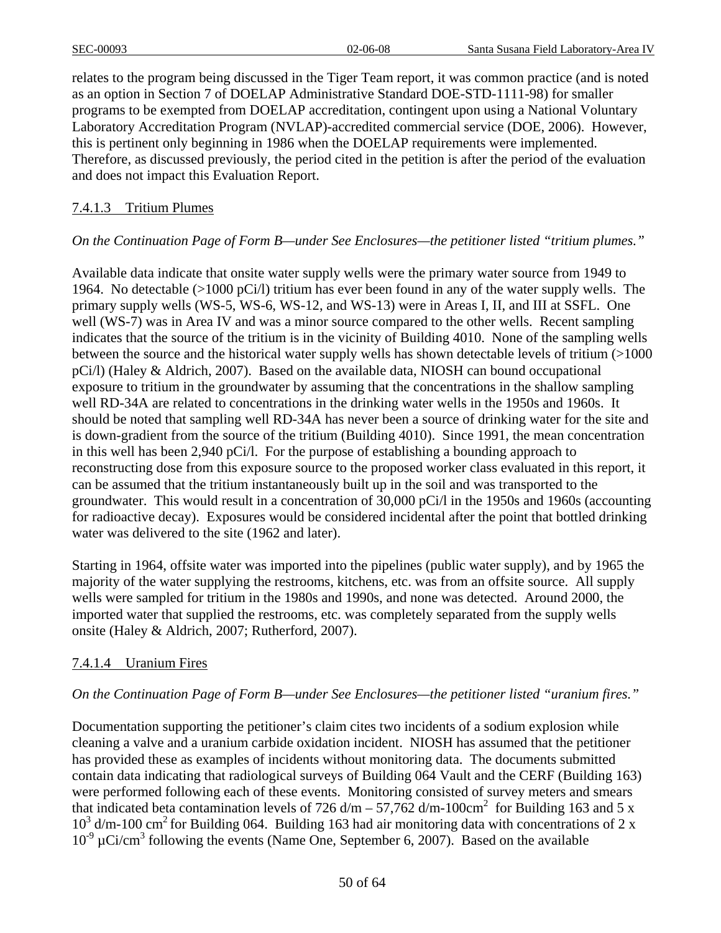| SEC-00093                                                                                                  | $02 - 06 - 08$ | Santa Susana Field Laboratory-Area IV |
|------------------------------------------------------------------------------------------------------------|----------------|---------------------------------------|
| relates to the program being discussed in the Tiger Team report, it was common practice (and is noted      |                |                                       |
| as an option in Section 7 of DOELAP Administrative Standard DOE-STD-1111-98) for smaller                   |                |                                       |
| programs to be exempted from DOELAP accreditation, contingent upon using a National Voluntary              |                |                                       |
| Laboratory Accreditation Program (NVLAP)-accredited commercial service (DOE, 2006). However,               |                |                                       |
| this is pertinent only beginning in 1986 when the DOELAP requirements were implemented.                    |                |                                       |
| Therefore, as discussed previously, the period cited in the petition is after the period of the evaluation |                |                                       |
| and does not impact this Evaluation Report.                                                                |                |                                       |

#### 7.4.1.3 Tritium Plumes

#### *On the Continuation Page of Form B—under See Enclosures—the petitioner listed "tritium plumes."*

Available data indicate that onsite water supply wells were the primary water source from 1949 to 1964. No detectable (>1000 pCi/l) tritium has ever been found in any of the water supply wells. The primary supply wells (WS-5, WS-6, WS-12, and WS-13) were in Areas I, II, and III at SSFL. One well (WS-7) was in Area IV and was a minor source compared to the other wells. Recent sampling indicates that the source of the tritium is in the vicinity of Building 4010. None of the sampling wells between the source and the historical water supply wells has shown detectable levels of tritium (>1000 pCi/l) (Haley & Aldrich, 2007). Based on the available data, NIOSH can bound occupational exposure to tritium in the groundwater by assuming that the concentrations in the shallow sampling well RD-34A are related to concentrations in the drinking water wells in the 1950s and 1960s. It should be noted that sampling well RD-34A has never been a source of drinking water for the site and is down-gradient from the source of the tritium (Building 4010). Since 1991, the mean concentration in this well has been 2,940 pCi/l. For the purpose of establishing a bounding approach to reconstructing dose from this exposure source to the proposed worker class evaluated in this report, it can be assumed that the tritium instantaneously built up in the soil and was transported to the groundwater. This would result in a concentration of 30,000 pCi/l in the 1950s and 1960s (accounting for radioactive decay). Exposures would be considered incidental after the point that bottled drinking water was delivered to the site (1962 and later).

Starting in 1964, offsite water was imported into the pipelines (public water supply), and by 1965 the majority of the water supplying the restrooms, kitchens, etc. was from an offsite source. All supply wells were sampled for tritium in the 1980s and 1990s, and none was detected. Around 2000, the imported water that supplied the restrooms, etc. was completely separated from the supply wells onsite (Haley & Aldrich, 2007; Rutherford, 2007).

#### 7.4.1.4 Uranium Fires

#### *On the Continuation Page of Form B—under See Enclosures—the petitioner listed "uranium fires."*

Documentation supporting the petitioner's claim cites two incidents of a sodium explosion while cleaning a valve and a uranium carbide oxidation incident. NIOSH has assumed that the petitioner has provided these as examples of incidents without monitoring data. The documents submitted contain data indicating that radiological surveys of Building 064 Vault and the CERF (Building 163) were performed following each of these events. Monitoring consisted of survey meters and smears that indicated beta contamination levels of 726 d/m – 57,762 d/m-100cm<sup>2</sup> for Building 163 and 5 x  $10^3$  d/m-100 cm<sup>2</sup> for Building 064. Building 163 had air monitoring data with concentrations of 2 x  $10^{-9}$   $\mu$ Ci/cm<sup>3</sup> following the events (Name One, September 6, 2007). Based on the available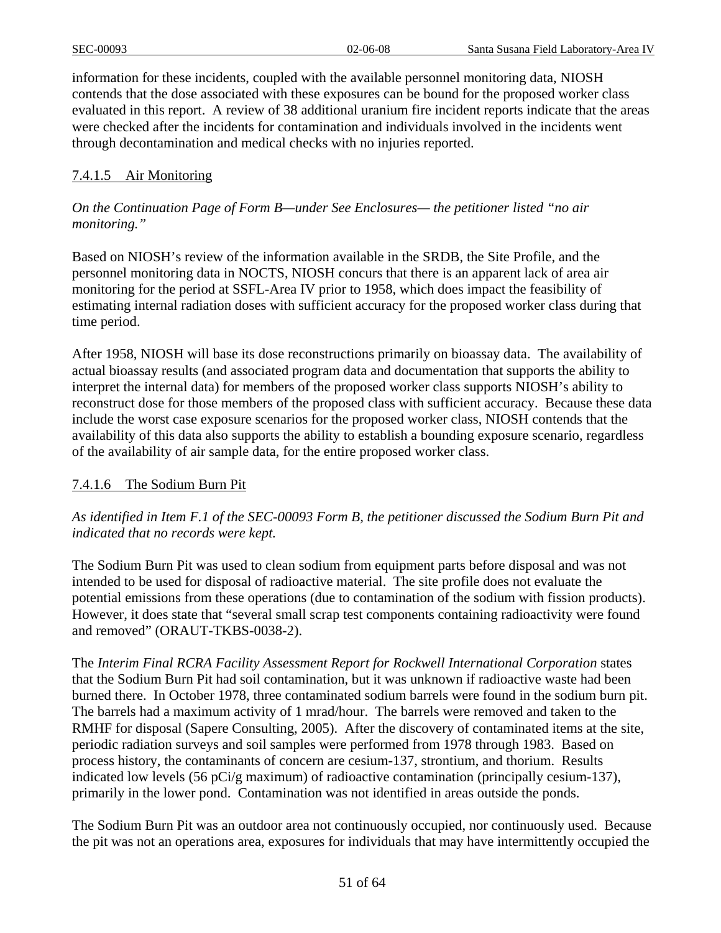| <b>SEC-00093</b> | -06-08 | Santa Susana Field Laboratory-Area IV |
|------------------|--------|---------------------------------------|
| . .              | .      | ______                                |

information for these incidents, coupled with the available personnel monitoring data, NIOSH contends that the dose associated with these exposures can be bound for the proposed worker class evaluated in this report. A review of 38 additional uranium fire incident reports indicate that the areas were checked after the incidents for contamination and individuals involved in the incidents went through decontamination and medical checks with no injuries reported.

### 7.4.1.5 Air Monitoring

#### *On the Continuation Page of Form B—under See Enclosures— the petitioner listed "no air monitoring."*

Based on NIOSH's review of the information available in the SRDB, the Site Profile, and the personnel monitoring data in NOCTS, NIOSH concurs that there is an apparent lack of area air monitoring for the period at SSFL-Area IV prior to 1958, which does impact the feasibility of estimating internal radiation doses with sufficient accuracy for the proposed worker class during that time period.

After 1958, NIOSH will base its dose reconstructions primarily on bioassay data. The availability of actual bioassay results (and associated program data and documentation that supports the ability to interpret the internal data) for members of the proposed worker class supports NIOSH's ability to reconstruct dose for those members of the proposed class with sufficient accuracy. Because these data include the worst case exposure scenarios for the proposed worker class, NIOSH contends that the availability of this data also supports the ability to establish a bounding exposure scenario, regardless of the availability of air sample data, for the entire proposed worker class.

#### 7.4.1.6 The Sodium Burn Pit

### *As identified in Item F.1 of the SEC-00093 Form B, the petitioner discussed the Sodium Burn Pit and indicated that no records were kept.*

The Sodium Burn Pit was used to clean sodium from equipment parts before disposal and was not intended to be used for disposal of radioactive material. The site profile does not evaluate the potential emissions from these operations (due to contamination of the sodium with fission products). However, it does state that "several small scrap test components containing radioactivity were found and removed" (ORAUT-TKBS-0038-2).

The *Interim Final RCRA Facility Assessment Report for Rockwell International Corporation* states that the Sodium Burn Pit had soil contamination, but it was unknown if radioactive waste had been burned there. In October 1978, three contaminated sodium barrels were found in the sodium burn pit. The barrels had a maximum activity of 1 mrad/hour. The barrels were removed and taken to the RMHF for disposal (Sapere Consulting, 2005). After the discovery of contaminated items at the site, periodic radiation surveys and soil samples were performed from 1978 through 1983. Based on process history, the contaminants of concern are cesium-137, strontium, and thorium. Results indicated low levels (56 pCi/g maximum) of radioactive contamination (principally cesium-137), primarily in the lower pond. Contamination was not identified in areas outside the ponds.

The Sodium Burn Pit was an outdoor area not continuously occupied, nor continuously used. Because the pit was not an operations area, exposures for individuals that may have intermittently occupied the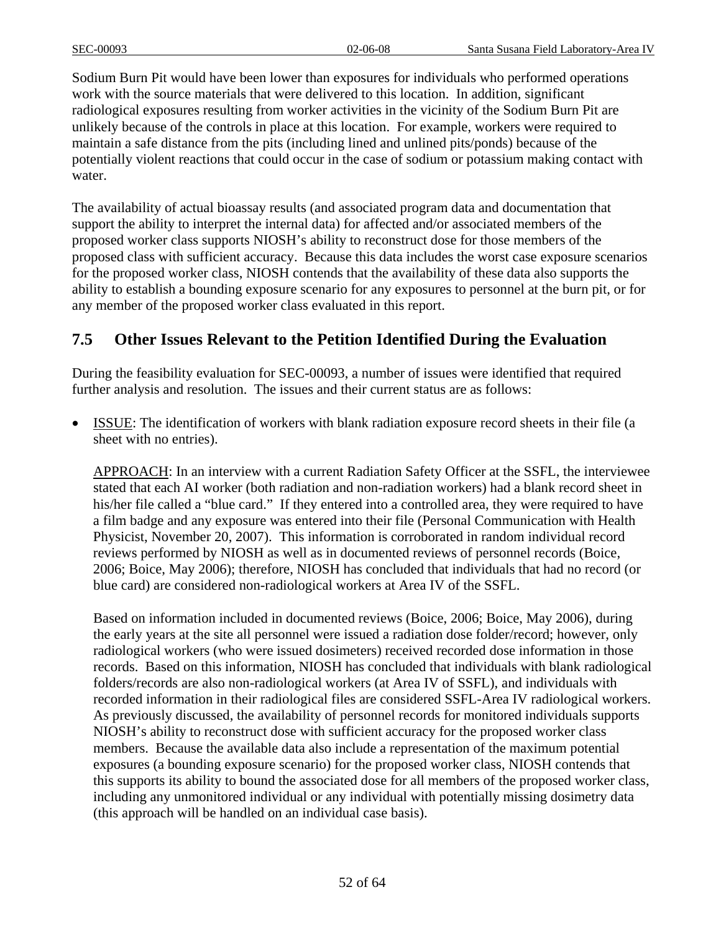| <b>SEC-00093</b> | $02 - 06 - 08$ | Santa Susana Field Laboratory-Area IV |
|------------------|----------------|---------------------------------------|
|                  |                |                                       |

Sodium Burn Pit would have been lower than exposures for individuals who performed operations work with the source materials that were delivered to this location. In addition, significant radiological exposures resulting from worker activities in the vicinity of the Sodium Burn Pit are unlikely because of the controls in place at this location. For example, workers were required to maintain a safe distance from the pits (including lined and unlined pits/ponds) because of the potentially violent reactions that could occur in the case of sodium or potassium making contact with water.

The availability of actual bioassay results (and associated program data and documentation that support the ability to interpret the internal data) for affected and/or associated members of the proposed worker class supports NIOSH's ability to reconstruct dose for those members of the proposed class with sufficient accuracy. Because this data includes the worst case exposure scenarios for the proposed worker class, NIOSH contends that the availability of these data also supports the ability to establish a bounding exposure scenario for any exposures to personnel at the burn pit, or for any member of the proposed worker class evaluated in this report.

## **7.5 Other Issues Relevant to the Petition Identified During the Evaluation**

During the feasibility evaluation for SEC-00093, a number of issues were identified that required further analysis and resolution. The issues and their current status are as follows:

• ISSUE: The identification of workers with blank radiation exposure record sheets in their file (a sheet with no entries).

blue card) are considered non-radiological workers at Area IV of the SSFL. APPROACH: In an interview with a current Radiation Safety Officer at the SSFL, the interviewee stated that each AI worker (both radiation and non-radiation workers) had a blank record sheet in his/her file called a "blue card." If they entered into a controlled area, they were required to have a film badge and any exposure was entered into their file (Personal Communication with Health Physicist, November 20, 2007). This information is corroborated in random individual record reviews performed by NIOSH as well as in documented reviews of personnel records (Boice, 2006; Boice, May 2006); therefore, NIOSH has concluded that individuals that had no record (or

Based on information included in documented reviews (Boice, 2006; Boice, May 2006), during the early years at the site all personnel were issued a radiation dose folder/record; however, only radiological workers (who were issued dosimeters) received recorded dose information in those records. Based on this information, NIOSH has concluded that individuals with blank radiological folders/records are also non-radiological workers (at Area IV of SSFL), and individuals with recorded information in their radiological files are considered SSFL-Area IV radiological workers. As previously discussed, the availability of personnel records for monitored individuals supports NIOSH's ability to reconstruct dose with sufficient accuracy for the proposed worker class members. Because the available data also include a representation of the maximum potential exposures (a bounding exposure scenario) for the proposed worker class, NIOSH contends that this supports its ability to bound the associated dose for all members of the proposed worker class, including any unmonitored individual or any individual with potentially missing dosimetry data (this approach will be handled on an individual case basis).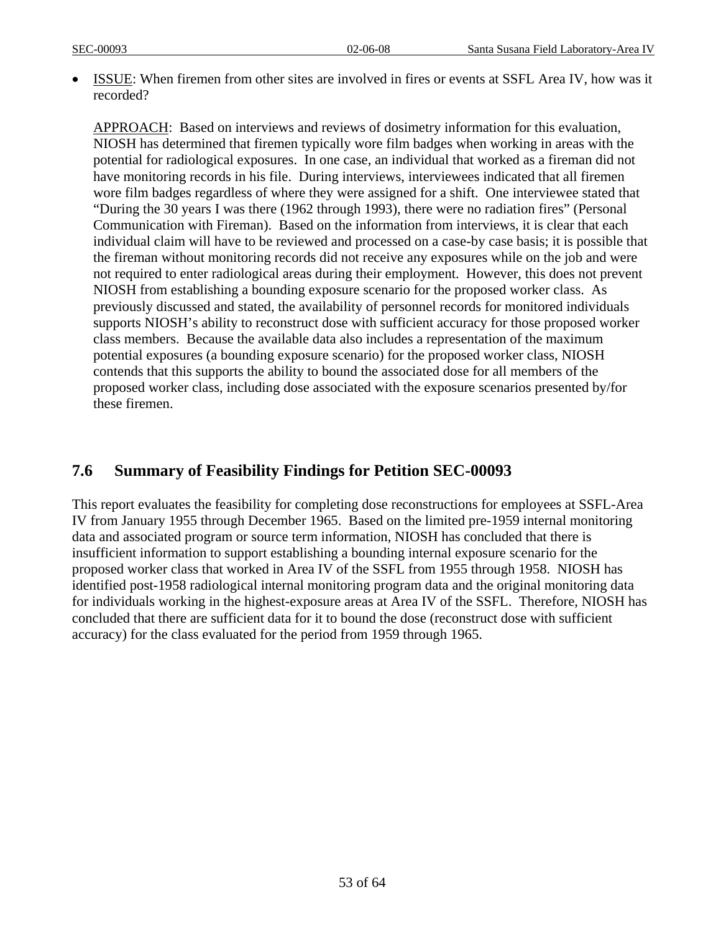• ISSUE: When firemen from other sites are involved in fires or events at SSFL Area IV, how was it recorded?

APPROACH: Based on interviews and reviews of dosimetry information for this evaluation, NIOSH has determined that firemen typically wore film badges when working in areas with the potential for radiological exposures. In one case, an individual that worked as a fireman did not have monitoring records in his file. During interviews, interviewees indicated that all firemen wore film badges regardless of where they were assigned for a shift. One interviewee stated that "During the 30 years I was there (1962 through 1993), there were no radiation fires" (Personal Communication with Fireman). Based on the information from interviews, it is clear that each individual claim will have to be reviewed and processed on a case-by case basis; it is possible that the fireman without monitoring records did not receive any exposures while on the job and were not required to enter radiological areas during their employment. However, this does not prevent NIOSH from establishing a bounding exposure scenario for the proposed worker class. As previously discussed and stated, the availability of personnel records for monitored individuals supports NIOSH's ability to reconstruct dose with sufficient accuracy for those proposed worker class members. Because the available data also includes a representation of the maximum potential exposures (a bounding exposure scenario) for the proposed worker class, NIOSH contends that this supports the ability to bound the associated dose for all members of the proposed worker class, including dose associated with the exposure scenarios presented by/for these firemen.

## **7.6 Summary of Feasibility Findings for Petition SEC-00093**

This report evaluates the feasibility for completing dose reconstructions for employees at SSFL-Area IV from January 1955 through December 1965. Based on the limited pre-1959 internal monitoring data and associated program or source term information, NIOSH has concluded that there is insufficient information to support establishing a bounding internal exposure scenario for the proposed worker class that worked in Area IV of the SSFL from 1955 through 1958. NIOSH has identified post-1958 radiological internal monitoring program data and the original monitoring data for individuals working in the highest-exposure areas at Area IV of the SSFL. Therefore, NIOSH has concluded that there are sufficient data for it to bound the dose (reconstruct dose with sufficient accuracy) for the class evaluated for the period from 1959 through 1965.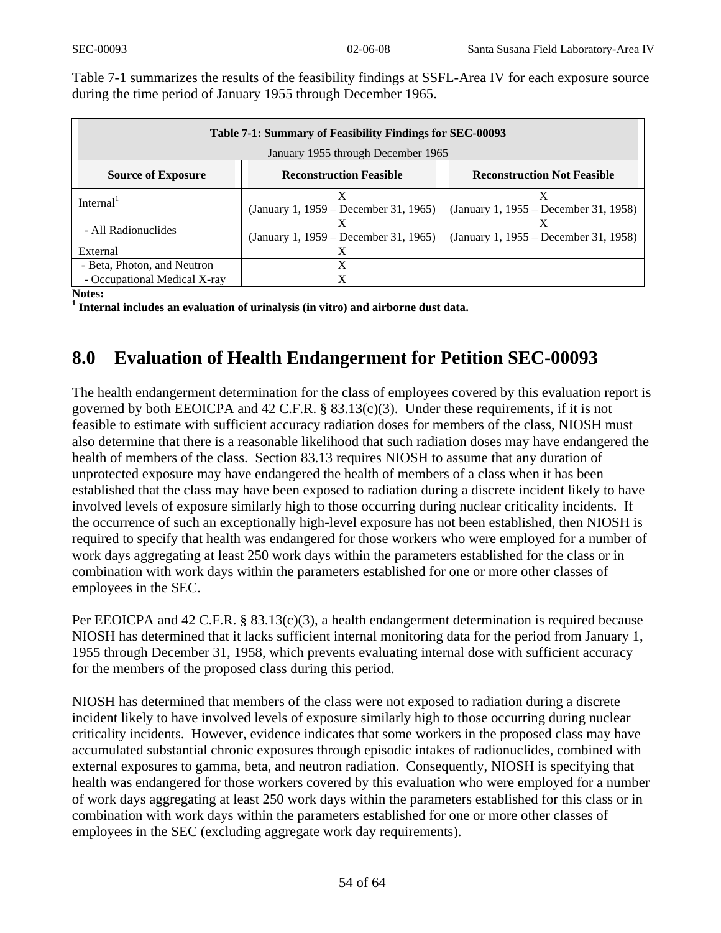| Table 7-1 summarizes the results of the feasibility findings at SSFL-Area IV for each exposure source |  |
|-------------------------------------------------------------------------------------------------------|--|
| during the time period of January 1955 through December 1965.                                         |  |

| Table 7-1: Summary of Feasibility Findings for SEC-00093 |                                       |                                       |  |  |
|----------------------------------------------------------|---------------------------------------|---------------------------------------|--|--|
| January 1955 through December 1965                       |                                       |                                       |  |  |
| <b>Source of Exposure</b>                                | <b>Reconstruction Feasible</b>        | <b>Reconstruction Not Feasible</b>    |  |  |
| Internal <sup>1</sup>                                    | X                                     | X                                     |  |  |
|                                                          | (January 1, 1959 – December 31, 1965) | (January 1, 1955 – December 31, 1958) |  |  |
| - All Radionuclides                                      |                                       |                                       |  |  |
|                                                          | (January 1, 1959 – December 31, 1965) | (January 1, 1955 – December 31, 1958) |  |  |
| External                                                 | X                                     |                                       |  |  |
| - Beta, Photon, and Neutron                              | Х                                     |                                       |  |  |
| - Occupational Medical X-ray                             | X                                     |                                       |  |  |

**Notes:** 

<sup>1</sup> Internal includes an evaluation of urinalysis (in vitro) and airborne dust data.

## **8.0 Evaluation of Health Endangerment for Petition SEC-00093**

The health endangerment determination for the class of employees covered by this evaluation report is governed by both EEOICPA and  $42$  C.F.R. § 83.13(c)(3). Under these requirements, if it is not feasible to estimate with sufficient accuracy radiation doses for members of the class, NIOSH must also determine that there is a reasonable likelihood that such radiation doses may have endangered the health of members of the class. Section 83.13 requires NIOSH to assume that any duration of unprotected exposure may have endangered the health of members of a class when it has been established that the class may have been exposed to radiation during a discrete incident likely to have involved levels of exposure similarly high to those occurring during nuclear criticality incidents. If the occurrence of such an exceptionally high-level exposure has not been established, then NIOSH is required to specify that health was endangered for those workers who were employed for a number of work days aggregating at least 250 work days within the parameters established for the class or in combination with work days within the parameters established for one or more other classes of employees in the SEC.

Per EEOICPA and 42 C.F.R. § 83.13(c)(3), a health endangerment determination is required because NIOSH has determined that it lacks sufficient internal monitoring data for the period from January 1, 1955 through December 31, 1958, which prevents evaluating internal dose with sufficient accuracy for the members of the proposed class during this period.

NIOSH has determined that members of the class were not exposed to radiation during a discrete incident likely to have involved levels of exposure similarly high to those occurring during nuclear criticality incidents. However, evidence indicates that some workers in the proposed class may have accumulated substantial chronic exposures through episodic intakes of radionuclides, combined with external exposures to gamma, beta, and neutron radiation. Consequently, NIOSH is specifying that health was endangered for those workers covered by this evaluation who were employed for a number of work days aggregating at least 250 work days within the parameters established for this class or in combination with work days within the parameters established for one or more other classes of employees in the SEC (excluding aggregate work day requirements).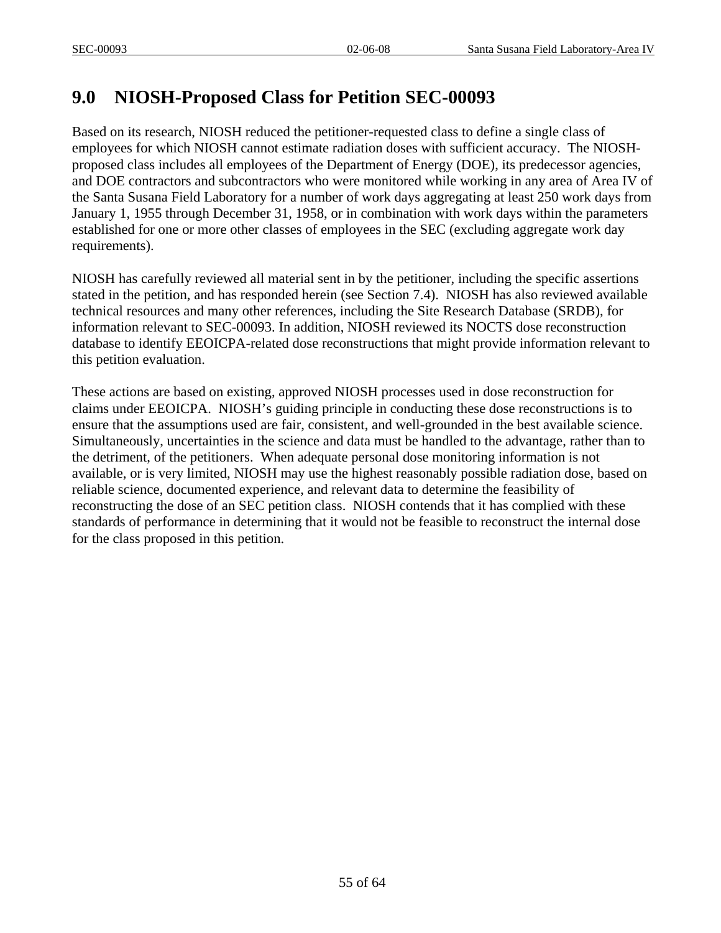## **9.0 NIOSH-Proposed Class for Petition SEC-00093**

Based on its research, NIOSH reduced the petitioner-requested class to define a single class of employees for which NIOSH cannot estimate radiation doses with sufficient accuracy. The NIOSHproposed class includes all employees of the Department of Energy (DOE), its predecessor agencies, and DOE contractors and subcontractors who were monitored while working in any area of Area IV of the Santa Susana Field Laboratory for a number of work days aggregating at least 250 work days from January 1, 1955 through December 31, 1958, or in combination with work days within the parameters established for one or more other classes of employees in the SEC (excluding aggregate work day requirements).

NIOSH has carefully reviewed all material sent in by the petitioner, including the specific assertions stated in the petition, and has responded herein (see Section 7.4). NIOSH has also reviewed available technical resources and many other references, including the Site Research Database (SRDB), for information relevant to SEC-00093. In addition, NIOSH reviewed its NOCTS dose reconstruction database to identify EEOICPA-related dose reconstructions that might provide information relevant to this petition evaluation.

These actions are based on existing, approved NIOSH processes used in dose reconstruction for claims under EEOICPA. NIOSH's guiding principle in conducting these dose reconstructions is to ensure that the assumptions used are fair, consistent, and well-grounded in the best available science. Simultaneously, uncertainties in the science and data must be handled to the advantage, rather than to the detriment, of the petitioners. When adequate personal dose monitoring information is not available, or is very limited, NIOSH may use the highest reasonably possible radiation dose, based on reliable science, documented experience, and relevant data to determine the feasibility of reconstructing the dose of an SEC petition class. NIOSH contends that it has complied with these standards of performance in determining that it would not be feasible to reconstruct the internal dose for the class proposed in this petition.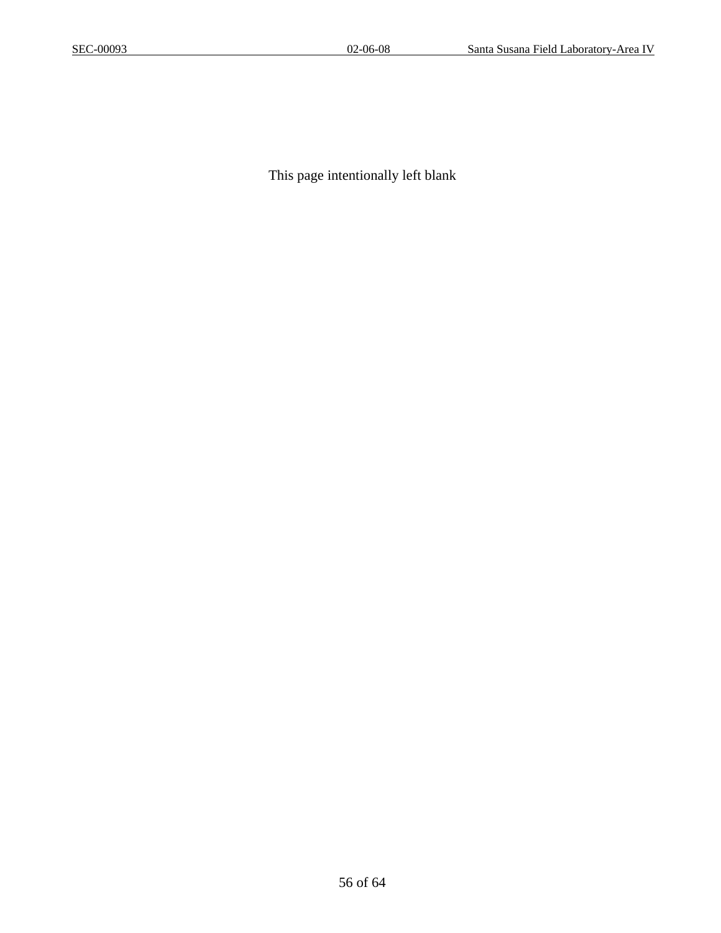This page intentionally left blank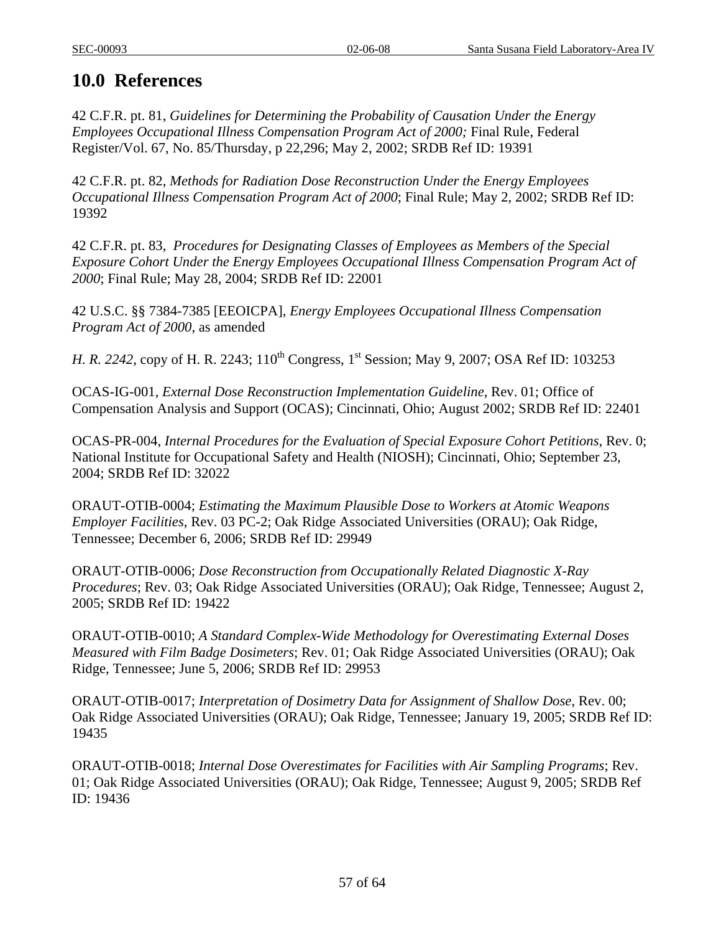## **10.0 References**

42 C.F.R. pt. 81, *Guidelines for Determining the Probability of Causation Under the Energy Employees Occupational Illness Compensation Program Act of 2000;* Final Rule, Federal Register/Vol. 67, No. 85/Thursday, p 22,296; May 2, 2002; SRDB Ref ID: 19391

42 C.F.R. pt. 82, *Methods for Radiation Dose Reconstruction Under the Energy Employees Occupational Illness Compensation Program Act of 2000*; Final Rule; May 2, 2002; SRDB Ref ID: 19392

42 C.F.R. pt. 83, *Procedures for Designating Classes of Employees as Members of the Special Exposure Cohort Under the Energy Employees Occupational Illness Compensation Program Act of 2000*; Final Rule; May 28, 2004; SRDB Ref ID: 22001

42 U.S.C. §§ 7384-7385 [EEOICPA], *Energy Employees Occupational Illness Compensation Program Act of 2000*, as amended

*H. R. 2242*, copy of H. R. 2243; 110<sup>th</sup> Congress, 1<sup>st</sup> Session; May 9, 2007; OSA Ref ID: 103253

OCAS-IG-001, *External Dose Reconstruction Implementation Guideline*, Rev. 01; Office of Compensation Analysis and Support (OCAS); Cincinnati, Ohio; August 2002; SRDB Ref ID: 22401

OCAS-PR-004, *Internal Procedures for the Evaluation of Special Exposure Cohort Petitions*, Rev. 0; National Institute for Occupational Safety and Health (NIOSH); Cincinnati, Ohio; September 23, 2004; SRDB Ref ID: 32022

ORAUT-OTIB-0004; *Estimating the Maximum Plausible Dose to Workers at Atomic Weapons Employer Facilities*, Rev. 03 PC-2; Oak Ridge Associated Universities (ORAU); Oak Ridge, Tennessee; December 6, 2006; SRDB Ref ID: 29949

ORAUT-OTIB-0006; *Dose Reconstruction from Occupationally Related Diagnostic X-Ray Procedures*; Rev. 03; Oak Ridge Associated Universities (ORAU); Oak Ridge, Tennessee; August 2, 2005; SRDB Ref ID: 19422

ORAUT-OTIB-0010; *A Standard Complex-Wide Methodology for Overestimating External Doses Measured with Film Badge Dosimeters*; Rev. 01; Oak Ridge Associated Universities (ORAU); Oak Ridge, Tennessee; June 5, 2006; SRDB Ref ID: 29953

ORAUT-OTIB-0017; *Interpretation of Dosimetry Data for Assignment of Shallow Dose*, Rev. 00; Oak Ridge Associated Universities (ORAU); Oak Ridge, Tennessee; January 19, 2005; SRDB Ref ID: 19435

ORAUT-OTIB-0018; *Internal Dose Overestimates for Facilities with Air Sampling Programs*; Rev. 01; Oak Ridge Associated Universities (ORAU); Oak Ridge, Tennessee; August 9, 2005; SRDB Ref ID: 19436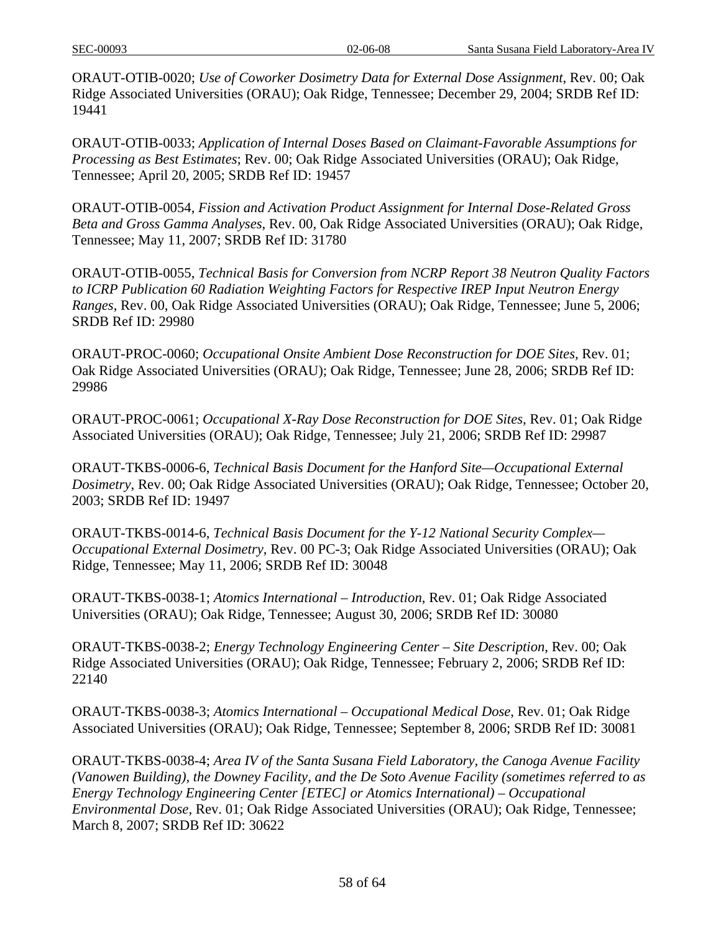ORAUT-OTIB-0020; *Use of Coworker Dosimetry Data for External Dose Assignment*, Rev. 00; Oak Ridge Associated Universities (ORAU); Oak Ridge, Tennessee; December 29, 2004; SRDB Ref ID: 19441

ORAUT-OTIB-0033; *Application of Internal Doses Based on Claimant-Favorable Assumptions for Processing as Best Estimates*; Rev. 00; Oak Ridge Associated Universities (ORAU); Oak Ridge, Tennessee; April 20, 2005; SRDB Ref ID: 19457

ORAUT-OTIB-0054, *Fission and Activation Product Assignment for Internal Dose-Related Gross Beta and Gross Gamma Analyses*, Rev. 00, Oak Ridge Associated Universities (ORAU); Oak Ridge, Tennessee; May 11, 2007; SRDB Ref ID: 31780

ORAUT-OTIB-0055, *Technical Basis for Conversion from NCRP Report 38 Neutron Quality Factors to ICRP Publication 60 Radiation Weighting Factors for Respective IREP Input Neutron Energy Ranges*, Rev. 00, Oak Ridge Associated Universities (ORAU); Oak Ridge, Tennessee; June 5, 2006; SRDB Ref ID: 29980

ORAUT-PROC-0060; *Occupational Onsite Ambient Dose Reconstruction for DOE Sites,* Rev. 01; Oak Ridge Associated Universities (ORAU); Oak Ridge, Tennessee; June 28, 2006; SRDB Ref ID: 29986

ORAUT-PROC-0061; *Occupational X-Ray Dose Reconstruction for DOE Sites,* Rev. 01; Oak Ridge Associated Universities (ORAU); Oak Ridge, Tennessee; July 21, 2006; SRDB Ref ID: 29987

ORAUT-TKBS-0006-6, *Technical Basis Document for the Hanford Site—Occupational External Dosimetry*, Rev. 00; Oak Ridge Associated Universities (ORAU); Oak Ridge, Tennessee; October 20, 2003; SRDB Ref ID: 19497

ORAUT-TKBS-0014-6, *Technical Basis Document for the Y-12 National Security Complex— Occupational External Dosimetry*, Rev. 00 PC-3; Oak Ridge Associated Universities (ORAU); Oak Ridge, Tennessee; May 11, 2006; SRDB Ref ID: 30048

ORAUT-TKBS-0038-1; *Atomics International – Introduction*, Rev. 01; Oak Ridge Associated Universities (ORAU); Oak Ridge, Tennessee; August 30, 2006; SRDB Ref ID: 30080

ORAUT-TKBS-0038-2; *Energy Technology Engineering Center – Site Description*, Rev. 00; Oak Ridge Associated Universities (ORAU); Oak Ridge, Tennessee; February 2, 2006; SRDB Ref ID: 22140

ORAUT-TKBS-0038-3; *Atomics International – Occupational Medical Dose*, Rev. 01; Oak Ridge Associated Universities (ORAU); Oak Ridge, Tennessee; September 8, 2006; SRDB Ref ID: 30081

ORAUT-TKBS-0038-4; *Area IV of the Santa Susana Field Laboratory, the Canoga Avenue Facility (Vanowen Building), the Downey Facility, and the De Soto Avenue Facility (sometimes referred to as Energy Technology Engineering Center [ETEC] or Atomics International) – Occupational Environmental Dose*, Rev. 01; Oak Ridge Associated Universities (ORAU); Oak Ridge, Tennessee; March 8, 2007; SRDB Ref ID: 30622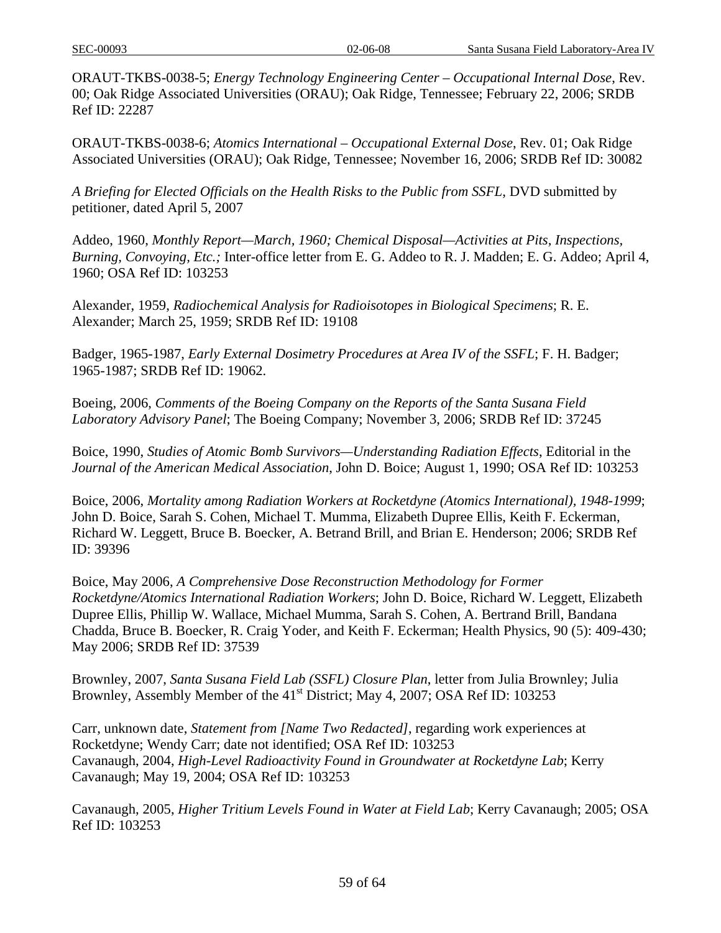ORAUT-TKBS-0038-5; *Energy Technology Engineering Center – Occupational Internal Dose*, Rev. 00; Oak Ridge Associated Universities (ORAU); Oak Ridge, Tennessee; February 22, 2006; SRDB Ref ID: 22287

ORAUT-TKBS-0038-6; *Atomics International – Occupational External Dose*, Rev. 01; Oak Ridge Associated Universities (ORAU); Oak Ridge, Tennessee; November 16, 2006; SRDB Ref ID: 30082

*A Briefing for Elected Officials on the Health Risks to the Public from SSFL*, DVD submitted by petitioner, dated April 5, 2007

Addeo, 1960, *Monthly Report—March, 1960; Chemical Disposal—Activities at Pits, Inspections, Burning, Convoying, Etc.;* Inter-office letter from E. G. Addeo to R. J. Madden; E. G. Addeo; April 4, 1960; OSA Ref ID: 103253

Alexander, 1959, *Radiochemical Analysis for Radioisotopes in Biological Specimens*; R. E. Alexander; March 25, 1959; SRDB Ref ID: 19108

Badger, 1965-1987, *Early External Dosimetry Procedures at Area IV of the SSFL*; F. H. Badger; 1965-1987; SRDB Ref ID: 19062.

Boeing, 2006, *Comments of the Boeing Company on the Reports of the Santa Susana Field Laboratory Advisory Panel*; The Boeing Company; November 3, 2006; SRDB Ref ID: 37245

Boice, 1990, *Studies of Atomic Bomb Survivors—Understanding Radiation Effects*, Editorial in the *Journal of the American Medical Association*, John D. Boice; August 1, 1990; OSA Ref ID: 103253

Boice, 2006, *Mortality among Radiation Workers at Rocketdyne (Atomics International), 1948-1999*; John D. Boice, Sarah S. Cohen, Michael T. Mumma, Elizabeth Dupree Ellis, Keith F. Eckerman, Richard W. Leggett, Bruce B. Boecker, A. Betrand Brill, and Brian E. Henderson; 2006; SRDB Ref ID: 39396

Boice, May 2006, *A Comprehensive Dose Reconstruction Methodology for Former Rocketdyne/Atomics International Radiation Workers*; John D. Boice, Richard W. Leggett, Elizabeth Dupree Ellis, Phillip W. Wallace, Michael Mumma, Sarah S. Cohen, A. Bertrand Brill, Bandana Chadda, Bruce B. Boecker, R. Craig Yoder, and Keith F. Eckerman; Health Physics, 90 (5): 409-430; May 2006; SRDB Ref ID: 37539

Brownley, 2007, *Santa Susana Field Lab (SSFL) Closure Plan*, letter from Julia Brownley; Julia Brownley, Assembly Member of the  $41<sup>st</sup>$  District; May 4, 2007; OSA Ref ID: 103253

Carr, unknown date, *Statement from [Name Two Redacted]*, regarding work experiences at Rocketdyne; Wendy Carr; date not identified; OSA Ref ID: 103253 Cavanaugh, 2004, *High-Level Radioactivity Found in Groundwater at Rocketdyne Lab*; Kerry Cavanaugh; May 19, 2004; OSA Ref ID: 103253

Cavanaugh, 2005, *Higher Tritium Levels Found in Water at Field Lab*; Kerry Cavanaugh; 2005; OSA Ref ID: 103253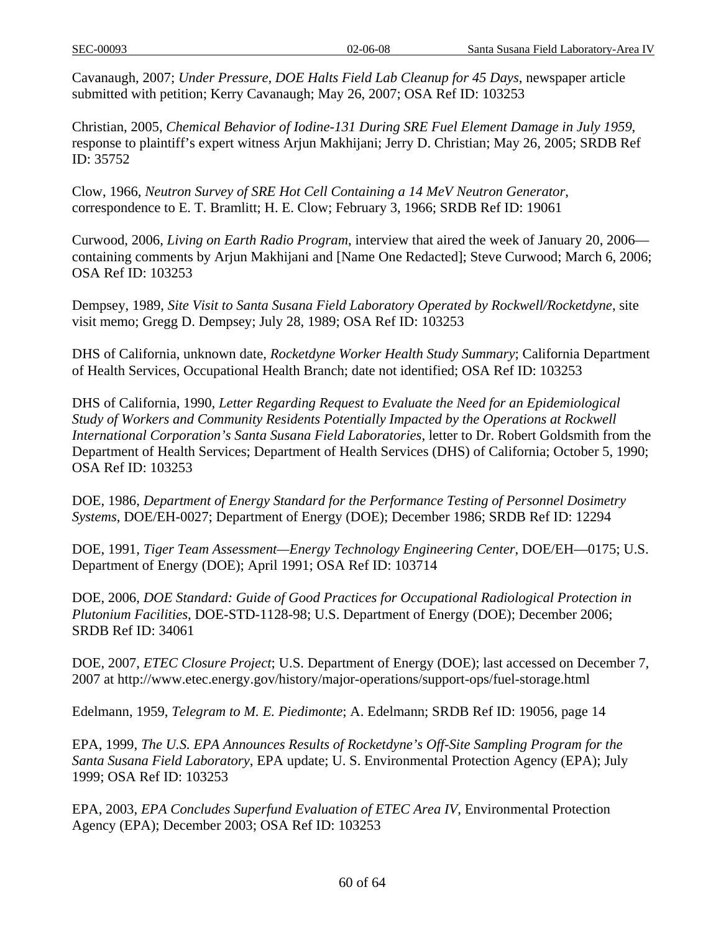Cavanaugh, 2007; *Under Pressure, DOE Halts Field Lab Cleanup for 45 Days*, newspaper article submitted with petition; Kerry Cavanaugh; May 26, 2007; OSA Ref ID: 103253

Christian, 2005, *Chemical Behavior of Iodine-131 During SRE Fuel Element Damage in July 1959*, response to plaintiff's expert witness Arjun Makhijani; Jerry D. Christian; May 26, 2005; SRDB Ref ID: 35752

Clow, 1966, *Neutron Survey of SRE Hot Cell Containing a 14 MeV Neutron Generator*, correspondence to E. T. Bramlitt; H. E. Clow; February 3, 1966; SRDB Ref ID: 19061

Curwood, 2006, *Living on Earth Radio Program*, interview that aired the week of January 20, 2006 containing comments by Arjun Makhijani and [Name One Redacted]; Steve Curwood; March 6, 2006; OSA Ref ID: 103253

Dempsey, 1989, *Site Visit to Santa Susana Field Laboratory Operated by Rockwell/Rocketdyne*, site visit memo; Gregg D. Dempsey; July 28, 1989; OSA Ref ID: 103253

DHS of California, unknown date, *Rocketdyne Worker Health Study Summary*; California Department of Health Services, Occupational Health Branch; date not identified; OSA Ref ID: 103253

DHS of California, 1990, *Letter Regarding Request to Evaluate the Need for an Epidemiological Study of Workers and Community Residents Potentially Impacted by the Operations at Rockwell International Corporation's Santa Susana Field Laboratories*, letter to Dr. Robert Goldsmith from the Department of Health Services; Department of Health Services (DHS) of California; October 5, 1990; OSA Ref ID: 103253

DOE, 1986, *Department of Energy Standard for the Performance Testing of Personnel Dosimetry Systems*, DOE/EH-0027; Department of Energy (DOE); December 1986; SRDB Ref ID: 12294

DOE, 1991, *Tiger Team Assessment—Energy Technology Engineering Center*, DOE/EH—0175; U.S. Department of Energy (DOE); April 1991; OSA Ref ID: 103714

DOE, 2006, *DOE Standard: Guide of Good Practices for Occupational Radiological Protection in Plutonium Facilities*, DOE-STD-1128-98; U.S. Department of Energy (DOE); December 2006; SRDB Ref ID: 34061

DOE, 2007, *ETEC Closure Project*; U.S. Department of Energy (DOE); last accessed on December 7, 2007 at http://www.etec.energy.gov/history/major-operations/support-ops/fuel-storage.html

Edelmann, 1959, *Telegram to M. E. Piedimonte*; A. Edelmann; SRDB Ref ID: 19056, page 14

EPA, 1999, *The U.S. EPA Announces Results of Rocketdyne's Off-Site Sampling Program for the Santa Susana Field Laboratory*, EPA update; U. S. Environmental Protection Agency (EPA); July 1999; OSA Ref ID: 103253

EPA, 2003, *EPA Concludes Superfund Evaluation of ETEC Area IV*, Environmental Protection Agency (EPA); December 2003; OSA Ref ID: 103253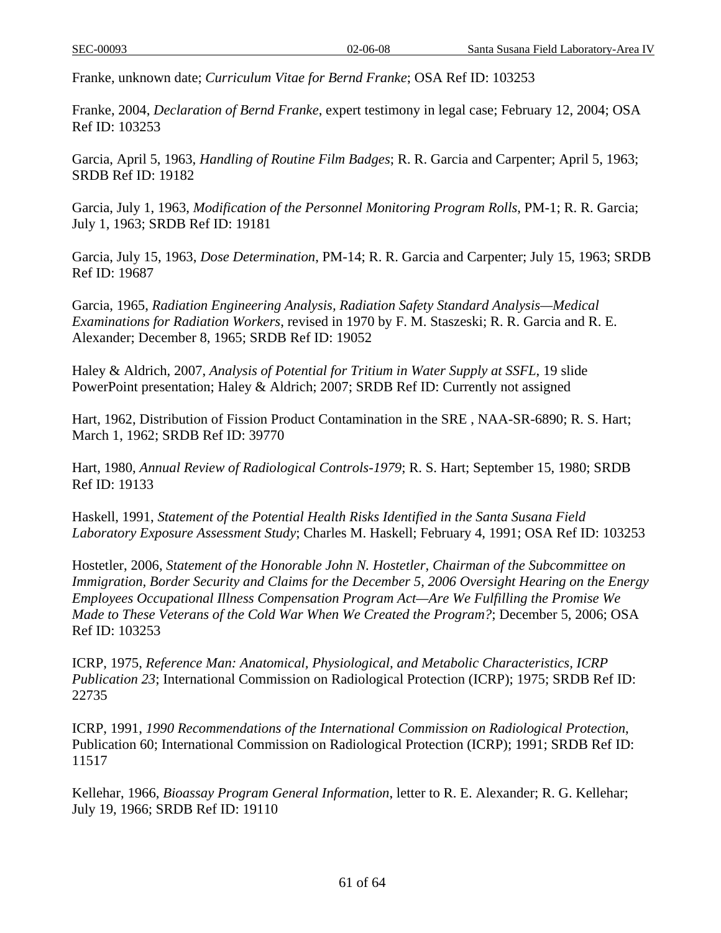Franke, unknown date; *Curriculum Vitae for Bernd Franke*; OSA Ref ID: 103253

Franke, 2004, *Declaration of Bernd Franke*, expert testimony in legal case; February 12, 2004; OSA Ref ID: 103253

Garcia, April 5, 1963, *Handling of Routine Film Badges*; R. R. Garcia and Carpenter; April 5, 1963; SRDB Ref ID: 19182

Garcia, July 1, 1963, *Modification of the Personnel Monitoring Program Rolls*, PM-1; R. R. Garcia; July 1, 1963; SRDB Ref ID: 19181

Garcia, July 15, 1963, *Dose Determination*, PM-14; R. R. Garcia and Carpenter; July 15, 1963; SRDB Ref ID: 19687

Garcia, 1965, *Radiation Engineering Analysis, Radiation Safety Standard Analysis—Medical Examinations for Radiation Workers*, revised in 1970 by F. M. Staszeski; R. R. Garcia and R. E. Alexander; December 8, 1965; SRDB Ref ID: 19052

Haley & Aldrich, 2007, *Analysis of Potential for Tritium in Water Supply at SSFL*, 19 slide PowerPoint presentation; Haley & Aldrich; 2007; SRDB Ref ID: Currently not assigned

Hart, 1962, Distribution of Fission Product Contamination in the SRE , NAA-SR-6890; R. S. Hart; March 1, 1962; SRDB Ref ID: 39770

Hart, 1980, *Annual Review of Radiological Controls-1979*; R. S. Hart; September 15, 1980; SRDB Ref ID: 19133

Haskell, 1991, *Statement of the Potential Health Risks Identified in the Santa Susana Field Laboratory Exposure Assessment Study*; Charles M. Haskell; February 4, 1991; OSA Ref ID: 103253

Hostetler, 2006, *Statement of the Honorable John N. Hostetler, Chairman of the Subcommittee on Immigration, Border Security and Claims for the December 5, 2006 Oversight Hearing on the Energy Employees Occupational Illness Compensation Program Act—Are We Fulfilling the Promise We Made to These Veterans of the Cold War When We Created the Program?*; December 5, 2006; OSA Ref ID: 103253

ICRP, 1975, *Reference Man: Anatomical, Physiological, and Metabolic Characteristics, ICRP Publication 23*; International Commission on Radiological Protection (ICRP); 1975; SRDB Ref ID: 22735

ICRP, 1991, *1990 Recommendations of the International Commission on Radiological Protection*, Publication 60; International Commission on Radiological Protection (ICRP); 1991; SRDB Ref ID: 11517

Kellehar, 1966, *Bioassay Program General Information*, letter to R. E. Alexander; R. G. Kellehar; July 19, 1966; SRDB Ref ID: 19110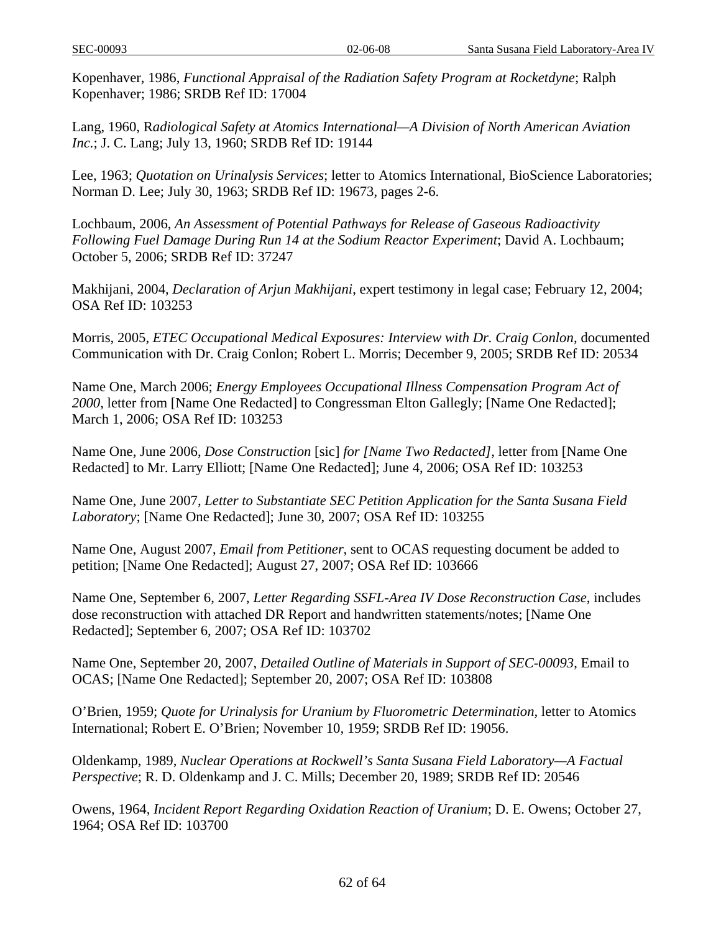Kopenhaver, 1986, *Functional Appraisal of the Radiation Safety Program at Rocketdyne*; Ralph Kopenhaver; 1986; SRDB Ref ID: 17004

Lang, 1960, R*adiological Safety at Atomics International—A Division of North American Aviation Inc.*; J. C. Lang; July 13, 1960; SRDB Ref ID: 19144

Lee, 1963; *Quotation on Urinalysis Services*; letter to Atomics International, BioScience Laboratories; Norman D. Lee; July 30, 1963; SRDB Ref ID: 19673, pages 2-6.

Lochbaum, 2006, *An Assessment of Potential Pathways for Release of Gaseous Radioactivity Following Fuel Damage During Run 14 at the Sodium Reactor Experiment*; David A. Lochbaum; October 5, 2006; SRDB Ref ID: 37247

Makhijani, 2004, *Declaration of Arjun Makhijani*, expert testimony in legal case; February 12, 2004; OSA Ref ID: 103253

Morris, 2005, *ETEC Occupational Medical Exposures: Interview with Dr. Craig Conlon*, documented Communication with Dr. Craig Conlon; Robert L. Morris; December 9, 2005; SRDB Ref ID: 20534

Name One, March 2006; *Energy Employees Occupational Illness Compensation Program Act of 2000*, letter from [Name One Redacted] to Congressman Elton Gallegly; [Name One Redacted]; March 1, 2006; OSA Ref ID: 103253

Name One, June 2006, *Dose Construction* [sic] *for [Name Two Redacted]*, letter from [Name One Redacted] to Mr. Larry Elliott; [Name One Redacted]; June 4, 2006; OSA Ref ID: 103253

Name One, June 2007, *Letter to Substantiate SEC Petition Application for the Santa Susana Field Laboratory*; [Name One Redacted]; June 30, 2007; OSA Ref ID: 103255

Name One, August 2007, *Email from Petitioner*, sent to OCAS requesting document be added to petition; [Name One Redacted]; August 27, 2007; OSA Ref ID: 103666

Name One, September 6, 2007, *Letter Regarding SSFL-Area IV Dose Reconstruction Case*, includes dose reconstruction with attached DR Report and handwritten statements/notes; [Name One Redacted]; September 6, 2007; OSA Ref ID: 103702

Name One, September 20, 2007, *Detailed Outline of Materials in Support of SEC-00093*, Email to OCAS; [Name One Redacted]; September 20, 2007; OSA Ref ID: 103808

O'Brien, 1959; *Quote for Urinalysis for Uranium by Fluorometric Determination,* letter to Atomics International; Robert E. O'Brien; November 10, 1959; SRDB Ref ID: 19056.

Oldenkamp, 1989, *Nuclear Operations at Rockwell's Santa Susana Field Laboratory—A Factual Perspective*; R. D. Oldenkamp and J. C. Mills; December 20, 1989; SRDB Ref ID: 20546

Owens, 1964, *Incident Report Regarding Oxidation Reaction of Uranium*; D. E. Owens; October 27, 1964; OSA Ref ID: 103700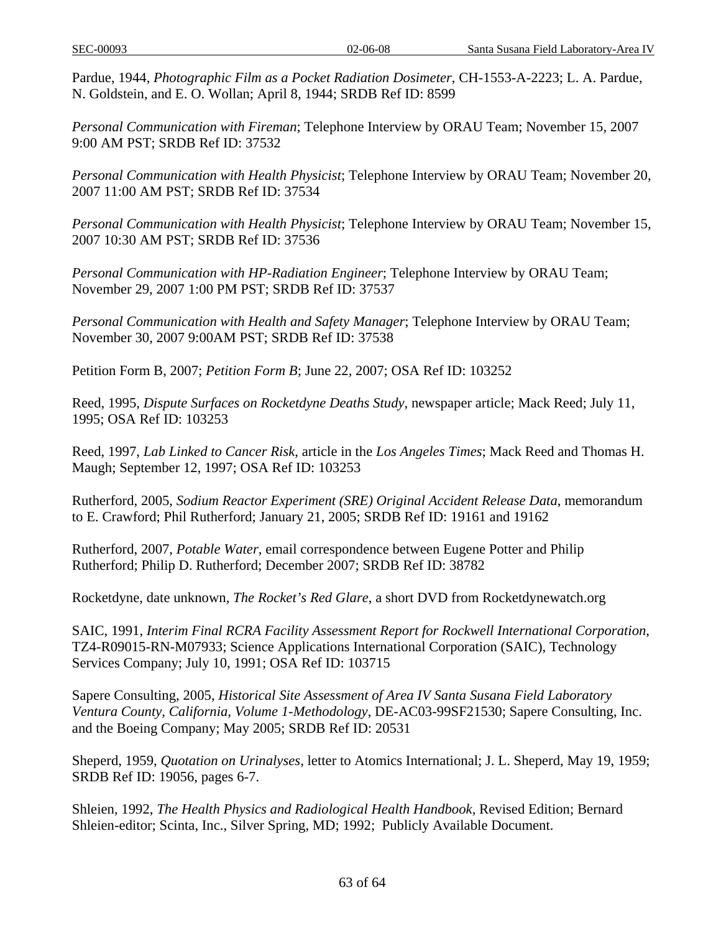Pardue, 1944, *Photographic Film as a Pocket Radiation Dosimeter*, CH-1553-A-2223; L. A. Pardue, N. Goldstein, and E. O. Wollan; April 8, 1944; SRDB Ref ID: 8599

*Personal Communication with Fireman*; Telephone Interview by ORAU Team; November 15, 2007 9:00 AM PST; SRDB Ref ID: 37532

*Personal Communication with Health Physicist*; Telephone Interview by ORAU Team; November 20, 2007 11:00 AM PST; SRDB Ref ID: 37534

*Personal Communication with Health Physicist*; Telephone Interview by ORAU Team; November 15, 2007 10:30 AM PST; SRDB Ref ID: 37536

*Personal Communication with HP-Radiation Engineer*; Telephone Interview by ORAU Team; November 29, 2007 1:00 PM PST; SRDB Ref ID: 37537

*Personal Communication with Health and Safety Manager*; Telephone Interview by ORAU Team; November 30, 2007 9:00AM PST; SRDB Ref ID: 37538

Petition Form B, 2007; *Petition Form B*; June 22, 2007; OSA Ref ID: 103252

Reed, 1995, *Dispute Surfaces on Rocketdyne Deaths Study*, newspaper article; Mack Reed; July 11, 1995; OSA Ref ID: 103253

Reed, 1997, *Lab Linked to Cancer Risk*, article in the *Los Angeles Times*; Mack Reed and Thomas H. Maugh; September 12, 1997; OSA Ref ID: 103253

Rutherford, 2005, *Sodium Reactor Experiment (SRE) Original Accident Release Data*, memorandum to E. Crawford; Phil Rutherford; January 21, 2005; SRDB Ref ID: 19161 and 19162

Rutherford, 2007, *Potable Water*, email correspondence between Eugene Potter and Philip Rutherford; Philip D. Rutherford; December 2007; SRDB Ref ID: 38782

Rocketdyne, date unknown, *The Rocket's Red Glare*, a short DVD from Rocketdynewatch.org

SAIC, 1991, *Interim Final RCRA Facility Assessment Report for Rockwell International Corporation*, TZ4-R09015-RN-M07933; Science Applications International Corporation (SAIC), Technology Services Company; July 10, 1991; OSA Ref ID: 103715

Sapere Consulting, 2005, *Historical Site Assessment of Area IV Santa Susana Field Laboratory Ventura County, California, Volume 1-Methodology*, DE-AC03-99SF21530; Sapere Consulting, Inc. and the Boeing Company; May 2005; SRDB Ref ID: 20531

Sheperd, 1959, *Quotation on Urinalyses,* letter to Atomics International; J. L. Sheperd, May 19, 1959; SRDB Ref ID: 19056, pages 6-7.

Shleien, 1992, *The Health Physics and Radiological Health Handbook,* Revised Edition; Bernard Shleien-editor; Scinta, Inc., Silver Spring, MD; 1992; Publicly Available Document.